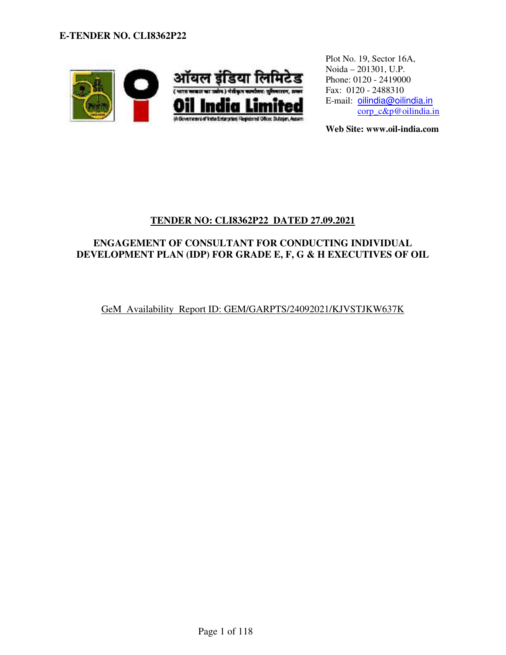

Plot No. 19, Sector 16A, Noida – 201301, U.P. Phone: 0120 - 2419000 Fax: 0120 - 2488310 E-mail: oilindia@oilindia.in corp\_c&p@oilindia.in

**Web Site: www.oil-india.com** 

# **TENDER NO: CLI8362P22 DATED 27.09.2021**

# **ENGAGEMENT OF CONSULTANT FOR CONDUCTING INDIVIDUAL DEVELOPMENT PLAN (IDP) FOR GRADE E, F, G & H EXECUTIVES OF OIL**

GeM Availability Report ID: GEM/GARPTS/24092021/KJVSTJKW637K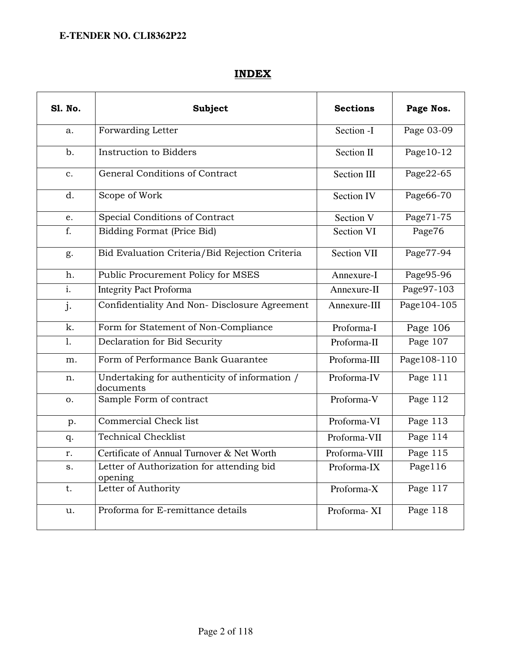# INDEX

| <b>S1. No.</b>   | <b>Subject</b>                                             | <b>Sections</b> | Page Nos.    |
|------------------|------------------------------------------------------------|-----------------|--------------|
| a.               | Forwarding Letter                                          | Section -I      | Page 03-09   |
| $b$ .            | Instruction to Bidders                                     | Section II      | Page 10-12   |
| c.               | General Conditions of Contract                             | Section III     | Page22-65    |
| d.               | Scope of Work                                              | Section IV      | Page66-70    |
| e.               | Special Conditions of Contract                             | Section V       | Page71-75    |
| f.               | Bidding Format (Price Bid)                                 | Section VI      | Page76       |
| g.               | Bid Evaluation Criteria/Bid Rejection Criteria             | Section VII     | Page77-94    |
| h.               | Public Procurement Policy for MSES                         | Annexure-I      | Page95-96    |
| $\overline{i}$ . | <b>Integrity Pact Proforma</b>                             | Annexure-II     | Page97-103   |
| j.               | Confidentiality And Non- Disclosure Agreement              | Annexure-III    | Page104-105  |
| k.               | Form for Statement of Non-Compliance                       | Proforma-I      | Page 106     |
| 1.               | Declaration for Bid Security                               | Proforma-II     | Page 107     |
| m.               | Form of Performance Bank Guarantee                         | Proforma-III    | Page 108-110 |
| n.               | Undertaking for authenticity of information /<br>documents | Proforma-IV     | Page 111     |
| 0.               | Sample Form of contract                                    | Proforma-V      | Page 112     |
| p.               | <b>Commercial Check list</b>                               | Proforma-VI     | Page 113     |
| q.               | <b>Technical Checklist</b>                                 | Proforma-VII    | Page 114     |
| r.               | Certificate of Annual Turnover & Net Worth                 | Proforma-VIII   | Page 115     |
| S.               | Letter of Authorization for attending bid<br>opening       | Proforma-IX     | Page116      |
| t.               | Letter of Authority                                        | Proforma-X      | Page 117     |
| u.               | Proforma for E-remittance details                          | Proforma-XI     | Page 118     |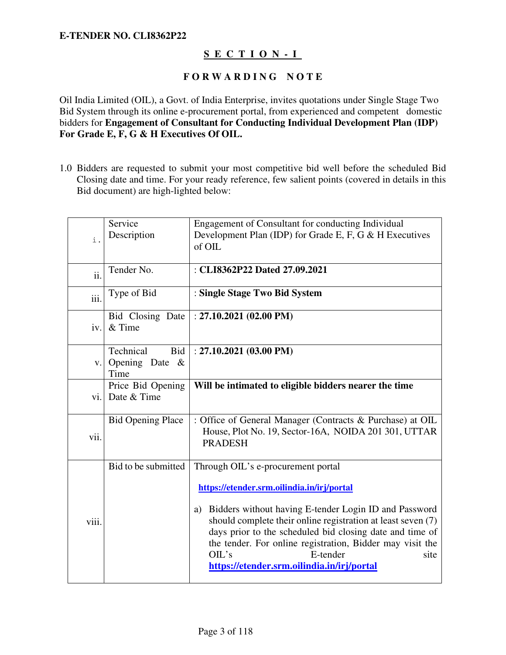# **S E C T I O N - I**

### **F O R W A R D I N G N O T E**

Oil India Limited (OIL), a Govt. of India Enterprise, invites quotations under Single Stage Two Bid System through its online e-procurement portal, from experienced and competent domestic bidders for **Engagement of Consultant for Conducting Individual Development Plan (IDP) For Grade E, F, G & H Executives Of OIL.** 

1.0 Bidders are requested to submit your most competitive bid well before the scheduled Bid Closing date and time. For your ready reference, few salient points (covered in details in this Bid document) are high-lighted below:

| i.                  | Service<br>Description                               | Engagement of Consultant for conducting Individual<br>Development Plan (IDP) for Grade E, F, G & H Executives<br>of OIL                                                                                                                                                                                                                                                                                             |
|---------------------|------------------------------------------------------|---------------------------------------------------------------------------------------------------------------------------------------------------------------------------------------------------------------------------------------------------------------------------------------------------------------------------------------------------------------------------------------------------------------------|
| $\ddot{\mathbf{i}}$ | Tender No.                                           | : CLI8362P22 Dated 27.09.2021                                                                                                                                                                                                                                                                                                                                                                                       |
| iii.                | Type of Bid                                          | : Single Stage Two Bid System                                                                                                                                                                                                                                                                                                                                                                                       |
| iv.                 | Bid Closing Date<br>$&$ Time                         | : $27.10.2021(02.00 \text{ PM})$                                                                                                                                                                                                                                                                                                                                                                                    |
| V.                  | Technical<br><b>Bid</b><br>Opening Date $\&$<br>Time | : $27.10.2021(03.00 \text{ PM})$                                                                                                                                                                                                                                                                                                                                                                                    |
| vi.                 | Price Bid Opening<br>Date & Time                     | Will be intimated to eligible bidders nearer the time                                                                                                                                                                                                                                                                                                                                                               |
| vii.                | <b>Bid Opening Place</b>                             | : Office of General Manager (Contracts & Purchase) at OIL<br>House, Plot No. 19, Sector-16A, NOIDA 201 301, UTTAR<br><b>PRADESH</b>                                                                                                                                                                                                                                                                                 |
| viii.               | Bid to be submitted                                  | Through OIL's e-procurement portal<br>https://etender.srm.oilindia.in/irj/portal<br>Bidders without having E-tender Login ID and Password<br>a)<br>should complete their online registration at least seven (7)<br>days prior to the scheduled bid closing date and time of<br>the tender. For online registration, Bidder may visit the<br>E-tender<br>OIL's<br>site<br>https://etender.srm.oilindia.in/irj/portal |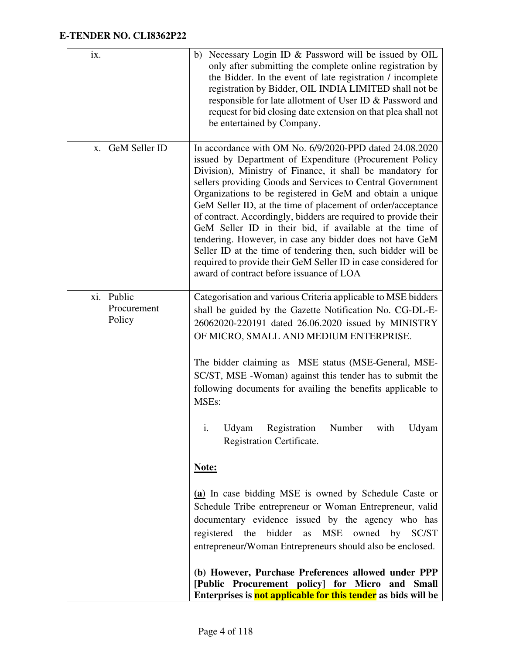| ix. |                                 | b) Necessary Login ID & Password will be issued by OIL<br>only after submitting the complete online registration by<br>the Bidder. In the event of late registration / incomplete<br>registration by Bidder, OIL INDIA LIMITED shall not be<br>responsible for late allotment of User ID & Password and<br>request for bid closing date extension on that plea shall not<br>be entertained by Company.                                                                                                                                                                                                                                                                                                                                                                                                                                                                                                           |
|-----|---------------------------------|------------------------------------------------------------------------------------------------------------------------------------------------------------------------------------------------------------------------------------------------------------------------------------------------------------------------------------------------------------------------------------------------------------------------------------------------------------------------------------------------------------------------------------------------------------------------------------------------------------------------------------------------------------------------------------------------------------------------------------------------------------------------------------------------------------------------------------------------------------------------------------------------------------------|
| X.  | GeM Seller ID                   | In accordance with OM No. 6/9/2020-PPD dated 24.08.2020<br>issued by Department of Expenditure (Procurement Policy<br>Division), Ministry of Finance, it shall be mandatory for<br>sellers providing Goods and Services to Central Government<br>Organizations to be registered in GeM and obtain a unique<br>GeM Seller ID, at the time of placement of order/acceptance<br>of contract. Accordingly, bidders are required to provide their<br>GeM Seller ID in their bid, if available at the time of<br>tendering. However, in case any bidder does not have GeM<br>Seller ID at the time of tendering then, such bidder will be<br>required to provide their GeM Seller ID in case considered for<br>award of contract before issuance of LOA                                                                                                                                                                |
| xi. | Public<br>Procurement<br>Policy | Categorisation and various Criteria applicable to MSE bidders<br>shall be guided by the Gazette Notification No. CG-DL-E-<br>26062020-220191 dated 26.06.2020 issued by MINISTRY<br>OF MICRO, SMALL AND MEDIUM ENTERPRISE.<br>The bidder claiming as MSE status (MSE-General, MSE-<br>SC/ST, MSE -Woman) against this tender has to submit the<br>following documents for availing the benefits applicable to<br>MSEs:<br>i.<br>Udyam Registration<br>Number with<br>Udyam<br>Registration Certificate.<br>Note:<br>(a) In case bidding MSE is owned by Schedule Caste or<br>Schedule Tribe entrepreneur or Woman Entrepreneur, valid<br>documentary evidence issued by the agency who has<br>registered the bidder as MSE owned by SC/ST<br>entrepreneur/Woman Entrepreneurs should also be enclosed.<br>(b) However, Purchase Preferences allowed under PPP<br>[Public Procurement policy] for Micro and Small |
|     |                                 | Enterprises is not applicable for this tender as bids will be                                                                                                                                                                                                                                                                                                                                                                                                                                                                                                                                                                                                                                                                                                                                                                                                                                                    |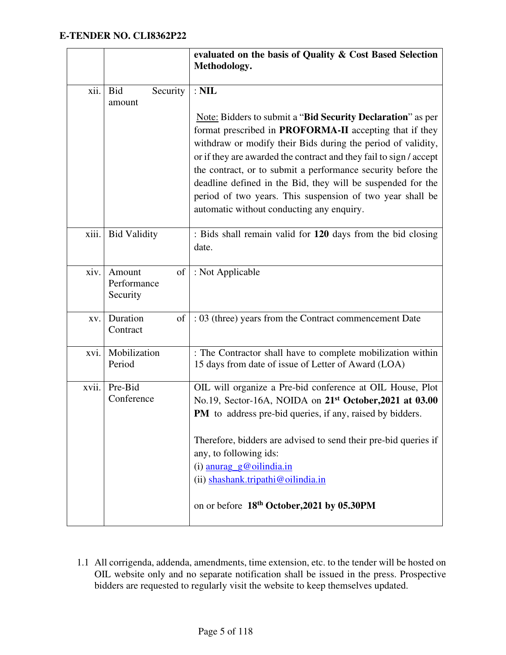|       |                                         | evaluated on the basis of Quality & Cost Based Selection<br>Methodology.                                                                                                                                                                                                                                                                                                                                                                                                                                     |
|-------|-----------------------------------------|--------------------------------------------------------------------------------------------------------------------------------------------------------------------------------------------------------------------------------------------------------------------------------------------------------------------------------------------------------------------------------------------------------------------------------------------------------------------------------------------------------------|
| xii.  | <b>Bid</b><br>Security<br>amount        | $:$ NIL                                                                                                                                                                                                                                                                                                                                                                                                                                                                                                      |
|       |                                         | Note: Bidders to submit a "Bid Security Declaration" as per<br>format prescribed in <b>PROFORMA-II</b> accepting that if they<br>withdraw or modify their Bids during the period of validity,<br>or if they are awarded the contract and they fail to sign / accept<br>the contract, or to submit a performance security before the<br>deadline defined in the Bid, they will be suspended for the<br>period of two years. This suspension of two year shall be<br>automatic without conducting any enquiry. |
| xiii. | <b>Bid Validity</b>                     | : Bids shall remain valid for 120 days from the bid closing<br>date.                                                                                                                                                                                                                                                                                                                                                                                                                                         |
| xiv.  | Amount<br>of<br>Performance<br>Security | : Not Applicable                                                                                                                                                                                                                                                                                                                                                                                                                                                                                             |
| XV.   | Duration<br>of<br>Contract              | : 03 (three) years from the Contract commencement Date                                                                                                                                                                                                                                                                                                                                                                                                                                                       |
| xvi.  | Mobilization<br>Period                  | : The Contractor shall have to complete mobilization within<br>15 days from date of issue of Letter of Award (LOA)                                                                                                                                                                                                                                                                                                                                                                                           |
| xvii. | Pre-Bid<br>Conference                   | OIL will organize a Pre-bid conference at OIL House, Plot<br>No.19, Sector-16A, NOIDA on 21 <sup>st</sup> October, 2021 at 03.00<br>PM to address pre-bid queries, if any, raised by bidders.<br>Therefore, bidders are advised to send their pre-bid queries if<br>any, to following ids:<br>(i) $\frac{anurag \ g\omega oilindia.in}{\omega}$<br>(ii) shashank.tripathi@oilindia.in<br>on or before 18th October, 2021 by 05.30PM                                                                          |
|       |                                         |                                                                                                                                                                                                                                                                                                                                                                                                                                                                                                              |

1.1 All corrigenda, addenda, amendments, time extension, etc. to the tender will be hosted on OIL website only and no separate notification shall be issued in the press. Prospective bidders are requested to regularly visit the website to keep themselves updated.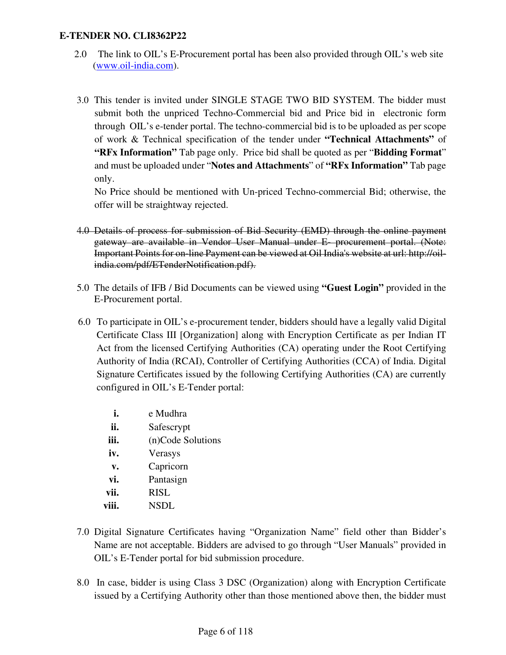- 2.0 The link to OIL's E-Procurement portal has been also provided through OIL's web site (www.oil-india.com).
- 3.0 This tender is invited under SINGLE STAGE TWO BID SYSTEM. The bidder must submit both the unpriced Techno-Commercial bid and Price bid in electronic form through OIL's e-tender portal. The techno-commercial bid is to be uploaded as per scope of work & Technical specification of the tender under **"Technical Attachments"** of **"RFx Information"** Tab page only. Price bid shall be quoted as per "**Bidding Format**" and must be uploaded under "**Notes and Attachments**" of **"RFx Information"** Tab page only.

No Price should be mentioned with Un-priced Techno-commercial Bid; otherwise, the offer will be straightway rejected.

- 4.0 Details of process for submission of Bid Security (EMD) through the online payment gateway are available in Vendor User Manual under E- procurement portal. (Note: Important Points for on-line Payment can be viewed at Oil India's website at url: http://oilindia.com/pdf/ETenderNotification.pdf).
- 5.0 The details of IFB / Bid Documents can be viewed using **"Guest Login"** provided in the E-Procurement portal.
- 6.0 To participate in OIL's e-procurement tender, bidders should have a legally valid Digital Certificate Class III [Organization] along with Encryption Certificate as per Indian IT Act from the licensed Certifying Authorities (CA) operating under the Root Certifying Authority of India (RCAI), Controller of Certifying Authorities (CCA) of India. Digital Signature Certificates issued by the following Certifying Authorities (CA) are currently configured in OIL's E-Tender portal:
	- **i.** e Mudhra
	- **ii.** Safescrypt
	- **iii.** (n)Code Solutions
	- **iv.** Verasys
	- **v.** Capricorn
	- **vi.** Pantasign
	- **vii.** RISL
	- **viii.** NSDL
- 7.0 Digital Signature Certificates having "Organization Name" field other than Bidder's Name are not acceptable. Bidders are advised to go through "User Manuals" provided in OIL's E-Tender portal for bid submission procedure.
- 8.0 In case, bidder is using Class 3 DSC (Organization) along with Encryption Certificate issued by a Certifying Authority other than those mentioned above then, the bidder must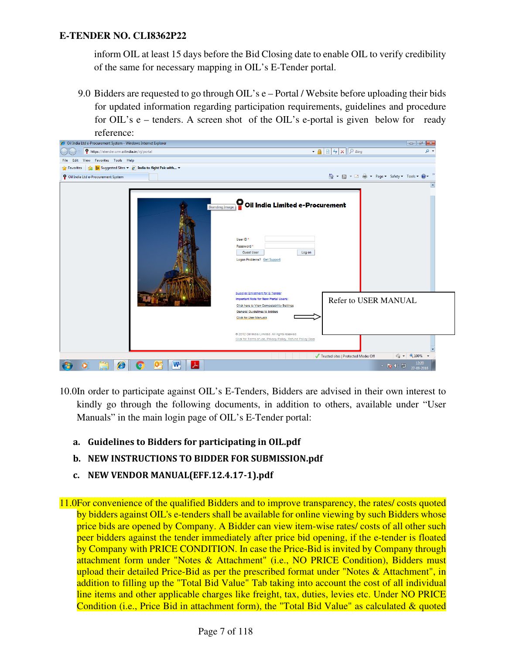inform OIL at least 15 days before the Bid Closing date to enable OIL to verify credibility of the same for necessary mapping in OIL's E-Tender portal.

9.0 Bidders are requested to go through OIL's e – Portal / Website before uploading their bids for updated information regarding participation requirements, guidelines and procedure for OIL's e – tenders. A screen shot of the OIL's e-portal is given below for ready



- 10.0In order to participate against OIL's E-Tenders, Bidders are advised in their own interest to kindly go through the following documents, in addition to others, available under "User Manuals" in the main login page of OIL's E-Tender portal:
	- a. Guidelines to Bidders for participating in OIL.pdf
	- b. NEW INSTRUCTIONS TO BIDDER FOR SUBMISSION.pdf
	- c. NEW VENDOR MANUAL(EFF.12.4.17-1).pdf

11.0For convenience of the qualified Bidders and to improve transparency, the rates/ costs quoted by bidders against OIL's e-tenders shall be available for online viewing by such Bidders whose price bids are opened by Company. A Bidder can view item-wise rates/ costs of all other such peer bidders against the tender immediately after price bid opening, if the e-tender is floated by Company with PRICE CONDITION. In case the Price-Bid is invited by Company through attachment form under "Notes & Attachment" (i.e., NO PRICE Condition), Bidders must upload their detailed Price-Bid as per the prescribed format under "Notes & Attachment", in addition to filling up the "Total Bid Value" Tab taking into account the cost of all individual line items and other applicable charges like freight, tax, duties, levies etc. Under NO PRICE Condition (i.e., Price Bid in attachment form), the "Total Bid Value" as calculated & quoted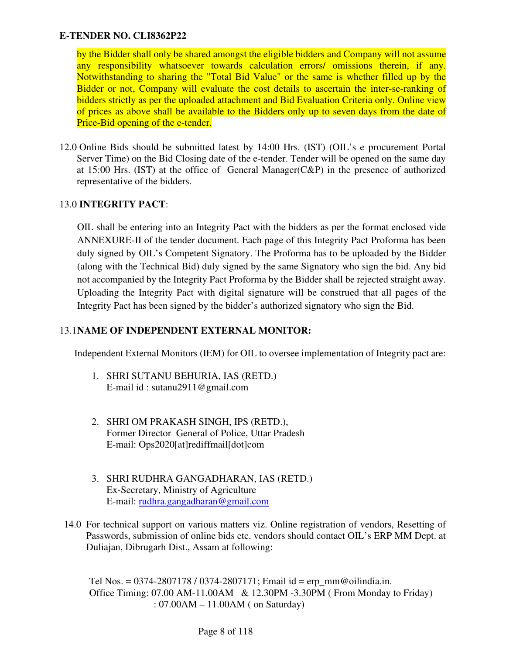by the Bidder shall only be shared amongst the eligible bidders and Company will not assume any responsibility whatsoever towards calculation errors/ omissions therein, if any. Notwithstanding to sharing the "Total Bid Value" or the same is whether filled up by the Bidder or not, Company will evaluate the cost details to ascertain the inter-se-ranking of bidders strictly as per the uploaded attachment and Bid Evaluation Criteria only. Online view of prices as above shall be available to the Bidders only up to seven days from the date of Price-Bid opening of the e-tender.

12.0 Online Bids should be submitted latest by 14:00 Hrs. (IST) (OIL's e procurement Portal Server Time) on the Bid Closing date of the e-tender. Tender will be opened on the same day at 15:00 Hrs. (IST) at the office of General Manager(C&P) in the presence of authorized representative of the bidders.

### 13.0 **INTEGRITY PACT**:

OIL shall be entering into an Integrity Pact with the bidders as per the format enclosed vide ANNEXURE-II of the tender document. Each page of this Integrity Pact Proforma has been duly signed by OIL's Competent Signatory. The Proforma has to be uploaded by the Bidder (along with the Technical Bid) duly signed by the same Signatory who sign the bid. Any bid not accompanied by the Integrity Pact Proforma by the Bidder shall be rejected straight away. Uploading the Integrity Pact with digital signature will be construed that all pages of the Integrity Pact has been signed by the bidder's authorized signatory who sign the Bid.

#### 13.1**NAME OF INDEPENDENT EXTERNAL MONITOR:**

Independent External Monitors (IEM) for OIL to oversee implementation of Integrity pact are:

- 1. SHRI SUTANU BEHURIA, IAS (RETD.) E-mail id : sutanu2911@gmail.com
- 2. SHRI OM PRAKASH SINGH, IPS (RETD.), Former Director General of Police, Uttar Pradesh E-mail: Ops2020[at]rediffmail[dot]com
- 3. SHRI RUDHRA GANGADHARAN, IAS (RETD.) Ex-Secretary, Ministry of Agriculture E-mail: rudhra.gangadharan@gmail.com
- 14.0 For technical support on various matters viz. Online registration of vendors, Resetting of Passwords, submission of online bids etc. vendors should contact OIL's ERP MM Dept. at Duliajan, Dibrugarh Dist., Assam at following:

Tel Nos. =  $0374-2807178 / 0374-2807171$ ; Email id = erp\_mm@oilindia.in. Office Timing: 07.00 AM-11.00AM & 12.30PM -3.30PM ( From Monday to Friday) : 07.00AM – 11.00AM ( on Saturday)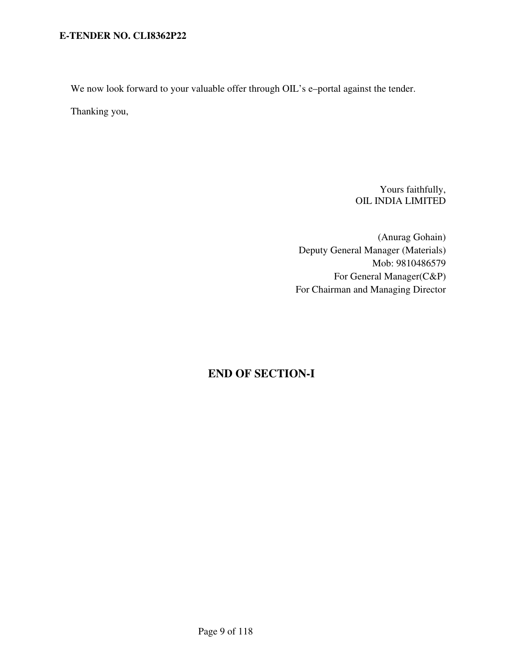We now look forward to your valuable offer through OIL's e-portal against the tender.

Thanking you,

Yours faithfully, OIL INDIA LIMITED

(Anurag Gohain) Deputy General Manager (Materials) Mob: 9810486579 For General Manager(C&P) For Chairman and Managing Director

# **END OF SECTION-I**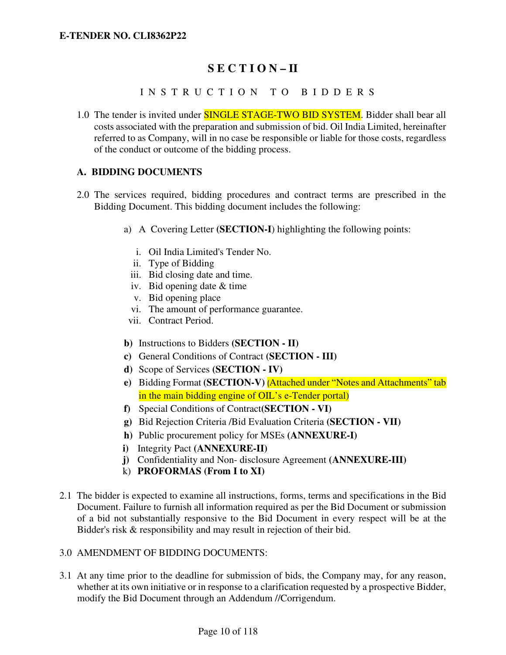# **S E C T I O N – II**

### I N S T R U C T I O N T O B I D D E R S

1.0 The tender is invited under **SINGLE STAGE-TWO BID SYSTEM**. Bidder shall bear all costs associated with the preparation and submission of bid. Oil India Limited, hereinafter referred to as Company, will in no case be responsible or liable for those costs, regardless of the conduct or outcome of the bidding process.

#### **A. BIDDING DOCUMENTS**

- 2.0 The services required, bidding procedures and contract terms are prescribed in the Bidding Document. This bidding document includes the following:
	- a) A Covering Letter **(SECTION-I**) highlighting the following points:
		- i. Oil India Limited's Tender No.
		- ii. Type of Bidding
		- iii. Bid closing date and time.
		- iv. Bid opening date & time
		- v. Bid opening place
		- vi. The amount of performance guarantee.
		- vii. Contract Period.
	- **b)** Instructions to Bidders **(SECTION II)**
	- **c)** General Conditions of Contract **(SECTION III)**
	- **d)** Scope of Services **(SECTION IV)**
	- **e)** Bidding Format **(SECTION-V)** (Attached under "Notes and Attachments" tab in the main bidding engine of OIL's e-Tender portal)
	- **f)** Special Conditions of Contract**(SECTION VI)**
	- **g)** Bid Rejection Criteria /Bid Evaluation Criteria **(SECTION VII)**
	- **h)** Public procurement policy for MSEs **(ANNEXURE-I)**
	- **i)** Integrity Pact **(ANNEXURE-II)**
	- **j)** Confidentiality and Non- disclosure Agreement **(ANNEXURE-III)**
	- k) **PROFORMAS (From I to XI)**
- 2.1 The bidder is expected to examine all instructions, forms, terms and specifications in the Bid Document. Failure to furnish all information required as per the Bid Document or submission of a bid not substantially responsive to the Bid Document in every respect will be at the Bidder's risk & responsibility and may result in rejection of their bid.
- 3.0 AMENDMENT OF BIDDING DOCUMENTS:
- 3.1 At any time prior to the deadline for submission of bids, the Company may, for any reason, whether at its own initiative or in response to a clarification requested by a prospective Bidder, modify the Bid Document through an Addendum //Corrigendum.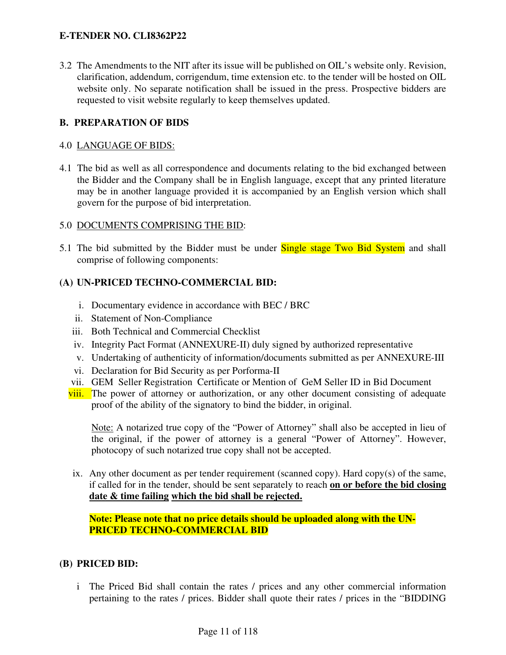3.2 The Amendments to the NIT after its issue will be published on OIL's website only. Revision, clarification, addendum, corrigendum, time extension etc. to the tender will be hosted on OIL website only. No separate notification shall be issued in the press. Prospective bidders are requested to visit website regularly to keep themselves updated.

### **B. PREPARATION OF BIDS**

#### 4.0 LANGUAGE OF BIDS:

4.1 The bid as well as all correspondence and documents relating to the bid exchanged between the Bidder and the Company shall be in English language, except that any printed literature may be in another language provided it is accompanied by an English version which shall govern for the purpose of bid interpretation.

#### 5.0 DOCUMENTS COMPRISING THE BID:

5.1 The bid submitted by the Bidder must be under **Single stage Two Bid System** and shall comprise of following components:

### **(A) UN-PRICED TECHNO-COMMERCIAL BID:**

- i. Documentary evidence in accordance with BEC / BRC
- ii. Statement of Non-Compliance
- iii. Both Technical and Commercial Checklist
- iv. Integrity Pact Format (ANNEXURE-II) duly signed by authorized representative
- v. Undertaking of authenticity of information/documents submitted as per ANNEXURE-III
- vi. Declaration for Bid Security as per Porforma-II
- vii. GEM Seller Registration Certificate or Mention of GeM Seller ID in Bid Document
- viii. The power of attorney or authorization, or any other document consisting of adequate proof of the ability of the signatory to bind the bidder, in original.

Note: A notarized true copy of the "Power of Attorney" shall also be accepted in lieu of the original, if the power of attorney is a general "Power of Attorney". However, photocopy of such notarized true copy shall not be accepted.

ix. Any other document as per tender requirement (scanned copy). Hard copy(s) of the same, if called for in the tender, should be sent separately to reach **on or before the bid closing date & time failing which the bid shall be rejected.**

**Note: Please note that no price details should be uploaded along with the UN-PRICED TECHNO-COMMERCIAL BID** 

#### **(B) PRICED BID:**

i The Priced Bid shall contain the rates / prices and any other commercial information pertaining to the rates / prices. Bidder shall quote their rates / prices in the "BIDDING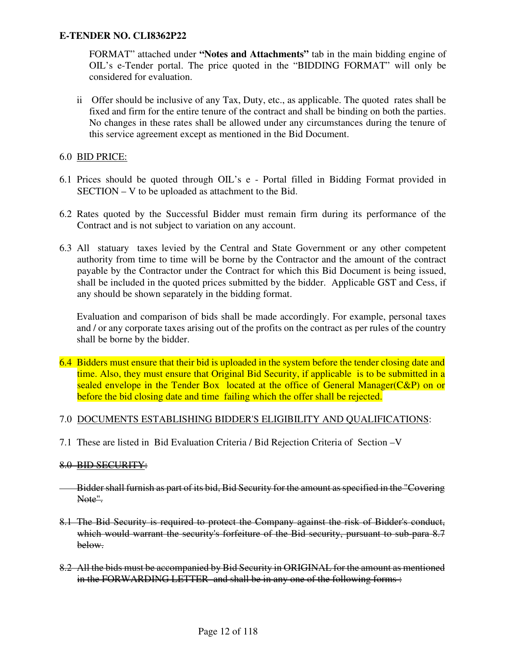FORMAT" attached under **"Notes and Attachments"** tab in the main bidding engine of OIL's e-Tender portal. The price quoted in the "BIDDING FORMAT" will only be considered for evaluation.

ii Offer should be inclusive of any Tax, Duty, etc., as applicable. The quoted rates shall be fixed and firm for the entire tenure of the contract and shall be binding on both the parties. No changes in these rates shall be allowed under any circumstances during the tenure of this service agreement except as mentioned in the Bid Document.

### 6.0 BID PRICE:

- 6.1 Prices should be quoted through OIL's e Portal filled in Bidding Format provided in SECTION – V to be uploaded as attachment to the Bid.
- 6.2 Rates quoted by the Successful Bidder must remain firm during its performance of the Contract and is not subject to variation on any account.
- 6.3 All statuary taxes levied by the Central and State Government or any other competent authority from time to time will be borne by the Contractor and the amount of the contract payable by the Contractor under the Contract for which this Bid Document is being issued, shall be included in the quoted prices submitted by the bidder. Applicable GST and Cess, if any should be shown separately in the bidding format.

Evaluation and comparison of bids shall be made accordingly. For example, personal taxes and / or any corporate taxes arising out of the profits on the contract as per rules of the country shall be borne by the bidder.

6.4 Bidders must ensure that their bid is uploaded in the system before the tender closing date and time. Also, they must ensure that Original Bid Security, if applicable is to be submitted in a sealed envelope in the Tender Box located at the office of General Manager(C&P) on or before the bid closing date and time failing which the offer shall be rejected.

#### 7.0 DOCUMENTS ESTABLISHING BIDDER'S ELIGIBILITY AND QUALIFICATIONS:

7.1 These are listed in Bid Evaluation Criteria / Bid Rejection Criteria of Section –V

#### 8.0 BID SECURITY:

- Bidder shall furnish as part of its bid, Bid Security for the amount as specified in the "Covering Note".
- 8.1 The Bid Security is required to protect the Company against the risk of Bidder's conduct, which would warrant the security's forfeiture of the Bid security, pursuant to sub-para 8.7 below.
- 8.2 All the bids must be accompanied by Bid Security in ORIGINAL for the amount as mentioned in the FORWARDING LETTER and shall be in any one of the following forms :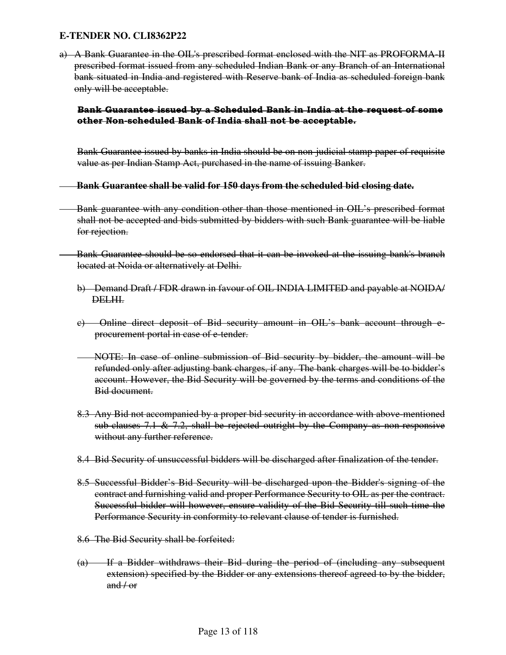a) A Bank Guarantee in the OIL's prescribed format enclosed with the NIT as PROFORMA-II prescribed format issued from any scheduled Indian Bank or any Branch of an International bank situated in India and registered with Reserve bank of India as scheduled foreign bank only will be acceptable.

#### Bank Guarantee issued by a Scheduled Bank in India at the request of some other Non-scheduled Bank of India shall not be acceptable.

Bank Guarantee issued by banks in India should be on non-judicial stamp paper of requisite value as per Indian Stamp Act, purchased in the name of issuing Banker.

#### **Bank Guarantee shall be valid for 150 days from the scheduled bid closing date.**

- Bank guarantee with any condition other than those mentioned in OIL's prescribed format shall not be accepted and bids submitted by bidders with such Bank guarantee will be liable for rejection.
- Bank Guarantee should be so endorsed that it can be invoked at the issuing bank's branch located at Noida or alternatively at Delhi.
	- b) Demand Draft / FDR drawn in favour of OIL INDIA LIMITED and payable at NOIDA/ DELHI.
	- c) Online direct deposit of Bid security amount in OIL's bank account through eprocurement portal in case of e-tender.
	- NOTE: In case of online submission of Bid security by bidder, the amount will be refunded only after adjusting bank charges, if any. The bank charges will be to bidder's account. However, the Bid Security will be governed by the terms and conditions of the Bid document.
	- 8.3 Any Bid not accompanied by a proper bid security in accordance with above-mentioned sub-clauses 7.1  $\&$  7.2, shall be rejected outright by the Company as non-responsive without any further reference.
	- 8.4 Bid Security of unsuccessful bidders will be discharged after finalization of the tender.
	- 8.5 Successful Bidder's Bid Security will be discharged upon the Bidder's signing of the contract and furnishing valid and proper Performance Security to OIL as per the contract. Successful bidder will however, ensure validity of the Bid Security till such time the Performance Security in conformity to relevant clause of tender is furnished.
	- 8.6 The Bid Security shall be forfeited:
	- (a) If a Bidder withdraws their Bid during the period of (including any subsequent extension) specified by the Bidder or any extensions thereof agreed to by the bidder,  $and / or$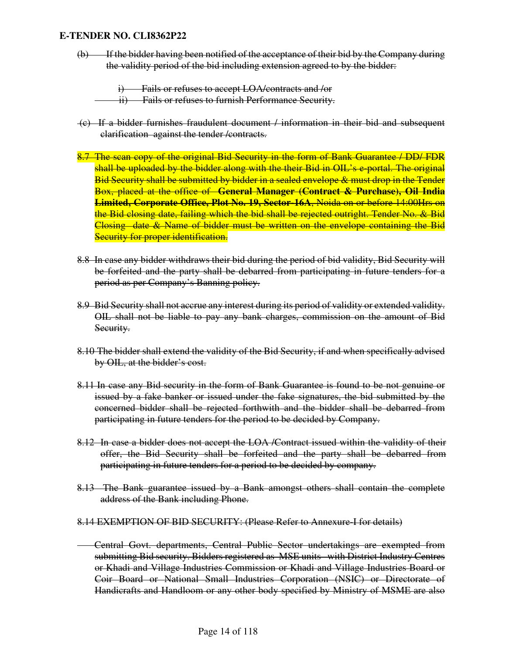(b) If the bidder having been notified of the acceptance of their bid by the Company during the validity period of the bid including extension agreed to by the bidder:

i) Fails or refuses to accept LOA/contracts and /or

- ii) Fails or refuses to furnish Performance Security.
- (c) If a bidder furnishes fraudulent document / information in their bid and subsequent clarification against the tender /contracts.
- 8.7 The scan copy of the original Bid Security in the form of Bank Guarantee / DD/ FDR shall be uploaded by the bidder along with the their Bid in OIL's e-portal. The original Bid Security shall be submitted by bidder in a sealed envelope & must drop in the Tender Box, placed at the office of **General Manager (Contract & Purchase), Oil India Limited, Corporate Office, Plot No. 19, Sector-16A**, Noida on or before 14:00Hrs on the Bid closing date, failing which the bid shall be rejected outright. Tender No. & Bid Closing date & Name of bidder must be written on the envelope containing the Bid Security for proper identification.
- 8.8 In case any bidder withdraws their bid during the period of bid validity, Bid Security will be forfeited and the party shall be debarred from participating in future tenders for a period as per Company's Banning policy.
- 8.9 Bid Security shall not accrue any interest during its period of validity or extended validity. OIL shall not be liable to pay any bank charges, commission on the amount of Bid Security.
- 8.10 The bidder shall extend the validity of the Bid Security, if and when specifically advised by OIL, at the bidder's cost.
- 8.11 In case any Bid security in the form of Bank Guarantee is found to be not genuine or issued by a fake banker or issued under the fake signatures, the bid submitted by the concerned bidder shall be rejected forthwith and the bidder shall be debarred from participating in future tenders for the period to be decided by Company.
- 8.12 In case a bidder does not accept the LOA /Contract issued within the validity of their offer, the Bid Security shall be forfeited and the party shall be debarred from participating in future tenders for a period to be decided by company.
- 8.13 The Bank guarantee issued by a Bank amongst others shall contain the complete address of the Bank including Phone.
- 8.14 EXEMPTION OF BID SECURITY: (Please Refer to Annexure-I for details)

 Central Govt. departments, Central Public Sector undertakings are exempted from submitting Bid security. Bidders registered as MSE units with District Industry Centres or Khadi and Village Industries Commission or Khadi and Village Industries Board or Coir Board or National Small Industries Corporation (NSIC) or Directorate of Handicrafts and Handloom or any other body specified by Ministry of MSME are also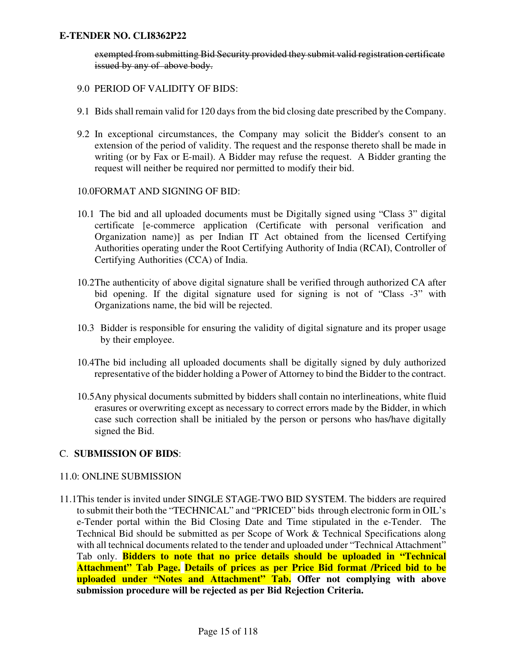exempted from submitting Bid Security provided they submit valid registration certificate issued by any of above body.

- 9.0 PERIOD OF VALIDITY OF BIDS:
- 9.1 Bids shall remain valid for 120 days from the bid closing date prescribed by the Company.
- 9.2 In exceptional circumstances, the Company may solicit the Bidder's consent to an extension of the period of validity. The request and the response thereto shall be made in writing (or by Fax or E-mail). A Bidder may refuse the request. A Bidder granting the request will neither be required nor permitted to modify their bid.

#### 10.0FORMAT AND SIGNING OF BID:

- 10.1 The bid and all uploaded documents must be Digitally signed using "Class 3" digital certificate [e-commerce application (Certificate with personal verification and Organization name)] as per Indian IT Act obtained from the licensed Certifying Authorities operating under the Root Certifying Authority of India (RCAI), Controller of Certifying Authorities (CCA) of India.
- 10.2The authenticity of above digital signature shall be verified through authorized CA after bid opening. If the digital signature used for signing is not of "Class -3" with Organizations name, the bid will be rejected.
- 10.3 Bidder is responsible for ensuring the validity of digital signature and its proper usage by their employee.
- 10.4The bid including all uploaded documents shall be digitally signed by duly authorized representative of the bidder holding a Power of Attorney to bind the Bidder to the contract.
- 10.5Any physical documents submitted by bidders shall contain no interlineations, white fluid erasures or overwriting except as necessary to correct errors made by the Bidder, in which case such correction shall be initialed by the person or persons who has/have digitally signed the Bid.

#### C. **SUBMISSION OF BIDS**:

#### 11.0: ONLINE SUBMISSION

11.1This tender is invited under SINGLE STAGE-TWO BID SYSTEM. The bidders are required to submit their both the "TECHNICAL" and "PRICED" bids through electronic form in OIL's e-Tender portal within the Bid Closing Date and Time stipulated in the e-Tender. The Technical Bid should be submitted as per Scope of Work & Technical Specifications along with all technical documents related to the tender and uploaded under "Technical Attachment" Tab only. **Bidders to note that no price details should be uploaded in "Technical Attachment" Tab Page. Details of prices as per Price Bid format /Priced bid to be uploaded under "Notes and Attachment" Tab. Offer not complying with above submission procedure will be rejected as per Bid Rejection Criteria.**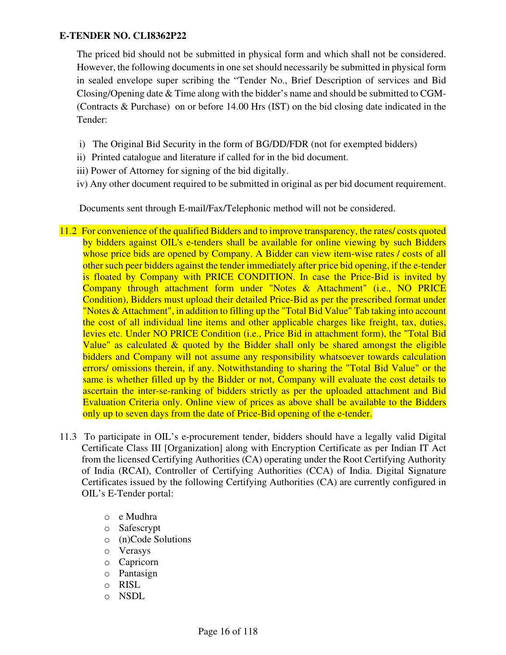The priced bid should not be submitted in physical form and which shall not be considered. However, the following documents in one set should necessarily be submitted in physical form in sealed envelope super scribing the "Tender No., Brief Description of services and Bid Closing/Opening date & Time along with the bidder's name and should be submitted to CGM- (Contracts & Purchase) on or before 14.00 Hrs (IST) on the bid closing date indicated in the Tender:

- i) The Original Bid Security in the form of BG/DD/FDR (not for exempted bidders)
- ii) Printed catalogue and literature if called for in the bid document.
- iii) Power of Attorney for signing of the bid digitally.
- iv) Any other document required to be submitted in original as per bid document requirement.

Documents sent through E-mail/Fax/Telephonic method will not be considered.

- 11.2 For convenience of the qualified Bidders and to improve transparency, the rates/ costs quoted by bidders against OIL's e-tenders shall be available for online viewing by such Bidders whose price bids are opened by Company. A Bidder can view item-wise rates / costs of all other such peer bidders against the tender immediately after price bid opening, if the e-tender is floated by Company with PRICE CONDITION. In case the Price-Bid is invited by Company through attachment form under "Notes & Attachment" (i.e., NO PRICE Condition), Bidders must upload their detailed Price-Bid as per the prescribed format under "Notes & Attachment", in addition to filling up the "Total Bid Value" Tab taking into account the cost of all individual line items and other applicable charges like freight, tax, duties, levies etc. Under NO PRICE Condition (i.e., Price Bid in attachment form), the "Total Bid Value" as calculated & quoted by the Bidder shall only be shared amongst the eligible bidders and Company will not assume any responsibility whatsoever towards calculation errors/ omissions therein, if any. Notwithstanding to sharing the "Total Bid Value" or the same is whether filled up by the Bidder or not, Company will evaluate the cost details to ascertain the inter-se-ranking of bidders strictly as per the uploaded attachment and Bid Evaluation Criteria only. Online view of prices as above shall be available to the Bidders only up to seven days from the date of Price-Bid opening of the e-tender.
- 11.3 To participate in OIL's e-procurement tender, bidders should have a legally valid Digital Certificate Class III [Organization] along with Encryption Certificate as per Indian IT Act from the licensed Certifying Authorities (CA) operating under the Root Certifying Authority of India (RCAI), Controller of Certifying Authorities (CCA) of India. Digital Signature Certificates issued by the following Certifying Authorities (CA) are currently configured in OIL's E-Tender portal:
	- o e Mudhra
	- o Safescrypt
	- o (n)Code Solutions
	- o Verasys
	- o Capricorn
	- o Pantasign
	- o RISL
	- o NSDL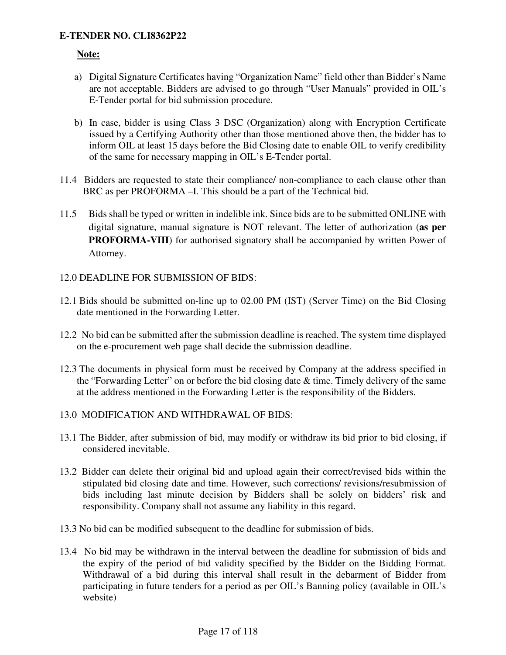#### **Note:**

- a) Digital Signature Certificates having "Organization Name" field other than Bidder's Name are not acceptable. Bidders are advised to go through "User Manuals" provided in OIL's E-Tender portal for bid submission procedure.
- b) In case, bidder is using Class 3 DSC (Organization) along with Encryption Certificate issued by a Certifying Authority other than those mentioned above then, the bidder has to inform OIL at least 15 days before the Bid Closing date to enable OIL to verify credibility of the same for necessary mapping in OIL's E-Tender portal.
- 11.4 Bidders are requested to state their compliance/ non-compliance to each clause other than BRC as per PROFORMA –I. This should be a part of the Technical bid.
- 11.5 Bids shall be typed or written in indelible ink. Since bids are to be submitted ONLINE with digital signature, manual signature is NOT relevant. The letter of authorization (**as per PROFORMA-VIII**) for authorised signatory shall be accompanied by written Power of Attorney.
- 12.0 DEADLINE FOR SUBMISSION OF BIDS:
- 12.1 Bids should be submitted on-line up to 02.00 PM (IST) (Server Time) on the Bid Closing date mentioned in the Forwarding Letter.
- 12.2 No bid can be submitted after the submission deadline is reached. The system time displayed on the e-procurement web page shall decide the submission deadline.
- 12.3 The documents in physical form must be received by Company at the address specified in the "Forwarding Letter" on or before the bid closing date  $\&$  time. Timely delivery of the same at the address mentioned in the Forwarding Letter is the responsibility of the Bidders.
- 13.0 MODIFICATION AND WITHDRAWAL OF BIDS:
- 13.1 The Bidder, after submission of bid, may modify or withdraw its bid prior to bid closing, if considered inevitable.
- 13.2 Bidder can delete their original bid and upload again their correct/revised bids within the stipulated bid closing date and time. However, such corrections/ revisions/resubmission of bids including last minute decision by Bidders shall be solely on bidders' risk and responsibility. Company shall not assume any liability in this regard.
- 13.3 No bid can be modified subsequent to the deadline for submission of bids.
- 13.4 No bid may be withdrawn in the interval between the deadline for submission of bids and the expiry of the period of bid validity specified by the Bidder on the Bidding Format. Withdrawal of a bid during this interval shall result in the debarment of Bidder from participating in future tenders for a period as per OIL's Banning policy (available in OIL's website)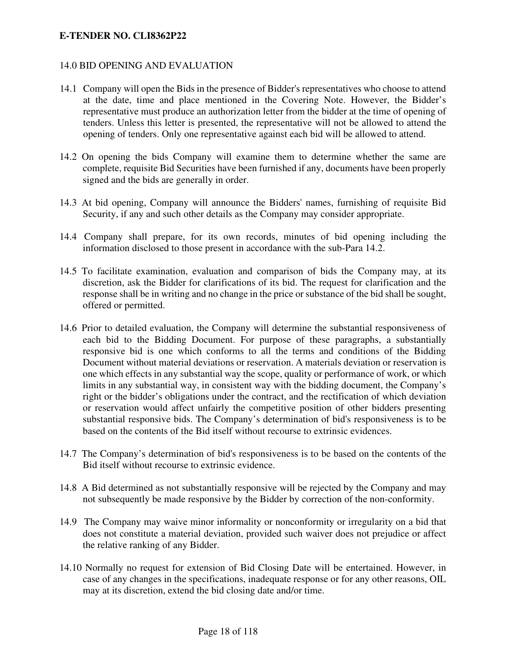### 14.0 BID OPENING AND EVALUATION

- 14.1 Company will open the Bids in the presence of Bidder's representatives who choose to attend at the date, time and place mentioned in the Covering Note. However, the Bidder's representative must produce an authorization letter from the bidder at the time of opening of tenders. Unless this letter is presented, the representative will not be allowed to attend the opening of tenders. Only one representative against each bid will be allowed to attend.
- 14.2 On opening the bids Company will examine them to determine whether the same are complete, requisite Bid Securities have been furnished if any, documents have been properly signed and the bids are generally in order.
- 14.3 At bid opening, Company will announce the Bidders' names, furnishing of requisite Bid Security, if any and such other details as the Company may consider appropriate.
- 14.4 Company shall prepare, for its own records, minutes of bid opening including the information disclosed to those present in accordance with the sub-Para 14.2.
- 14.5 To facilitate examination, evaluation and comparison of bids the Company may, at its discretion, ask the Bidder for clarifications of its bid. The request for clarification and the response shall be in writing and no change in the price or substance of the bid shall be sought, offered or permitted.
- 14.6 Prior to detailed evaluation, the Company will determine the substantial responsiveness of each bid to the Bidding Document. For purpose of these paragraphs, a substantially responsive bid is one which conforms to all the terms and conditions of the Bidding Document without material deviations or reservation. A materials deviation or reservation is one which effects in any substantial way the scope, quality or performance of work, or which limits in any substantial way, in consistent way with the bidding document, the Company's right or the bidder's obligations under the contract, and the rectification of which deviation or reservation would affect unfairly the competitive position of other bidders presenting substantial responsive bids. The Company's determination of bid's responsiveness is to be based on the contents of the Bid itself without recourse to extrinsic evidences.
- 14.7 The Company's determination of bid's responsiveness is to be based on the contents of the Bid itself without recourse to extrinsic evidence.
- 14.8 A Bid determined as not substantially responsive will be rejected by the Company and may not subsequently be made responsive by the Bidder by correction of the non-conformity.
- 14.9 The Company may waive minor informality or nonconformity or irregularity on a bid that does not constitute a material deviation, provided such waiver does not prejudice or affect the relative ranking of any Bidder.
- 14.10 Normally no request for extension of Bid Closing Date will be entertained. However, in case of any changes in the specifications, inadequate response or for any other reasons, OIL may at its discretion, extend the bid closing date and/or time.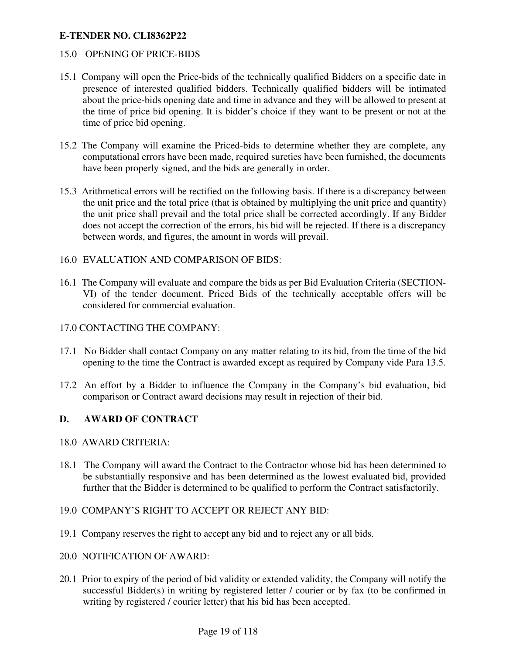#### 15.0 OPENING OF PRICE-BIDS

- 15.1 Company will open the Price-bids of the technically qualified Bidders on a specific date in presence of interested qualified bidders. Technically qualified bidders will be intimated about the price-bids opening date and time in advance and they will be allowed to present at the time of price bid opening. It is bidder's choice if they want to be present or not at the time of price bid opening.
- 15.2 The Company will examine the Priced-bids to determine whether they are complete, any computational errors have been made, required sureties have been furnished, the documents have been properly signed, and the bids are generally in order.
- 15.3 Arithmetical errors will be rectified on the following basis. If there is a discrepancy between the unit price and the total price (that is obtained by multiplying the unit price and quantity) the unit price shall prevail and the total price shall be corrected accordingly. If any Bidder does not accept the correction of the errors, his bid will be rejected. If there is a discrepancy between words, and figures, the amount in words will prevail.
- 16.0 EVALUATION AND COMPARISON OF BIDS:
- 16.1 The Company will evaluate and compare the bids as per Bid Evaluation Criteria (SECTION-VI) of the tender document. Priced Bids of the technically acceptable offers will be considered for commercial evaluation.

#### 17.0 CONTACTING THE COMPANY:

- 17.1 No Bidder shall contact Company on any matter relating to its bid, from the time of the bid opening to the time the Contract is awarded except as required by Company vide Para 13.5.
- 17.2 An effort by a Bidder to influence the Company in the Company's bid evaluation, bid comparison or Contract award decisions may result in rejection of their bid.

#### **D. AWARD OF CONTRACT**

- 18.0 AWARD CRITERIA:
- 18.1 The Company will award the Contract to the Contractor whose bid has been determined to be substantially responsive and has been determined as the lowest evaluated bid, provided further that the Bidder is determined to be qualified to perform the Contract satisfactorily.
- 19.0 COMPANY'S RIGHT TO ACCEPT OR REJECT ANY BID:
- 19.1 Company reserves the right to accept any bid and to reject any or all bids.
- 20.0 NOTIFICATION OF AWARD:
- 20.1 Prior to expiry of the period of bid validity or extended validity, the Company will notify the successful Bidder(s) in writing by registered letter / courier or by fax (to be confirmed in writing by registered / courier letter) that his bid has been accepted.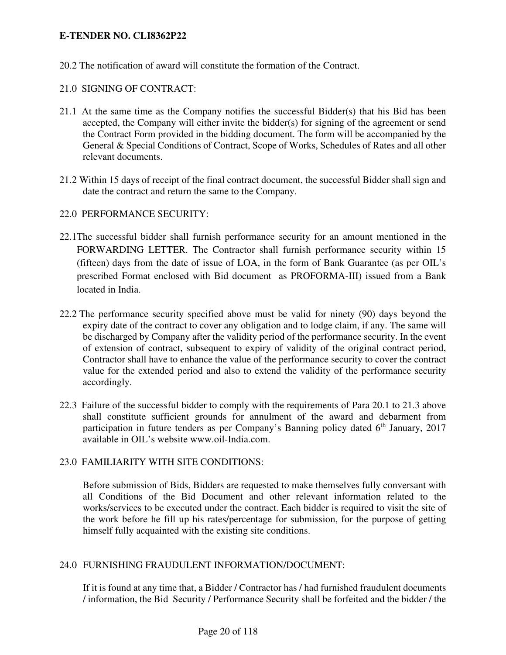20.2 The notification of award will constitute the formation of the Contract.

## 21.0 SIGNING OF CONTRACT:

- 21.1 At the same time as the Company notifies the successful Bidder(s) that his Bid has been accepted, the Company will either invite the bidder(s) for signing of the agreement or send the Contract Form provided in the bidding document. The form will be accompanied by the General & Special Conditions of Contract, Scope of Works, Schedules of Rates and all other relevant documents.
- 21.2 Within 15 days of receipt of the final contract document, the successful Bidder shall sign and date the contract and return the same to the Company.
- 22.0 PERFORMANCE SECURITY:
- 22.1The successful bidder shall furnish performance security for an amount mentioned in the FORWARDING LETTER. The Contractor shall furnish performance security within 15 (fifteen) days from the date of issue of LOA, in the form of Bank Guarantee (as per OIL's prescribed Format enclosed with Bid document as PROFORMA-III) issued from a Bank located in India.
- 22.2 The performance security specified above must be valid for ninety (90) days beyond the expiry date of the contract to cover any obligation and to lodge claim, if any. The same will be discharged by Company after the validity period of the performance security. In the event of extension of contract, subsequent to expiry of validity of the original contract period, Contractor shall have to enhance the value of the performance security to cover the contract value for the extended period and also to extend the validity of the performance security accordingly.
- 22.3 Failure of the successful bidder to comply with the requirements of Para 20.1 to 21.3 above shall constitute sufficient grounds for annulment of the award and debarment from participation in future tenders as per Company's Banning policy dated  $6<sup>th</sup>$  January, 2017 available in OIL's website www.oil-India.com.

### 23.0 FAMILIARITY WITH SITE CONDITIONS:

Before submission of Bids, Bidders are requested to make themselves fully conversant with all Conditions of the Bid Document and other relevant information related to the works/services to be executed under the contract. Each bidder is required to visit the site of the work before he fill up his rates/percentage for submission, for the purpose of getting himself fully acquainted with the existing site conditions.

### 24.0 FURNISHING FRAUDULENT INFORMATION/DOCUMENT:

If it is found at any time that, a Bidder / Contractor has / had furnished fraudulent documents / information, the Bid Security / Performance Security shall be forfeited and the bidder / the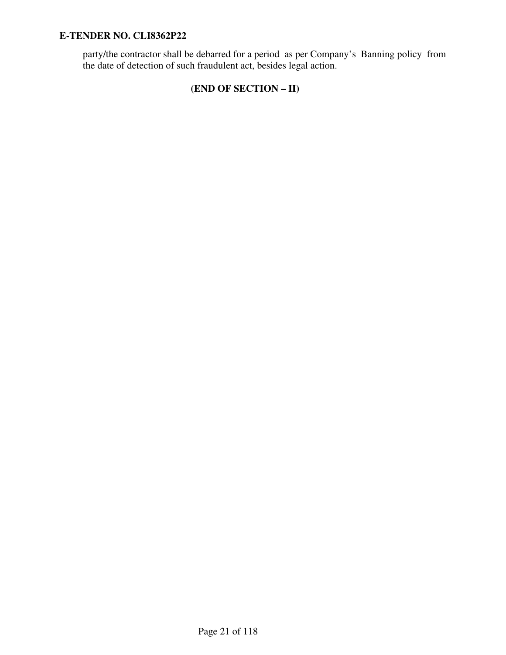party/the contractor shall be debarred for a period as per Company's Banning policy from the date of detection of such fraudulent act, besides legal action.

# **(END OF SECTION – II)**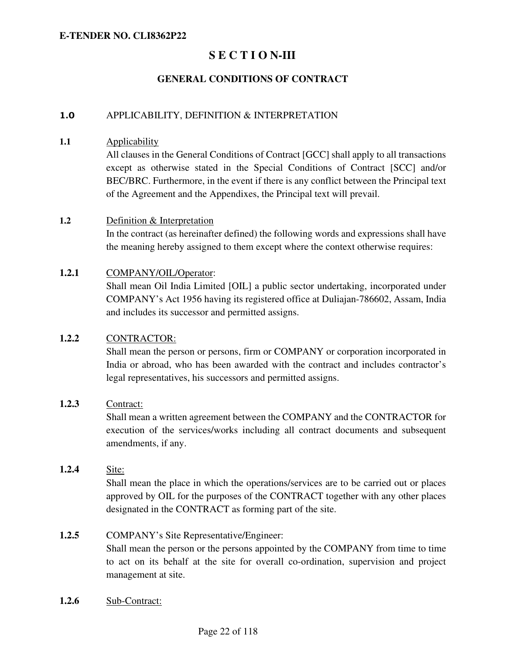# **S E C T I O N-III**

# **GENERAL CONDITIONS OF CONTRACT**

#### 1.0 APPLICABILITY, DEFINITION & INTERPRETATION

#### **1.1** Applicability

All clauses in the General Conditions of Contract [GCC] shall apply to all transactions except as otherwise stated in the Special Conditions of Contract [SCC] and/or BEC/BRC. Furthermore, in the event if there is any conflict between the Principal text of the Agreement and the Appendixes, the Principal text will prevail.

#### **1.2** Definition & Interpretation

In the contract (as hereinafter defined) the following words and expressions shall have the meaning hereby assigned to them except where the context otherwise requires:

#### **1.2.1** COMPANY/OIL/Operator:

Shall mean Oil India Limited [OIL] a public sector undertaking, incorporated under COMPANY's Act 1956 having its registered office at Duliajan-786602, Assam, India and includes its successor and permitted assigns.

### **1.2.2** CONTRACTOR:

Shall mean the person or persons, firm or COMPANY or corporation incorporated in India or abroad, who has been awarded with the contract and includes contractor's legal representatives, his successors and permitted assigns.

#### **1.2.3** Contract:

Shall mean a written agreement between the COMPANY and the CONTRACTOR for execution of the services/works including all contract documents and subsequent amendments, if any.

# **1.2.4** Site:

Shall mean the place in which the operations/services are to be carried out or places approved by OIL for the purposes of the CONTRACT together with any other places designated in the CONTRACT as forming part of the site.

#### **1.2.5** COMPANY's Site Representative/Engineer:

Shall mean the person or the persons appointed by the COMPANY from time to time to act on its behalf at the site for overall co-ordination, supervision and project management at site.

**1.2.6** Sub-Contract: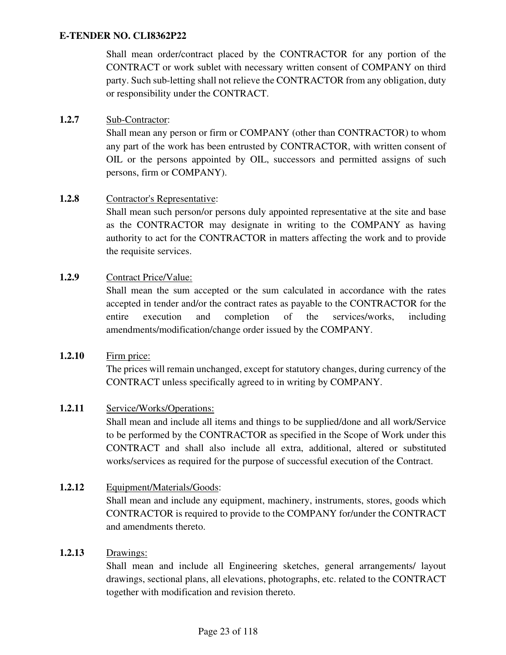Shall mean order/contract placed by the CONTRACTOR for any portion of the CONTRACT or work sublet with necessary written consent of COMPANY on third party. Such sub-letting shall not relieve the CONTRACTOR from any obligation, duty or responsibility under the CONTRACT.

### **1.2.7** Sub-Contractor:

Shall mean any person or firm or COMPANY (other than CONTRACTOR) to whom any part of the work has been entrusted by CONTRACTOR, with written consent of OIL or the persons appointed by OIL, successors and permitted assigns of such persons, firm or COMPANY).

### **1.2.8** Contractor's Representative:

Shall mean such person/or persons duly appointed representative at the site and base as the CONTRACTOR may designate in writing to the COMPANY as having authority to act for the CONTRACTOR in matters affecting the work and to provide the requisite services.

### **1.2.9** Contract Price/Value:

Shall mean the sum accepted or the sum calculated in accordance with the rates accepted in tender and/or the contract rates as payable to the CONTRACTOR for the entire execution and completion of the services/works, including amendments/modification/change order issued by the COMPANY.

### **1.2.10** Firm price:

The prices will remain unchanged, except for statutory changes, during currency of the CONTRACT unless specifically agreed to in writing by COMPANY.

### **1.2.11** Service/Works/Operations:

Shall mean and include all items and things to be supplied/done and all work/Service to be performed by the CONTRACTOR as specified in the Scope of Work under this CONTRACT and shall also include all extra, additional, altered or substituted works/services as required for the purpose of successful execution of the Contract.

### **1.2.12** Equipment/Materials/Goods:

Shall mean and include any equipment, machinery, instruments, stores, goods which CONTRACTOR is required to provide to the COMPANY for/under the CONTRACT and amendments thereto.

### **1.2.13** Drawings:

Shall mean and include all Engineering sketches, general arrangements/ layout drawings, sectional plans, all elevations, photographs, etc. related to the CONTRACT together with modification and revision thereto.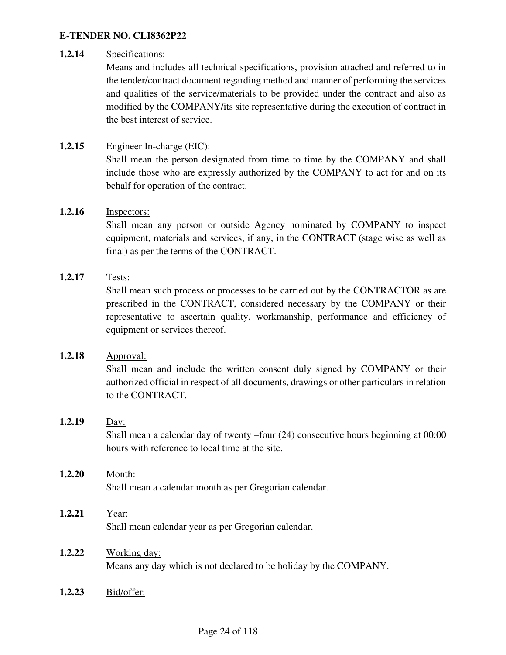#### **1.2.14** Specifications:

Means and includes all technical specifications, provision attached and referred to in the tender/contract document regarding method and manner of performing the services and qualities of the service/materials to be provided under the contract and also as modified by the COMPANY/its site representative during the execution of contract in the best interest of service.

### **1.2.15** Engineer In-charge (EIC):

Shall mean the person designated from time to time by the COMPANY and shall include those who are expressly authorized by the COMPANY to act for and on its behalf for operation of the contract.

#### **1.2.16** Inspectors:

Shall mean any person or outside Agency nominated by COMPANY to inspect equipment, materials and services, if any, in the CONTRACT (stage wise as well as final) as per the terms of the CONTRACT.

### **1.2.17** Tests:

Shall mean such process or processes to be carried out by the CONTRACTOR as are prescribed in the CONTRACT, considered necessary by the COMPANY or their representative to ascertain quality, workmanship, performance and efficiency of equipment or services thereof.

### **1.2.18** Approval:

Shall mean and include the written consent duly signed by COMPANY or their authorized official in respect of all documents, drawings or other particulars in relation to the CONTRACT.

#### **1.2.19** Day:

Shall mean a calendar day of twenty –four (24) consecutive hours beginning at 00:00 hours with reference to local time at the site.

### **1.2.20** Month:

Shall mean a calendar month as per Gregorian calendar.

#### **1.2.21** Year:

Shall mean calendar year as per Gregorian calendar.

#### **1.2.22** Working day:

Means any day which is not declared to be holiday by the COMPANY.

**1.2.23** Bid/offer: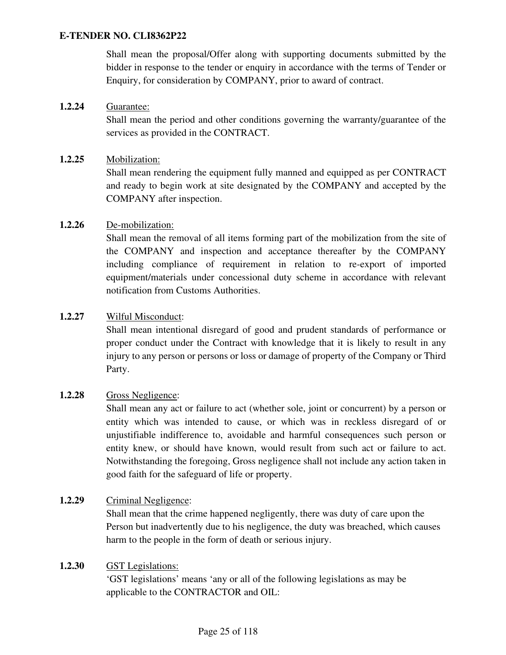Shall mean the proposal/Offer along with supporting documents submitted by the bidder in response to the tender or enquiry in accordance with the terms of Tender or Enquiry, for consideration by COMPANY, prior to award of contract.

### **1.2.24** Guarantee:

Shall mean the period and other conditions governing the warranty/guarantee of the services as provided in the CONTRACT.

#### **1.2.25** Mobilization:

Shall mean rendering the equipment fully manned and equipped as per CONTRACT and ready to begin work at site designated by the COMPANY and accepted by the COMPANY after inspection.

### **1.2.26** De-mobilization:

Shall mean the removal of all items forming part of the mobilization from the site of the COMPANY and inspection and acceptance thereafter by the COMPANY including compliance of requirement in relation to re-export of imported equipment/materials under concessional duty scheme in accordance with relevant notification from Customs Authorities.

### **1.2.27** Wilful Misconduct:

Shall mean intentional disregard of good and prudent standards of performance or proper conduct under the Contract with knowledge that it is likely to result in any injury to any person or persons or loss or damage of property of the Company or Third Party.

#### **1.2.28** Gross Negligence:

Shall mean any act or failure to act (whether sole, joint or concurrent) by a person or entity which was intended to cause, or which was in reckless disregard of or unjustifiable indifference to, avoidable and harmful consequences such person or entity knew, or should have known, would result from such act or failure to act. Notwithstanding the foregoing, Gross negligence shall not include any action taken in good faith for the safeguard of life or property.

### **1.2.29** Criminal Negligence:

Shall mean that the crime happened negligently, there was duty of care upon the Person but inadvertently due to his negligence, the duty was breached, which causes harm to the people in the form of death or serious injury.

#### **1.2.30** GST Legislations:

'GST legislations' means 'any or all of the following legislations as may be applicable to the CONTRACTOR and OIL: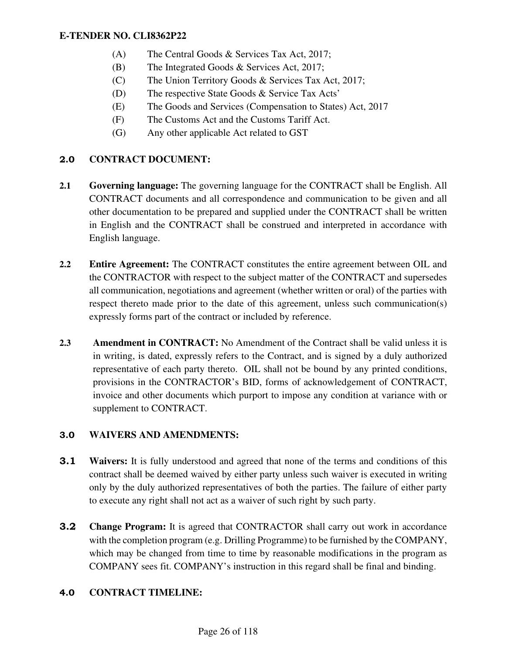- (A) The Central Goods & Services Tax Act, 2017;
- (B) The Integrated Goods & Services Act, 2017;
- (C) The Union Territory Goods & Services Tax Act, 2017;
- (D) The respective State Goods & Service Tax Acts'
- (E) The Goods and Services (Compensation to States) Act, 2017
- (F) The Customs Act and the Customs Tariff Act.
- (G) Any other applicable Act related to GST

## 2.0 **CONTRACT DOCUMENT:**

- **2.1 Governing language:** The governing language for the CONTRACT shall be English. All CONTRACT documents and all correspondence and communication to be given and all other documentation to be prepared and supplied under the CONTRACT shall be written in English and the CONTRACT shall be construed and interpreted in accordance with English language.
- **2.2 Entire Agreement:** The CONTRACT constitutes the entire agreement between OIL and the CONTRACTOR with respect to the subject matter of the CONTRACT and supersedes all communication, negotiations and agreement (whether written or oral) of the parties with respect thereto made prior to the date of this agreement, unless such communication(s) expressly forms part of the contract or included by reference.
- **2.3 Amendment in CONTRACT:** No Amendment of the Contract shall be valid unless it is in writing, is dated, expressly refers to the Contract, and is signed by a duly authorized representative of each party thereto. OIL shall not be bound by any printed conditions, provisions in the CONTRACTOR's BID, forms of acknowledgement of CONTRACT, invoice and other documents which purport to impose any condition at variance with or supplement to CONTRACT.

### 3.0 **WAIVERS AND AMENDMENTS:**

- **3.1 Waivers:** It is fully understood and agreed that none of the terms and conditions of this contract shall be deemed waived by either party unless such waiver is executed in writing only by the duly authorized representatives of both the parties. The failure of either party to execute any right shall not act as a waiver of such right by such party.
- **3.2 Change Program:** It is agreed that CONTRACTOR shall carry out work in accordance with the completion program (e.g. Drilling Programme) to be furnished by the COMPANY, which may be changed from time to time by reasonable modifications in the program as COMPANY sees fit. COMPANY's instruction in this regard shall be final and binding.

### 4.0 **CONTRACT TIMELINE:**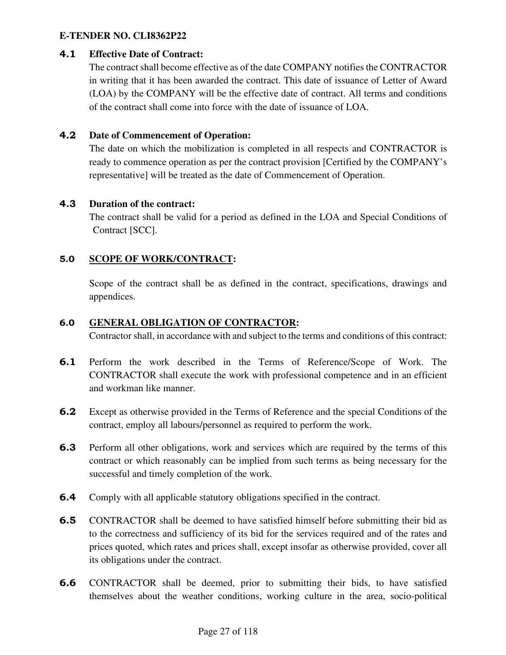### 4.1 **Effective Date of Contract:**

The contract shall become effective as of the date COMPANY notifies the CONTRACTOR in writing that it has been awarded the contract. This date of issuance of Letter of Award (LOA) by the COMPANY will be the effective date of contract. All terms and conditions of the contract shall come into force with the date of issuance of LOA.

### 4.2 **Date of Commencement of Operation:**

The date on which the mobilization is completed in all respects and CONTRACTOR is ready to commence operation as per the contract provision [Certified by the COMPANY's representative] will be treated as the date of Commencement of Operation.

### 4.3 **Duration of the contract:**

The contract shall be valid for a period as defined in the LOA and Special Conditions of Contract [SCC].

# 5.0 **SCOPE OF WORK/CONTRACT:**

Scope of the contract shall be as defined in the contract, specifications, drawings and appendices.

### 6.0 **GENERAL OBLIGATION OF CONTRACTOR:**

Contractor shall, in accordance with and subject to the terms and conditions of this contract:

- 6.1 Perform the work described in the Terms of Reference/Scope of Work. The CONTRACTOR shall execute the work with professional competence and in an efficient and workman like manner.
- 6.2 Except as otherwise provided in the Terms of Reference and the special Conditions of the contract, employ all labours/personnel as required to perform the work.
- 6.3 Perform all other obligations, work and services which are required by the terms of this contract or which reasonably can be implied from such terms as being necessary for the successful and timely completion of the work.
- 6.4 Comply with all applicable statutory obligations specified in the contract.
- **6.5** CONTRACTOR shall be deemed to have satisfied himself before submitting their bid as to the correctness and sufficiency of its bid for the services required and of the rates and prices quoted, which rates and prices shall, except insofar as otherwise provided, cover all its obligations under the contract.
- 6.6 CONTRACTOR shall be deemed, prior to submitting their bids, to have satisfied themselves about the weather conditions, working culture in the area, socio-political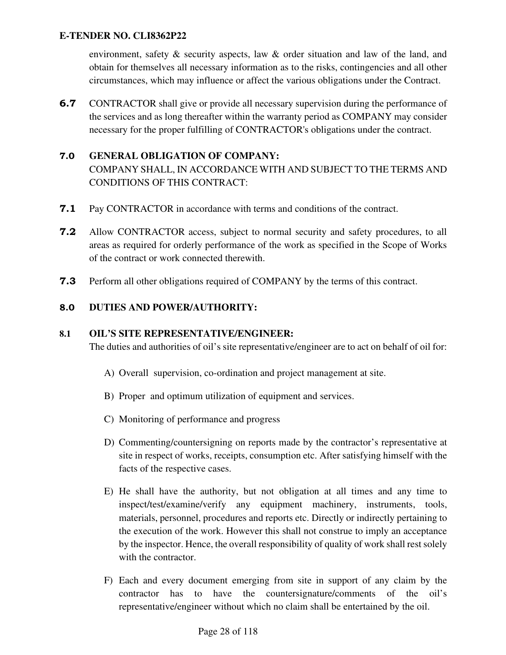environment, safety & security aspects, law & order situation and law of the land, and obtain for themselves all necessary information as to the risks, contingencies and all other circumstances, which may influence or affect the various obligations under the Contract.

**6.7** CONTRACTOR shall give or provide all necessary supervision during the performance of the services and as long thereafter within the warranty period as COMPANY may consider necessary for the proper fulfilling of CONTRACTOR's obligations under the contract.

### 7.0 **GENERAL OBLIGATION OF COMPANY:**

COMPANY SHALL, IN ACCORDANCE WITH AND SUBJECT TO THE TERMS AND CONDITIONS OF THIS CONTRACT:

- **7.1** Pay CONTRACTOR in accordance with terms and conditions of the contract.
- 7.2 Allow CONTRACTOR access, subject to normal security and safety procedures, to all areas as required for orderly performance of the work as specified in the Scope of Works of the contract or work connected therewith.
- 7.3 Perform all other obligations required of COMPANY by the terms of this contract.

### 8.0 **DUTIES AND POWER/AUTHORITY:**

#### **8.1 OIL'S SITE REPRESENTATIVE/ENGINEER:**

The duties and authorities of oil's site representative/engineer are to act on behalf of oil for:

- A) Overall supervision, co-ordination and project management at site.
- B) Proper and optimum utilization of equipment and services.
- C) Monitoring of performance and progress
- D) Commenting/countersigning on reports made by the contractor's representative at site in respect of works, receipts, consumption etc. After satisfying himself with the facts of the respective cases.
- E) He shall have the authority, but not obligation at all times and any time to inspect/test/examine/verify any equipment machinery, instruments, tools, materials, personnel, procedures and reports etc. Directly or indirectly pertaining to the execution of the work. However this shall not construe to imply an acceptance by the inspector. Hence, the overall responsibility of quality of work shall rest solely with the contractor.
- F) Each and every document emerging from site in support of any claim by the contractor has to have the countersignature/comments of the oil's representative/engineer without which no claim shall be entertained by the oil.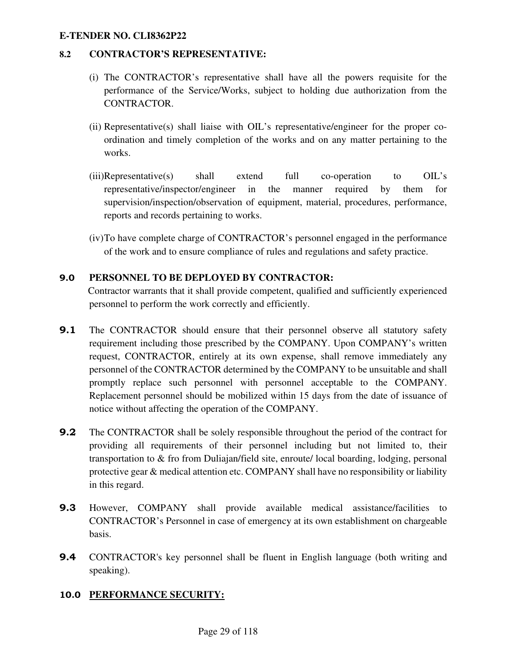### **8.2 CONTRACTOR'S REPRESENTATIVE:**

- (i) The CONTRACTOR's representative shall have all the powers requisite for the performance of the Service/Works, subject to holding due authorization from the CONTRACTOR.
- (ii) Representative(s) shall liaise with OIL's representative/engineer for the proper coordination and timely completion of the works and on any matter pertaining to the works.
- (iii)Representative(s) shall extend full co-operation to OIL's representative/inspector/engineer in the manner required by them for supervision/inspection/observation of equipment, material, procedures, performance, reports and records pertaining to works.
- (iv)To have complete charge of CONTRACTOR's personnel engaged in the performance of the work and to ensure compliance of rules and regulations and safety practice.

### 9.0 **PERSONNEL TO BE DEPLOYED BY CONTRACTOR:**

 Contractor warrants that it shall provide competent, qualified and sufficiently experienced personnel to perform the work correctly and efficiently.

- **9.1** The CONTRACTOR should ensure that their personnel observe all statutory safety requirement including those prescribed by the COMPANY. Upon COMPANY's written request, CONTRACTOR, entirely at its own expense, shall remove immediately any personnel of the CONTRACTOR determined by the COMPANY to be unsuitable and shall promptly replace such personnel with personnel acceptable to the COMPANY. Replacement personnel should be mobilized within 15 days from the date of issuance of notice without affecting the operation of the COMPANY.
- **9.2** The CONTRACTOR shall be solely responsible throughout the period of the contract for providing all requirements of their personnel including but not limited to, their transportation to & fro from Duliajan/field site, enroute/ local boarding, lodging, personal protective gear & medical attention etc. COMPANY shall have no responsibility or liability in this regard.
- 9.3 However, COMPANY shall provide available medical assistance/facilities to CONTRACTOR's Personnel in case of emergency at its own establishment on chargeable basis.
- 9.4 CONTRACTOR's key personnel shall be fluent in English language (both writing and speaking).

### 10.0 **PERFORMANCE SECURITY:**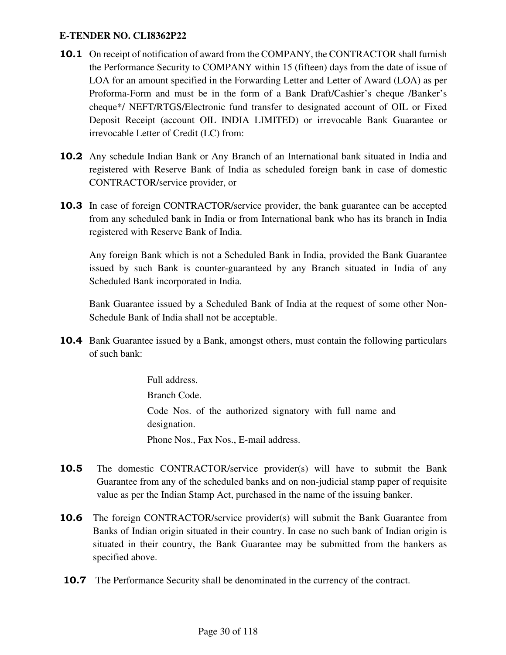- 10.1 On receipt of notification of award from the COMPANY, the CONTRACTOR shall furnish the Performance Security to COMPANY within 15 (fifteen) days from the date of issue of LOA for an amount specified in the Forwarding Letter and Letter of Award (LOA) as per Proforma-Form and must be in the form of a Bank Draft/Cashier's cheque /Banker's cheque\*/ NEFT/RTGS/Electronic fund transfer to designated account of OIL or Fixed Deposit Receipt (account OIL INDIA LIMITED) or irrevocable Bank Guarantee or irrevocable Letter of Credit (LC) from:
- 10.2 Any schedule Indian Bank or Any Branch of an International bank situated in India and registered with Reserve Bank of India as scheduled foreign bank in case of domestic CONTRACTOR/service provider, or
- **10.3** In case of foreign CONTRACTOR/service provider, the bank guarantee can be accepted from any scheduled bank in India or from International bank who has its branch in India registered with Reserve Bank of India.

 Any foreign Bank which is not a Scheduled Bank in India, provided the Bank Guarantee issued by such Bank is counter-guaranteed by any Branch situated in India of any Scheduled Bank incorporated in India.

 Bank Guarantee issued by a Scheduled Bank of India at the request of some other Non-Schedule Bank of India shall not be acceptable.

**10.4** Bank Guarantee issued by a Bank, amongst others, must contain the following particulars of such bank:

> Full address. Branch Code. Code Nos. of the authorized signatory with full name and designation. Phone Nos., Fax Nos., E-mail address.

- 10.5 The domestic CONTRACTOR/service provider(s) will have to submit the Bank Guarantee from any of the scheduled banks and on non-judicial stamp paper of requisite value as per the Indian Stamp Act, purchased in the name of the issuing banker.
- **10.6** The foreign CONTRACTOR/service provider(s) will submit the Bank Guarantee from Banks of Indian origin situated in their country. In case no such bank of Indian origin is situated in their country, the Bank Guarantee may be submitted from the bankers as specified above.
- **10.7** The Performance Security shall be denominated in the currency of the contract.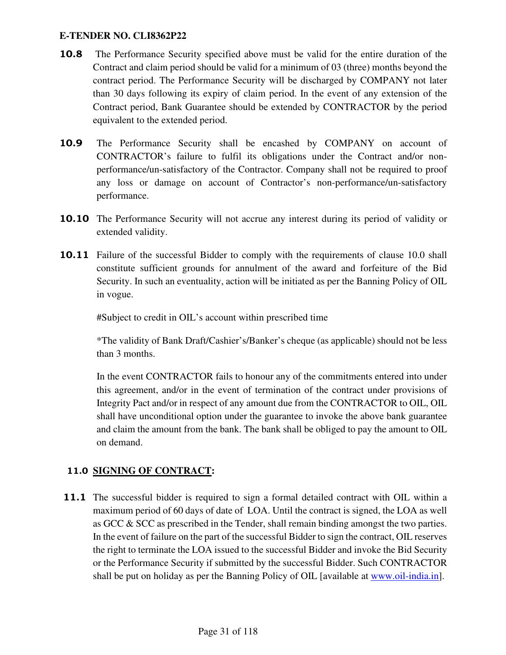- 10.8 The Performance Security specified above must be valid for the entire duration of the Contract and claim period should be valid for a minimum of 03 (three) months beyond the contract period. The Performance Security will be discharged by COMPANY not later than 30 days following its expiry of claim period. In the event of any extension of the Contract period, Bank Guarantee should be extended by CONTRACTOR by the period equivalent to the extended period.
- 10.9 The Performance Security shall be encashed by COMPANY on account of CONTRACTOR's failure to fulfil its obligations under the Contract and/or nonperformance/un-satisfactory of the Contractor. Company shall not be required to proof any loss or damage on account of Contractor's non-performance/un-satisfactory performance.
- **10.10** The Performance Security will not accrue any interest during its period of validity or extended validity.
- **10.11** Failure of the successful Bidder to comply with the requirements of clause 10.0 shall constitute sufficient grounds for annulment of the award and forfeiture of the Bid Security. In such an eventuality, action will be initiated as per the Banning Policy of OIL in vogue.

#Subject to credit in OIL's account within prescribed time

\*The validity of Bank Draft/Cashier's/Banker's cheque (as applicable) should not be less than 3 months.

In the event CONTRACTOR fails to honour any of the commitments entered into under this agreement, and/or in the event of termination of the contract under provisions of Integrity Pact and/or in respect of any amount due from the CONTRACTOR to OIL, OIL shall have unconditional option under the guarantee to invoke the above bank guarantee and claim the amount from the bank. The bank shall be obliged to pay the amount to OIL on demand.

# 11.0 **SIGNING OF CONTRACT:**

**11.1** The successful bidder is required to sign a formal detailed contract with OIL within a maximum period of 60 days of date of LOA. Until the contract is signed, the LOA as well as GCC & SCC as prescribed in the Tender, shall remain binding amongst the two parties. In the event of failure on the part of the successful Bidder to sign the contract, OIL reserves the right to terminate the LOA issued to the successful Bidder and invoke the Bid Security or the Performance Security if submitted by the successful Bidder. Such CONTRACTOR shall be put on holiday as per the Banning Policy of OIL [available at www.oil-india.in].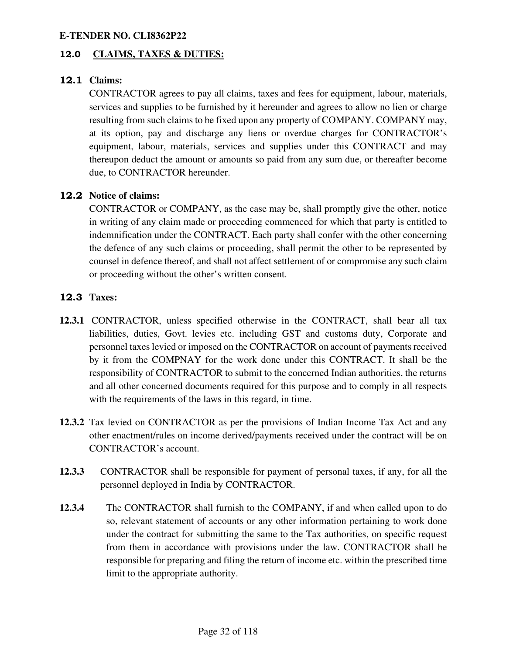### 12.0 **CLAIMS, TAXES & DUTIES:**

### 12.1 **Claims:**

CONTRACTOR agrees to pay all claims, taxes and fees for equipment, labour, materials, services and supplies to be furnished by it hereunder and agrees to allow no lien or charge resulting from such claims to be fixed upon any property of COMPANY. COMPANY may, at its option, pay and discharge any liens or overdue charges for CONTRACTOR's equipment, labour, materials, services and supplies under this CONTRACT and may thereupon deduct the amount or amounts so paid from any sum due, or thereafter become due, to CONTRACTOR hereunder.

### 12.2 **Notice of claims:**

CONTRACTOR or COMPANY, as the case may be, shall promptly give the other, notice in writing of any claim made or proceeding commenced for which that party is entitled to indemnification under the CONTRACT. Each party shall confer with the other concerning the defence of any such claims or proceeding, shall permit the other to be represented by counsel in defence thereof, and shall not affect settlement of or compromise any such claim or proceeding without the other's written consent.

#### 12.3 **Taxes:**

- **12.3.1** CONTRACTOR, unless specified otherwise in the CONTRACT, shall bear all tax liabilities, duties, Govt. levies etc. including GST and customs duty, Corporate and personnel taxes levied or imposed on the CONTRACTOR on account of payments received by it from the COMPNAY for the work done under this CONTRACT. It shall be the responsibility of CONTRACTOR to submit to the concerned Indian authorities, the returns and all other concerned documents required for this purpose and to comply in all respects with the requirements of the laws in this regard, in time.
- **12.3.2** Tax levied on CONTRACTOR as per the provisions of Indian Income Tax Act and any other enactment/rules on income derived/payments received under the contract will be on CONTRACTOR's account.
- **12.3.3** CONTRACTOR shall be responsible for payment of personal taxes, if any, for all the personnel deployed in India by CONTRACTOR.
- **12.3.4** The CONTRACTOR shall furnish to the COMPANY, if and when called upon to do so, relevant statement of accounts or any other information pertaining to work done under the contract for submitting the same to the Tax authorities, on specific request from them in accordance with provisions under the law. CONTRACTOR shall be responsible for preparing and filing the return of income etc. within the prescribed time limit to the appropriate authority.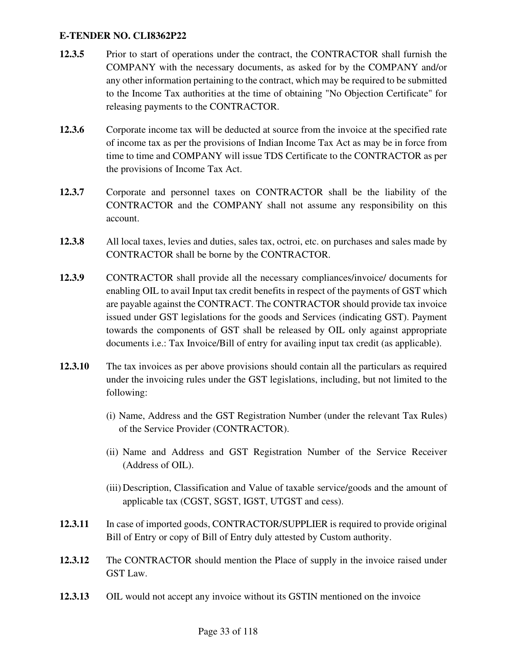- **12.3.5** Prior to start of operations under the contract, the CONTRACTOR shall furnish the COMPANY with the necessary documents, as asked for by the COMPANY and/or any other information pertaining to the contract, which may be required to be submitted to the Income Tax authorities at the time of obtaining "No Objection Certificate" for releasing payments to the CONTRACTOR.
- **12.3.6** Corporate income tax will be deducted at source from the invoice at the specified rate of income tax as per the provisions of Indian Income Tax Act as may be in force from time to time and COMPANY will issue TDS Certificate to the CONTRACTOR as per the provisions of Income Tax Act.
- **12.3.7** Corporate and personnel taxes on CONTRACTOR shall be the liability of the CONTRACTOR and the COMPANY shall not assume any responsibility on this account.
- **12.3.8** All local taxes, levies and duties, sales tax, octroi, etc. on purchases and sales made by CONTRACTOR shall be borne by the CONTRACTOR.
- **12.3.9** CONTRACTOR shall provide all the necessary compliances/invoice/ documents for enabling OIL to avail Input tax credit benefits in respect of the payments of GST which are payable against the CONTRACT. The CONTRACTOR should provide tax invoice issued under GST legislations for the goods and Services (indicating GST). Payment towards the components of GST shall be released by OIL only against appropriate documents i.e.: Tax Invoice/Bill of entry for availing input tax credit (as applicable).
- **12.3.10** The tax invoices as per above provisions should contain all the particulars as required under the invoicing rules under the GST legislations, including, but not limited to the following:
	- (i) Name, Address and the GST Registration Number (under the relevant Tax Rules) of the Service Provider (CONTRACTOR).
	- (ii) Name and Address and GST Registration Number of the Service Receiver (Address of OIL).
	- (iii) Description, Classification and Value of taxable service/goods and the amount of applicable tax (CGST, SGST, IGST, UTGST and cess).
- 12.3.11 In case of imported goods, CONTRACTOR/SUPPLIER is required to provide original Bill of Entry or copy of Bill of Entry duly attested by Custom authority.
- **12.3.12** The CONTRACTOR should mention the Place of supply in the invoice raised under GST Law.
- **12.3.13** OIL would not accept any invoice without its GSTIN mentioned on the invoice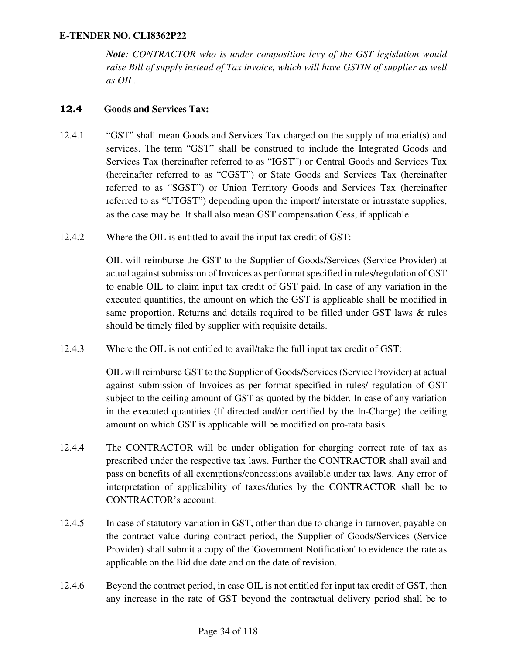*Note: CONTRACTOR who is under composition levy of the GST legislation would raise Bill of supply instead of Tax invoice, which will have GSTIN of supplier as well as OIL.* 

### 12.4 **Goods and Services Tax:**

- 12.4.1 "GST" shall mean Goods and Services Tax charged on the supply of material(s) and services. The term "GST" shall be construed to include the Integrated Goods and Services Tax (hereinafter referred to as "IGST") or Central Goods and Services Tax (hereinafter referred to as "CGST") or State Goods and Services Tax (hereinafter referred to as "SGST") or Union Territory Goods and Services Tax (hereinafter referred to as "UTGST") depending upon the import/ interstate or intrastate supplies, as the case may be. It shall also mean GST compensation Cess, if applicable.
- 12.4.2 Where the OIL is entitled to avail the input tax credit of GST:

OIL will reimburse the GST to the Supplier of Goods/Services (Service Provider) at actual against submission of Invoices as per format specified in rules/regulation of GST to enable OIL to claim input tax credit of GST paid. In case of any variation in the executed quantities, the amount on which the GST is applicable shall be modified in same proportion. Returns and details required to be filled under GST laws & rules should be timely filed by supplier with requisite details.

12.4.3 Where the OIL is not entitled to avail/take the full input tax credit of GST:

OIL will reimburse GST to the Supplier of Goods/Services (Service Provider) at actual against submission of Invoices as per format specified in rules/ regulation of GST subject to the ceiling amount of GST as quoted by the bidder. In case of any variation in the executed quantities (If directed and/or certified by the In-Charge) the ceiling amount on which GST is applicable will be modified on pro-rata basis.

- 12.4.4 The CONTRACTOR will be under obligation for charging correct rate of tax as prescribed under the respective tax laws. Further the CONTRACTOR shall avail and pass on benefits of all exemptions/concessions available under tax laws. Any error of interpretation of applicability of taxes/duties by the CONTRACTOR shall be to CONTRACTOR's account.
- 12.4.5 In case of statutory variation in GST, other than due to change in turnover, payable on the contract value during contract period, the Supplier of Goods/Services (Service Provider) shall submit a copy of the 'Government Notification' to evidence the rate as applicable on the Bid due date and on the date of revision.
- 12.4.6 Beyond the contract period, in case OIL is not entitled for input tax credit of GST, then any increase in the rate of GST beyond the contractual delivery period shall be to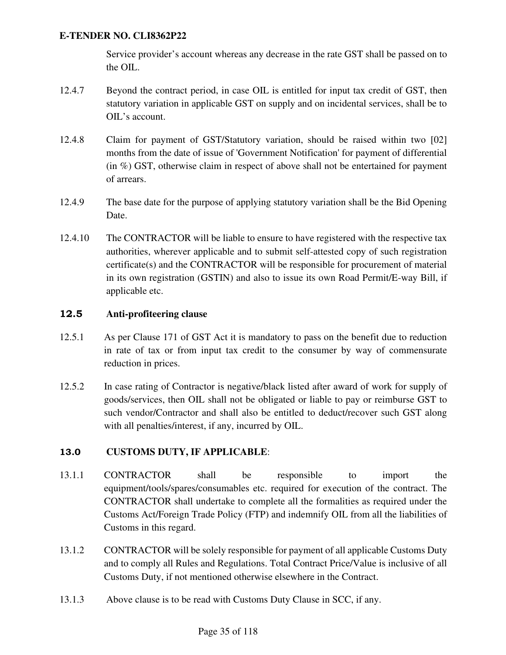Service provider's account whereas any decrease in the rate GST shall be passed on to the OIL.

- 12.4.7 Beyond the contract period, in case OIL is entitled for input tax credit of GST, then statutory variation in applicable GST on supply and on incidental services, shall be to OIL's account.
- 12.4.8 Claim for payment of GST/Statutory variation, should be raised within two [02] months from the date of issue of 'Government Notification' for payment of differential (in %) GST, otherwise claim in respect of above shall not be entertained for payment of arrears.
- 12.4.9 The base date for the purpose of applying statutory variation shall be the Bid Opening Date.
- 12.4.10 The CONTRACTOR will be liable to ensure to have registered with the respective tax authorities, wherever applicable and to submit self-attested copy of such registration certificate(s) and the CONTRACTOR will be responsible for procurement of material in its own registration (GSTIN) and also to issue its own Road Permit/E-way Bill, if applicable etc.

### 12.5 **Anti-profiteering clause**

- 12.5.1 As per Clause 171 of GST Act it is mandatory to pass on the benefit due to reduction in rate of tax or from input tax credit to the consumer by way of commensurate reduction in prices.
- 12.5.2 In case rating of Contractor is negative/black listed after award of work for supply of goods/services, then OIL shall not be obligated or liable to pay or reimburse GST to such vendor/Contractor and shall also be entitled to deduct/recover such GST along with all penalties/interest, if any, incurred by OIL.

### 13.0 **CUSTOMS DUTY, IF APPLICABLE**:

- 13.1.1 CONTRACTOR shall be responsible to import the equipment/tools/spares/consumables etc. required for execution of the contract. The CONTRACTOR shall undertake to complete all the formalities as required under the Customs Act/Foreign Trade Policy (FTP) and indemnify OIL from all the liabilities of Customs in this regard.
- 13.1.2 CONTRACTOR will be solely responsible for payment of all applicable Customs Duty and to comply all Rules and Regulations. Total Contract Price/Value is inclusive of all Customs Duty, if not mentioned otherwise elsewhere in the Contract.
- 13.1.3 Above clause is to be read with Customs Duty Clause in SCC, if any.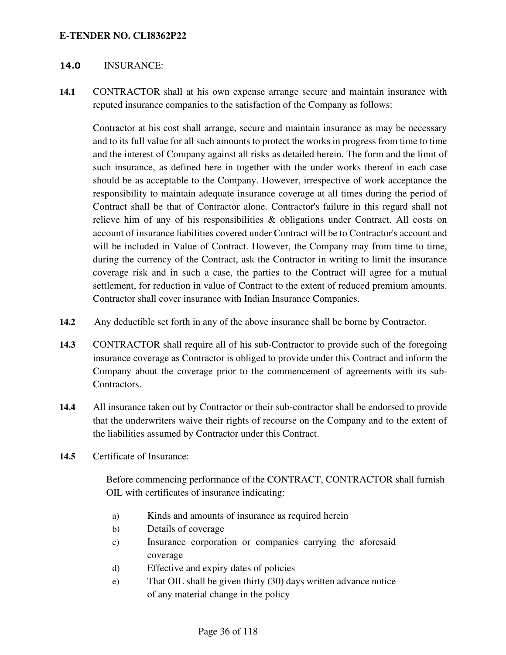#### 14.0 INSURANCE:

**14.1** CONTRACTOR shall at his own expense arrange secure and maintain insurance with reputed insurance companies to the satisfaction of the Company as follows:

Contractor at his cost shall arrange, secure and maintain insurance as may be necessary and to its full value for all such amounts to protect the works in progress from time to time and the interest of Company against all risks as detailed herein. The form and the limit of such insurance, as defined here in together with the under works thereof in each case should be as acceptable to the Company. However, irrespective of work acceptance the responsibility to maintain adequate insurance coverage at all times during the period of Contract shall be that of Contractor alone. Contractor's failure in this regard shall not relieve him of any of his responsibilities & obligations under Contract. All costs on account of insurance liabilities covered under Contract will be to Contractor's account and will be included in Value of Contract. However, the Company may from time to time, during the currency of the Contract, ask the Contractor in writing to limit the insurance coverage risk and in such a case, the parties to the Contract will agree for a mutual settlement, for reduction in value of Contract to the extent of reduced premium amounts. Contractor shall cover insurance with Indian Insurance Companies.

- **14.2** Any deductible set forth in any of the above insurance shall be borne by Contractor.
- **14.3** CONTRACTOR shall require all of his sub-Contractor to provide such of the foregoing insurance coverage as Contractor is obliged to provide under this Contract and inform the Company about the coverage prior to the commencement of agreements with its sub-Contractors.
- **14.4** All insurance taken out by Contractor or their sub-contractor shall be endorsed to provide that the underwriters waive their rights of recourse on the Company and to the extent of the liabilities assumed by Contractor under this Contract.
- **14.5** Certificate of Insurance:

Before commencing performance of the CONTRACT, CONTRACTOR shall furnish OIL with certificates of insurance indicating:

- a) Kinds and amounts of insurance as required herein
- b) Details of coverage
- c) Insurance corporation or companies carrying the aforesaid coverage
- d) Effective and expiry dates of policies
- e) That OIL shall be given thirty (30) days written advance notice of any material change in the policy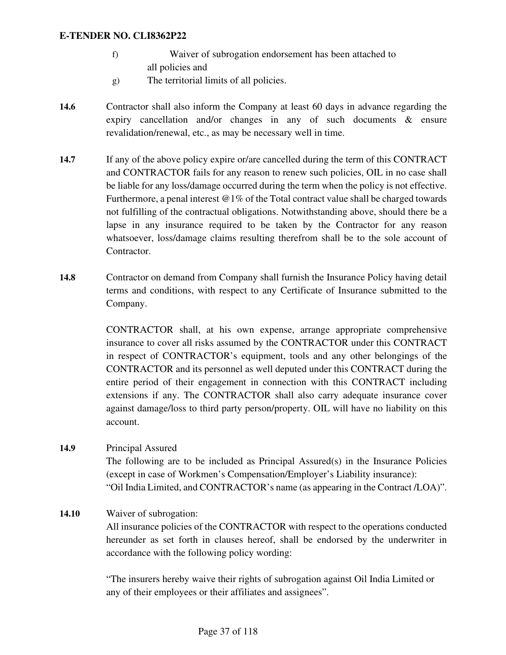- f) Waiver of subrogation endorsement has been attached to all policies and
- g) The territorial limits of all policies.
- **14.6** Contractor shall also inform the Company at least 60 days in advance regarding the expiry cancellation and/or changes in any of such documents & ensure revalidation/renewal, etc., as may be necessary well in time.
- **14.7** If any of the above policy expire or/are cancelled during the term of this CONTRACT and CONTRACTOR fails for any reason to renew such policies, OIL in no case shall be liable for any loss/damage occurred during the term when the policy is not effective. Furthermore, a penal interest  $@1\%$  of the Total contract value shall be charged towards not fulfilling of the contractual obligations. Notwithstanding above, should there be a lapse in any insurance required to be taken by the Contractor for any reason whatsoever, loss/damage claims resulting therefrom shall be to the sole account of Contractor.
- **14.8** Contractor on demand from Company shall furnish the Insurance Policy having detail terms and conditions, with respect to any Certificate of Insurance submitted to the Company.

CONTRACTOR shall, at his own expense, arrange appropriate comprehensive insurance to cover all risks assumed by the CONTRACTOR under this CONTRACT in respect of CONTRACTOR's equipment, tools and any other belongings of the CONTRACTOR and its personnel as well deputed under this CONTRACT during the entire period of their engagement in connection with this CONTRACT including extensions if any. The CONTRACTOR shall also carry adequate insurance cover against damage/loss to third party person/property. OIL will have no liability on this account.

# **14.9** Principal Assured The following are to be included as Principal Assured(s) in the Insurance Policies (except in case of Workmen's Compensation/Employer's Liability insurance): "Oil India Limited, and CONTRACTOR's name (as appearing in the Contract /LOA)".

#### **14.10** Waiver of subrogation:

All insurance policies of the CONTRACTOR with respect to the operations conducted hereunder as set forth in clauses hereof, shall be endorsed by the underwriter in accordance with the following policy wording:

"The insurers hereby waive their rights of subrogation against Oil India Limited or any of their employees or their affiliates and assignees".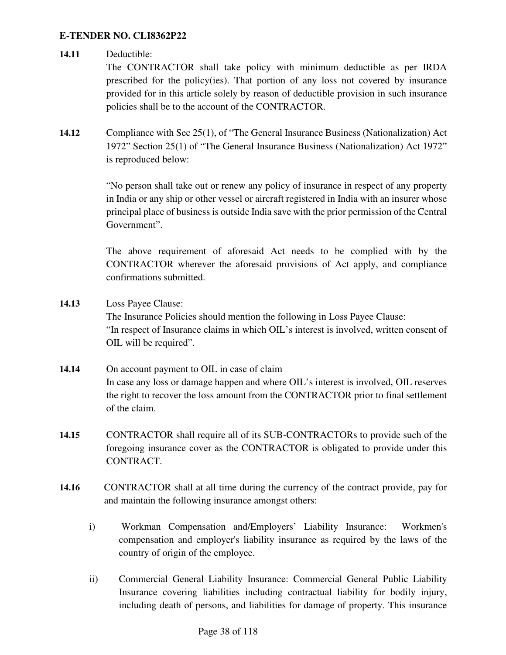#### **14.11** Deductible:

The CONTRACTOR shall take policy with minimum deductible as per IRDA prescribed for the policy(ies). That portion of any loss not covered by insurance provided for in this article solely by reason of deductible provision in such insurance policies shall be to the account of the CONTRACTOR.

**14.12** Compliance with Sec 25(1), of "The General Insurance Business (Nationalization) Act 1972" Section 25(1) of "The General Insurance Business (Nationalization) Act 1972" is reproduced below:

> "No person shall take out or renew any policy of insurance in respect of any property in India or any ship or other vessel or aircraft registered in India with an insurer whose principal place of business is outside India save with the prior permission of the Central Government".

> The above requirement of aforesaid Act needs to be complied with by the CONTRACTOR wherever the aforesaid provisions of Act apply, and compliance confirmations submitted.

- **14.13** Loss Payee Clause: The Insurance Policies should mention the following in Loss Payee Clause: "In respect of Insurance claims in which OIL's interest is involved, written consent of OIL will be required".
- 14.14 On account payment to OIL in case of claim In case any loss or damage happen and where OIL's interest is involved, OIL reserves the right to recover the loss amount from the CONTRACTOR prior to final settlement of the claim.
- **14.15** CONTRACTOR shall require all of its SUB-CONTRACTORs to provide such of the foregoing insurance cover as the CONTRACTOR is obligated to provide under this CONTRACT.
- **14.16** CONTRACTOR shall at all time during the currency of the contract provide, pay for and maintain the following insurance amongst others:
	- i) Workman Compensation and/Employers' Liability Insurance: Workmen's compensation and employer's liability insurance as required by the laws of the country of origin of the employee.
	- ii) Commercial General Liability Insurance: Commercial General Public Liability Insurance covering liabilities including contractual liability for bodily injury, including death of persons, and liabilities for damage of property. This insurance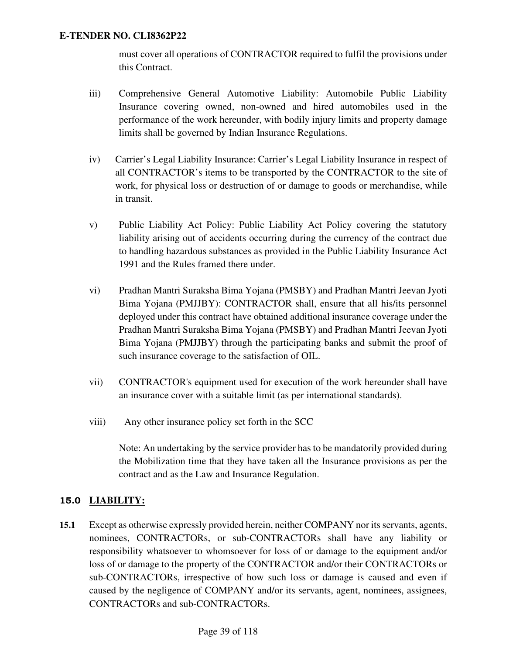must cover all operations of CONTRACTOR required to fulfil the provisions under this Contract.

- iii) Comprehensive General Automotive Liability: Automobile Public Liability Insurance covering owned, non-owned and hired automobiles used in the performance of the work hereunder, with bodily injury limits and property damage limits shall be governed by Indian Insurance Regulations.
- iv) Carrier's Legal Liability Insurance: Carrier's Legal Liability Insurance in respect of all CONTRACTOR's items to be transported by the CONTRACTOR to the site of work, for physical loss or destruction of or damage to goods or merchandise, while in transit.
- v) Public Liability Act Policy: Public Liability Act Policy covering the statutory liability arising out of accidents occurring during the currency of the contract due to handling hazardous substances as provided in the Public Liability Insurance Act 1991 and the Rules framed there under.
- vi) Pradhan Mantri Suraksha Bima Yojana (PMSBY) and Pradhan Mantri Jeevan Jyoti Bima Yojana (PMJJBY): CONTRACTOR shall, ensure that all his/its personnel deployed under this contract have obtained additional insurance coverage under the Pradhan Mantri Suraksha Bima Yojana (PMSBY) and Pradhan Mantri Jeevan Jyoti Bima Yojana (PMJJBY) through the participating banks and submit the proof of such insurance coverage to the satisfaction of OIL.
- vii) CONTRACTOR's equipment used for execution of the work hereunder shall have an insurance cover with a suitable limit (as per international standards).
- viii) Any other insurance policy set forth in the SCC

Note: An undertaking by the service provider has to be mandatorily provided during the Mobilization time that they have taken all the Insurance provisions as per the contract and as the Law and Insurance Regulation.

# 15.0 **LIABILITY:**

**15.1** Except as otherwise expressly provided herein, neither COMPANY nor its servants, agents, nominees, CONTRACTORs, or sub-CONTRACTORs shall have any liability or responsibility whatsoever to whomsoever for loss of or damage to the equipment and/or loss of or damage to the property of the CONTRACTOR and/or their CONTRACTORs or sub-CONTRACTORs, irrespective of how such loss or damage is caused and even if caused by the negligence of COMPANY and/or its servants, agent, nominees, assignees, CONTRACTORs and sub-CONTRACTORs.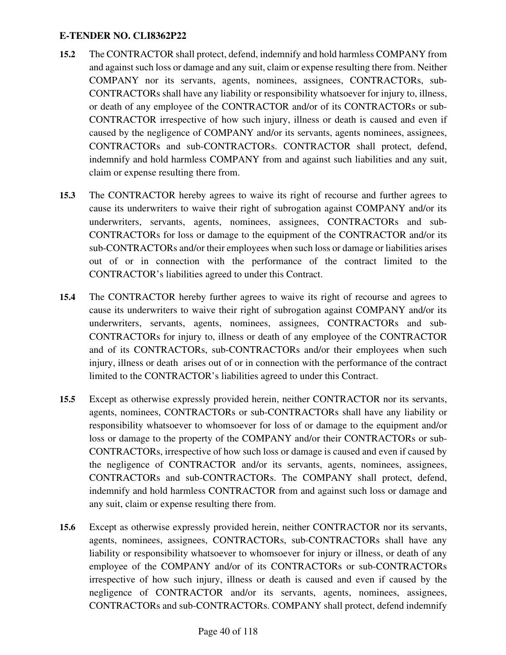- **15.2** The CONTRACTOR shall protect, defend, indemnify and hold harmless COMPANY from and against such loss or damage and any suit, claim or expense resulting there from. Neither COMPANY nor its servants, agents, nominees, assignees, CONTRACTORs, sub-CONTRACTORs shall have any liability or responsibility whatsoever for injury to, illness, or death of any employee of the CONTRACTOR and/or of its CONTRACTORs or sub-CONTRACTOR irrespective of how such injury, illness or death is caused and even if caused by the negligence of COMPANY and/or its servants, agents nominees, assignees, CONTRACTORs and sub-CONTRACTORs. CONTRACTOR shall protect, defend, indemnify and hold harmless COMPANY from and against such liabilities and any suit, claim or expense resulting there from.
- **15.3** The CONTRACTOR hereby agrees to waive its right of recourse and further agrees to cause its underwriters to waive their right of subrogation against COMPANY and/or its underwriters, servants, agents, nominees, assignees, CONTRACTORs and sub-CONTRACTORs for loss or damage to the equipment of the CONTRACTOR and/or its sub-CONTRACTORs and/or their employees when such loss or damage or liabilities arises out of or in connection with the performance of the contract limited to the CONTRACTOR's liabilities agreed to under this Contract.
- **15.4** The CONTRACTOR hereby further agrees to waive its right of recourse and agrees to cause its underwriters to waive their right of subrogation against COMPANY and/or its underwriters, servants, agents, nominees, assignees, CONTRACTORs and sub-CONTRACTORs for injury to, illness or death of any employee of the CONTRACTOR and of its CONTRACTORs, sub-CONTRACTORs and/or their employees when such injury, illness or death arises out of or in connection with the performance of the contract limited to the CONTRACTOR's liabilities agreed to under this Contract.
- **15.5** Except as otherwise expressly provided herein, neither CONTRACTOR nor its servants, agents, nominees, CONTRACTORs or sub-CONTRACTORs shall have any liability or responsibility whatsoever to whomsoever for loss of or damage to the equipment and/or loss or damage to the property of the COMPANY and/or their CONTRACTORs or sub-CONTRACTORs, irrespective of how such loss or damage is caused and even if caused by the negligence of CONTRACTOR and/or its servants, agents, nominees, assignees, CONTRACTORs and sub-CONTRACTORs. The COMPANY shall protect, defend, indemnify and hold harmless CONTRACTOR from and against such loss or damage and any suit, claim or expense resulting there from.
- **15.6** Except as otherwise expressly provided herein, neither CONTRACTOR nor its servants, agents, nominees, assignees, CONTRACTORs, sub-CONTRACTORs shall have any liability or responsibility whatsoever to whomsoever for injury or illness, or death of any employee of the COMPANY and/or of its CONTRACTORs or sub-CONTRACTORs irrespective of how such injury, illness or death is caused and even if caused by the negligence of CONTRACTOR and/or its servants, agents, nominees, assignees, CONTRACTORs and sub-CONTRACTORs. COMPANY shall protect, defend indemnify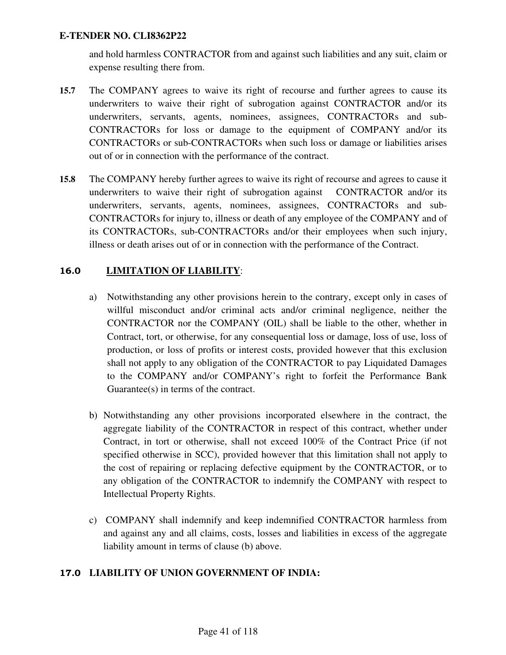and hold harmless CONTRACTOR from and against such liabilities and any suit, claim or expense resulting there from.

- **15.7** The COMPANY agrees to waive its right of recourse and further agrees to cause its underwriters to waive their right of subrogation against CONTRACTOR and/or its underwriters, servants, agents, nominees, assignees, CONTRACTORs and sub-CONTRACTORs for loss or damage to the equipment of COMPANY and/or its CONTRACTORs or sub-CONTRACTORs when such loss or damage or liabilities arises out of or in connection with the performance of the contract.
- **15.8** The COMPANY hereby further agrees to waive its right of recourse and agrees to cause it underwriters to waive their right of subrogation against CONTRACTOR and/or its underwriters, servants, agents, nominees, assignees, CONTRACTORs and sub-CONTRACTORs for injury to, illness or death of any employee of the COMPANY and of its CONTRACTORs, sub-CONTRACTORs and/or their employees when such injury, illness or death arises out of or in connection with the performance of the Contract.

## 16.0 **LIMITATION OF LIABILITY**:

- a) Notwithstanding any other provisions herein to the contrary, except only in cases of willful misconduct and/or criminal acts and/or criminal negligence, neither the CONTRACTOR nor the COMPANY (OIL) shall be liable to the other, whether in Contract, tort, or otherwise, for any consequential loss or damage, loss of use, loss of production, or loss of profits or interest costs, provided however that this exclusion shall not apply to any obligation of the CONTRACTOR to pay Liquidated Damages to the COMPANY and/or COMPANY's right to forfeit the Performance Bank Guarantee(s) in terms of the contract.
- b) Notwithstanding any other provisions incorporated elsewhere in the contract, the aggregate liability of the CONTRACTOR in respect of this contract, whether under Contract, in tort or otherwise, shall not exceed 100% of the Contract Price (if not specified otherwise in SCC), provided however that this limitation shall not apply to the cost of repairing or replacing defective equipment by the CONTRACTOR, or to any obligation of the CONTRACTOR to indemnify the COMPANY with respect to Intellectual Property Rights.
- c) COMPANY shall indemnify and keep indemnified CONTRACTOR harmless from and against any and all claims, costs, losses and liabilities in excess of the aggregate liability amount in terms of clause (b) above.

### 17.0 **LIABILITY OF UNION GOVERNMENT OF INDIA:**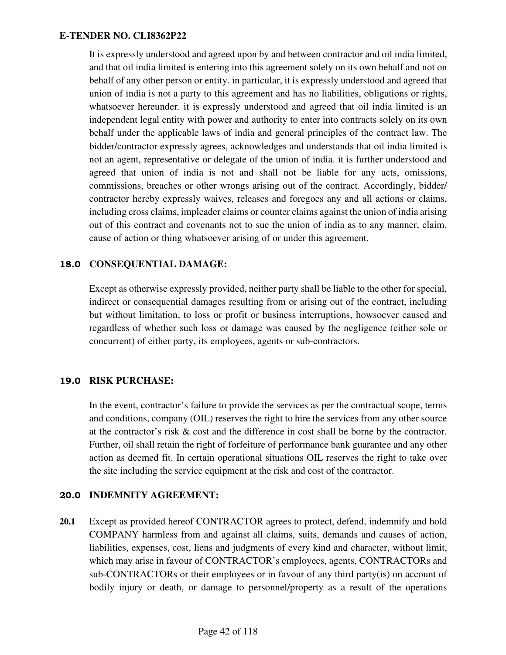It is expressly understood and agreed upon by and between contractor and oil india limited, and that oil india limited is entering into this agreement solely on its own behalf and not on behalf of any other person or entity. in particular, it is expressly understood and agreed that union of india is not a party to this agreement and has no liabilities, obligations or rights, whatsoever hereunder. it is expressly understood and agreed that oil india limited is an independent legal entity with power and authority to enter into contracts solely on its own behalf under the applicable laws of india and general principles of the contract law. The bidder/contractor expressly agrees, acknowledges and understands that oil india limited is not an agent, representative or delegate of the union of india. it is further understood and agreed that union of india is not and shall not be liable for any acts, omissions, commissions, breaches or other wrongs arising out of the contract. Accordingly, bidder/ contractor hereby expressly waives, releases and foregoes any and all actions or claims, including cross claims, impleader claims or counter claims against the union of india arising out of this contract and covenants not to sue the union of india as to any manner, claim, cause of action or thing whatsoever arising of or under this agreement.

### 18.0 **CONSEQUENTIAL DAMAGE:**

Except as otherwise expressly provided, neither party shall be liable to the other for special, indirect or consequential damages resulting from or arising out of the contract, including but without limitation, to loss or profit or business interruptions, howsoever caused and regardless of whether such loss or damage was caused by the negligence (either sole or concurrent) of either party, its employees, agents or sub-contractors.

### 19.0 **RISK PURCHASE:**

In the event, contractor's failure to provide the services as per the contractual scope, terms and conditions, company (OIL) reserves the right to hire the services from any other source at the contractor's risk & cost and the difference in cost shall be borne by the contractor. Further, oil shall retain the right of forfeiture of performance bank guarantee and any other action as deemed fit. In certain operational situations OIL reserves the right to take over the site including the service equipment at the risk and cost of the contractor.

### 20.0 **INDEMNITY AGREEMENT:**

**20.1** Except as provided hereof CONTRACTOR agrees to protect, defend, indemnify and hold COMPANY harmless from and against all claims, suits, demands and causes of action, liabilities, expenses, cost, liens and judgments of every kind and character, without limit, which may arise in favour of CONTRACTOR's employees, agents, CONTRACTORs and sub-CONTRACTORs or their employees or in favour of any third party(is) on account of bodily injury or death, or damage to personnel/property as a result of the operations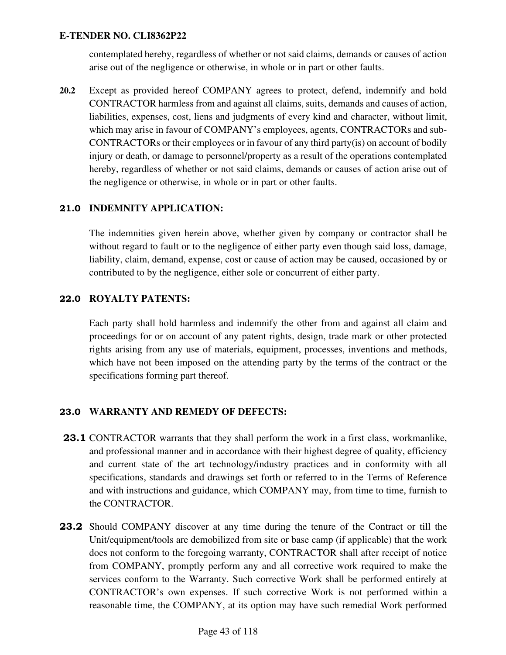contemplated hereby, regardless of whether or not said claims, demands or causes of action arise out of the negligence or otherwise, in whole or in part or other faults.

**20.2** Except as provided hereof COMPANY agrees to protect, defend, indemnify and hold CONTRACTOR harmless from and against all claims, suits, demands and causes of action, liabilities, expenses, cost, liens and judgments of every kind and character, without limit, which may arise in favour of COMPANY's employees, agents, CONTRACTORs and sub-CONTRACTORs or their employees or in favour of any third party(is) on account of bodily injury or death, or damage to personnel/property as a result of the operations contemplated hereby, regardless of whether or not said claims, demands or causes of action arise out of the negligence or otherwise, in whole or in part or other faults.

## 21.0 **INDEMNITY APPLICATION:**

The indemnities given herein above, whether given by company or contractor shall be without regard to fault or to the negligence of either party even though said loss, damage, liability, claim, demand, expense, cost or cause of action may be caused, occasioned by or contributed to by the negligence, either sole or concurrent of either party.

### 22.0 **ROYALTY PATENTS:**

Each party shall hold harmless and indemnify the other from and against all claim and proceedings for or on account of any patent rights, design, trade mark or other protected rights arising from any use of materials, equipment, processes, inventions and methods, which have not been imposed on the attending party by the terms of the contract or the specifications forming part thereof.

### 23.0 **WARRANTY AND REMEDY OF DEFECTS:**

- 23.1 CONTRACTOR warrants that they shall perform the work in a first class, workmanlike, and professional manner and in accordance with their highest degree of quality, efficiency and current state of the art technology/industry practices and in conformity with all specifications, standards and drawings set forth or referred to in the Terms of Reference and with instructions and guidance, which COMPANY may, from time to time, furnish to the CONTRACTOR.
- 23.2 Should COMPANY discover at any time during the tenure of the Contract or till the Unit/equipment/tools are demobilized from site or base camp (if applicable) that the work does not conform to the foregoing warranty, CONTRACTOR shall after receipt of notice from COMPANY, promptly perform any and all corrective work required to make the services conform to the Warranty. Such corrective Work shall be performed entirely at CONTRACTOR's own expenses. If such corrective Work is not performed within a reasonable time, the COMPANY, at its option may have such remedial Work performed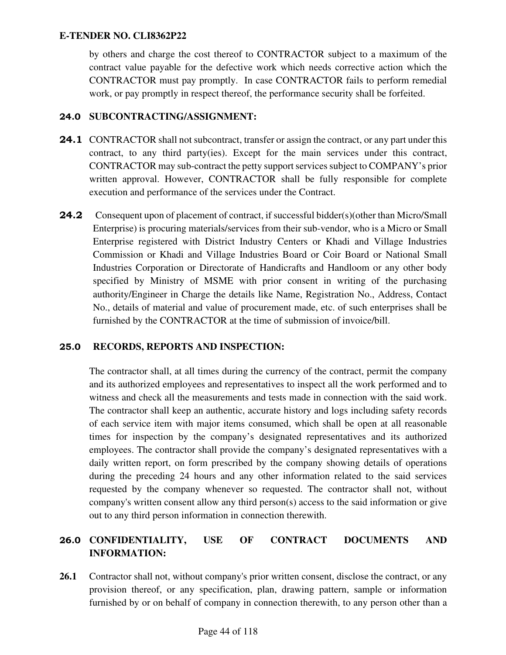by others and charge the cost thereof to CONTRACTOR subject to a maximum of the contract value payable for the defective work which needs corrective action which the CONTRACTOR must pay promptly. In case CONTRACTOR fails to perform remedial work, or pay promptly in respect thereof, the performance security shall be forfeited.

### 24.0 **SUBCONTRACTING/ASSIGNMENT:**

- **24.1** CONTRACTOR shall not subcontract, transfer or assign the contract, or any part under this contract, to any third party(ies). Except for the main services under this contract, CONTRACTOR may sub-contract the petty support services subject to COMPANY's prior written approval. However, CONTRACTOR shall be fully responsible for complete execution and performance of the services under the Contract.
- 24.2 Consequent upon of placement of contract, if successful bidder(s)(other than Micro/Small Enterprise) is procuring materials/services from their sub-vendor, who is a Micro or Small Enterprise registered with District Industry Centers or Khadi and Village Industries Commission or Khadi and Village Industries Board or Coir Board or National Small Industries Corporation or Directorate of Handicrafts and Handloom or any other body specified by Ministry of MSME with prior consent in writing of the purchasing authority/Engineer in Charge the details like Name, Registration No., Address, Contact No., details of material and value of procurement made, etc. of such enterprises shall be furnished by the CONTRACTOR at the time of submission of invoice/bill.

### 25.0 **RECORDS, REPORTS AND INSPECTION:**

The contractor shall, at all times during the currency of the contract, permit the company and its authorized employees and representatives to inspect all the work performed and to witness and check all the measurements and tests made in connection with the said work. The contractor shall keep an authentic, accurate history and logs including safety records of each service item with major items consumed, which shall be open at all reasonable times for inspection by the company's designated representatives and its authorized employees. The contractor shall provide the company's designated representatives with a daily written report, on form prescribed by the company showing details of operations during the preceding 24 hours and any other information related to the said services requested by the company whenever so requested. The contractor shall not, without company's written consent allow any third person(s) access to the said information or give out to any third person information in connection therewith.

# 26.0 **CONFIDENTIALITY, USE OF CONTRACT DOCUMENTS AND INFORMATION:**

26.1 Contractor shall not, without company's prior written consent, disclose the contract, or any provision thereof, or any specification, plan, drawing pattern, sample or information furnished by or on behalf of company in connection therewith, to any person other than a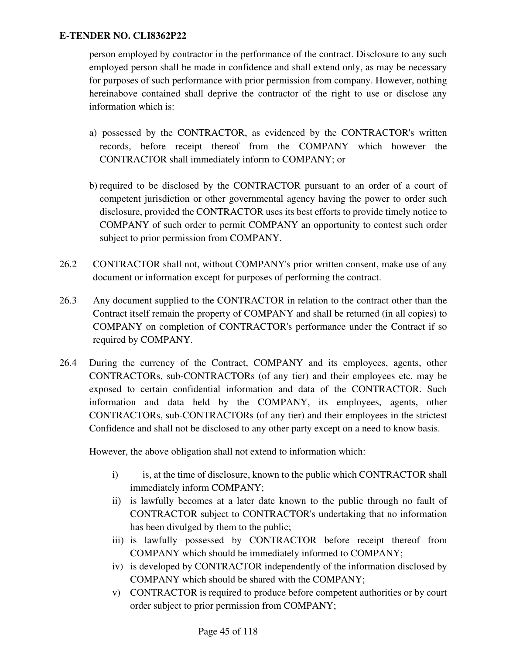person employed by contractor in the performance of the contract. Disclosure to any such employed person shall be made in confidence and shall extend only, as may be necessary for purposes of such performance with prior permission from company. However, nothing hereinabove contained shall deprive the contractor of the right to use or disclose any information which is:

- a) possessed by the CONTRACTOR, as evidenced by the CONTRACTOR's written records, before receipt thereof from the COMPANY which however the CONTRACTOR shall immediately inform to COMPANY; or
- b) required to be disclosed by the CONTRACTOR pursuant to an order of a court of competent jurisdiction or other governmental agency having the power to order such disclosure, provided the CONTRACTOR uses its best efforts to provide timely notice to COMPANY of such order to permit COMPANY an opportunity to contest such order subject to prior permission from COMPANY.
- 26.2 CONTRACTOR shall not, without COMPANY's prior written consent, make use of any document or information except for purposes of performing the contract.
- 26.3 Any document supplied to the CONTRACTOR in relation to the contract other than the Contract itself remain the property of COMPANY and shall be returned (in all copies) to COMPANY on completion of CONTRACTOR's performance under the Contract if so required by COMPANY.
- 26.4 During the currency of the Contract, COMPANY and its employees, agents, other CONTRACTORs, sub-CONTRACTORs (of any tier) and their employees etc. may be exposed to certain confidential information and data of the CONTRACTOR. Such information and data held by the COMPANY, its employees, agents, other CONTRACTORs, sub-CONTRACTORs (of any tier) and their employees in the strictest Confidence and shall not be disclosed to any other party except on a need to know basis.

However, the above obligation shall not extend to information which:

- i) is, at the time of disclosure, known to the public which CONTRACTOR shall immediately inform COMPANY;
- ii) is lawfully becomes at a later date known to the public through no fault of CONTRACTOR subject to CONTRACTOR's undertaking that no information has been divulged by them to the public;
- iii) is lawfully possessed by CONTRACTOR before receipt thereof from COMPANY which should be immediately informed to COMPANY;
- iv) is developed by CONTRACTOR independently of the information disclosed by COMPANY which should be shared with the COMPANY;
- v) CONTRACTOR is required to produce before competent authorities or by court order subject to prior permission from COMPANY;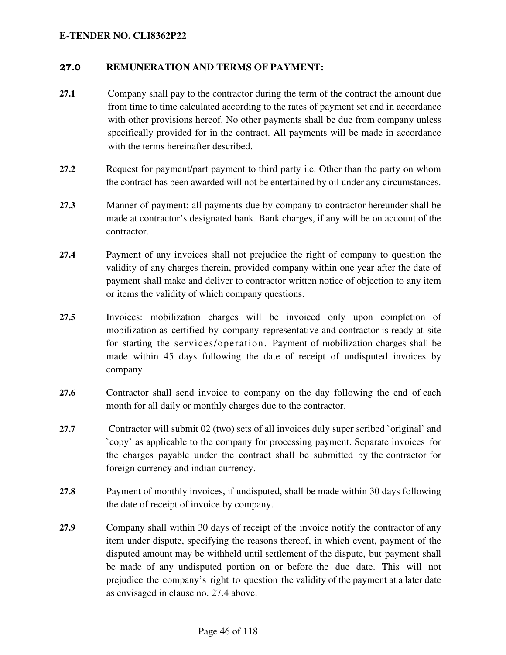#### 27.0 **REMUNERATION AND TERMS OF PAYMENT:**

- **27.1** Company shall pay to the contractor during the term of the contract the amount due from time to time calculated according to the rates of payment set and in accordance with other provisions hereof. No other payments shall be due from company unless specifically provided for in the contract. All payments will be made in accordance with the terms hereinafter described.
- **27.2** Request for payment/part payment to third party i.e. Other than the party on whom the contract has been awarded will not be entertained by oil under any circumstances.
- **27.3** Manner of payment: all payments due by company to contractor hereunder shall be made at contractor's designated bank. Bank charges, if any will be on account of the contractor.
- **27.4** Payment of any invoices shall not prejudice the right of company to question the validity of any charges therein, provided company within one year after the date of payment shall make and deliver to contractor written notice of objection to any item or items the validity of which company questions.
- **27.5** Invoices: mobilization charges will be invoiced only upon completion of mobilization as certified by company representative and contractor is ready at site for starting the services/operation. Payment of mobilization charges shall be made within 45 days following the date of receipt of undisputed invoices by company.
- **27.6** Contractor shall send invoice to company on the day following the end of each month for all daily or monthly charges due to the contractor.
- **27.7** Contractor will submit 02 (two) sets of all invoices duly super scribed `original' and `copy' as applicable to the company for processing payment. Separate invoices for the charges payable under the contract shall be submitted by the contractor for foreign currency and indian currency.
- **27.8** Payment of monthly invoices, if undisputed, shall be made within 30 days following the date of receipt of invoice by company.
- **27.9** Company shall within 30 days of receipt of the invoice notify the contractor of any item under dispute, specifying the reasons thereof, in which event, payment of the disputed amount may be withheld until settlement of the dispute, but payment shall be made of any undisputed portion on or before the due date. This will not prejudice the company's right to question the validity of the payment at a later date as envisaged in clause no. 27.4 above.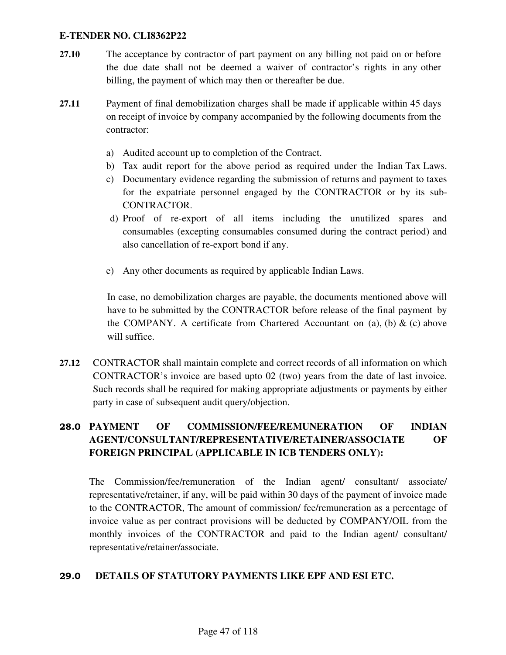- **27.10** The acceptance by contractor of part payment on any billing not paid on or before the due date shall not be deemed a waiver of contractor's rights in any other billing, the payment of which may then or thereafter be due.
- **27.11** Payment of final demobilization charges shall be made if applicable within 45 days on receipt of invoice by company accompanied by the following documents from the contractor:
	- a) Audited account up to completion of the Contract.
	- b) Tax audit report for the above period as required under the Indian Tax Laws.
	- c) Documentary evidence regarding the submission of returns and payment to taxes for the expatriate personnel engaged by the CONTRACTOR or by its sub-CONTRACTOR.
	- d) Proof of re-export of all items including the unutilized spares and consumables (excepting consumables consumed during the contract period) and also cancellation of re-export bond if any.
	- e) Any other documents as required by applicable Indian Laws.

In case, no demobilization charges are payable, the documents mentioned above will have to be submitted by the CONTRACTOR before release of the final payment by the COMPANY. A certificate from Chartered Accountant on (a), (b)  $\&$  (c) above will suffice.

**27.12** CONTRACTOR shall maintain complete and correct records of all information on which CONTRACTOR's invoice are based upto 02 (two) years from the date of last invoice. Such records shall be required for making appropriate adjustments or payments by either party in case of subsequent audit query/objection.

# 28.0 **PAYMENT OF COMMISSION/FEE/REMUNERATION OF INDIAN AGENT/CONSULTANT/REPRESENTATIVE/RETAINER/ASSOCIATE OF FOREIGN PRINCIPAL (APPLICABLE IN ICB TENDERS ONLY):**

The Commission/fee/remuneration of the Indian agent/ consultant/ associate/ representative/retainer, if any, will be paid within 30 days of the payment of invoice made to the CONTRACTOR, The amount of commission/ fee/remuneration as a percentage of invoice value as per contract provisions will be deducted by COMPANY/OIL from the monthly invoices of the CONTRACTOR and paid to the Indian agent/ consultant/ representative/retainer/associate.

### 29.0 **DETAILS OF STATUTORY PAYMENTS LIKE EPF AND ESI ETC.**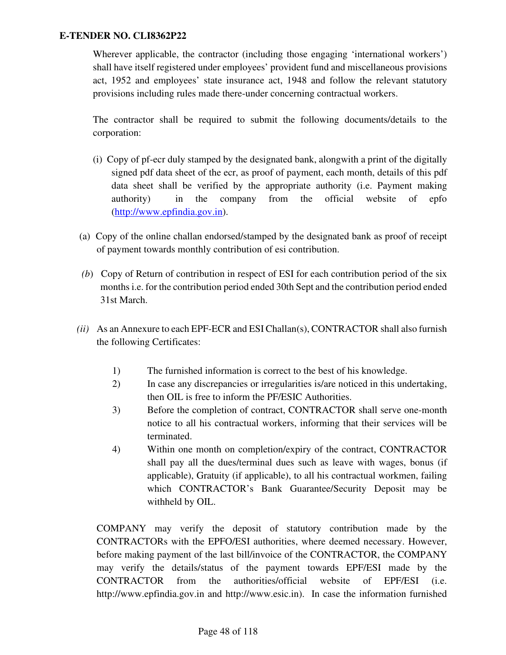Wherever applicable, the contractor (including those engaging 'international workers') shall have itself registered under employees' provident fund and miscellaneous provisions act, 1952 and employees' state insurance act, 1948 and follow the relevant statutory provisions including rules made there-under concerning contractual workers.

The contractor shall be required to submit the following documents/details to the corporation:

- (i) Copy of pf-ecr duly stamped by the designated bank, alongwith a print of the digitally signed pdf data sheet of the ecr, as proof of payment, each month, details of this pdf data sheet shall be verified by the appropriate authority (i.e. Payment making authority) in the company from the official website of epfo (http://www.epfindia.gov.in).
- (a) Copy of the online challan endorsed/stamped by the designated bank as proof of receipt of payment towards monthly contribution of esi contribution.
- *(b*) Copy of Return of contribution in respect of ESI for each contribution period of the six months i.e. for the contribution period ended 30th Sept and the contribution period ended 31st March.
- *(ii)* As an Annexure to each EPF-ECR and ESI Challan(s), CONTRACTOR shall also furnish the following Certificates:
	- 1) The furnished information is correct to the best of his knowledge.
	- 2) In case any discrepancies or irregularities is/are noticed in this undertaking, then OIL is free to inform the PF/ESIC Authorities.
	- 3) Before the completion of contract, CONTRACTOR shall serve one-month notice to all his contractual workers, informing that their services will be terminated.
	- 4) Within one month on completion/expiry of the contract, CONTRACTOR shall pay all the dues/terminal dues such as leave with wages, bonus (if applicable), Gratuity (if applicable), to all his contractual workmen, failing which CONTRACTOR's Bank Guarantee/Security Deposit may be withheld by OIL.

COMPANY may verify the deposit of statutory contribution made by the CONTRACTORs with the EPFO/ESI authorities, where deemed necessary. However, before making payment of the last bill/invoice of the CONTRACTOR, the COMPANY may verify the details/status of the payment towards EPF/ESI made by the CONTRACTOR from the authorities/official website of EPF/ESI (i.e. http://www.epfindia.gov.in and http://www.esic.in). In case the information furnished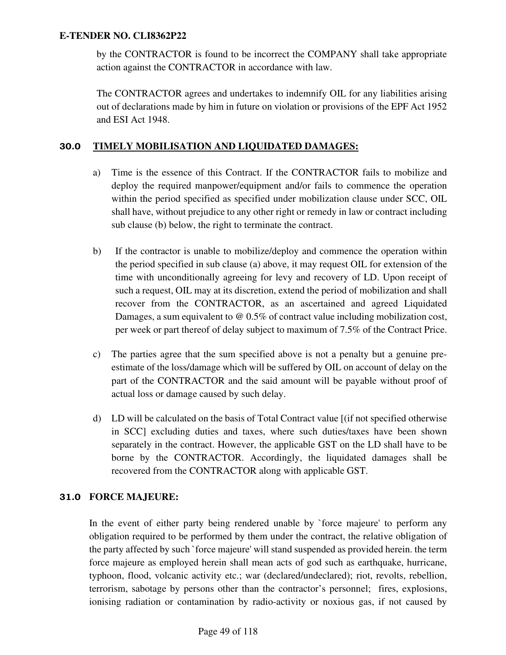by the CONTRACTOR is found to be incorrect the COMPANY shall take appropriate action against the CONTRACTOR in accordance with law.

The CONTRACTOR agrees and undertakes to indemnify OIL for any liabilities arising out of declarations made by him in future on violation or provisions of the EPF Act 1952 and ESI Act 1948.

### 30.0 **TIMELY MOBILISATION AND LIQUIDATED DAMAGES:**

- a) Time is the essence of this Contract. If the CONTRACTOR fails to mobilize and deploy the required manpower/equipment and/or fails to commence the operation within the period specified as specified under mobilization clause under SCC, OIL shall have, without prejudice to any other right or remedy in law or contract including sub clause (b) below, the right to terminate the contract.
- b) If the contractor is unable to mobilize/deploy and commence the operation within the period specified in sub clause (a) above, it may request OIL for extension of the time with unconditionally agreeing for levy and recovery of LD. Upon receipt of such a request, OIL may at its discretion, extend the period of mobilization and shall recover from the CONTRACTOR, as an ascertained and agreed Liquidated Damages, a sum equivalent to @ 0.5% of contract value including mobilization cost, per week or part thereof of delay subject to maximum of 7.5% of the Contract Price.
- c) The parties agree that the sum specified above is not a penalty but a genuine preestimate of the loss/damage which will be suffered by OIL on account of delay on the part of the CONTRACTOR and the said amount will be payable without proof of actual loss or damage caused by such delay.
- d) LD will be calculated on the basis of Total Contract value [(if not specified otherwise in SCC] excluding duties and taxes, where such duties/taxes have been shown separately in the contract. However, the applicable GST on the LD shall have to be borne by the CONTRACTOR. Accordingly, the liquidated damages shall be recovered from the CONTRACTOR along with applicable GST.

### 31.0 **FORCE MAJEURE:**

In the event of either party being rendered unable by `force majeure' to perform any obligation required to be performed by them under the contract, the relative obligation of the party affected by such `force majeure' will stand suspended as provided herein. the term force majeure as employed herein shall mean acts of god such as earthquake, hurricane, typhoon, flood, volcanic activity etc.; war (declared/undeclared); riot, revolts, rebellion, terrorism, sabotage by persons other than the contractor's personnel; fires, explosions, ionising radiation or contamination by radio-activity or noxious gas, if not caused by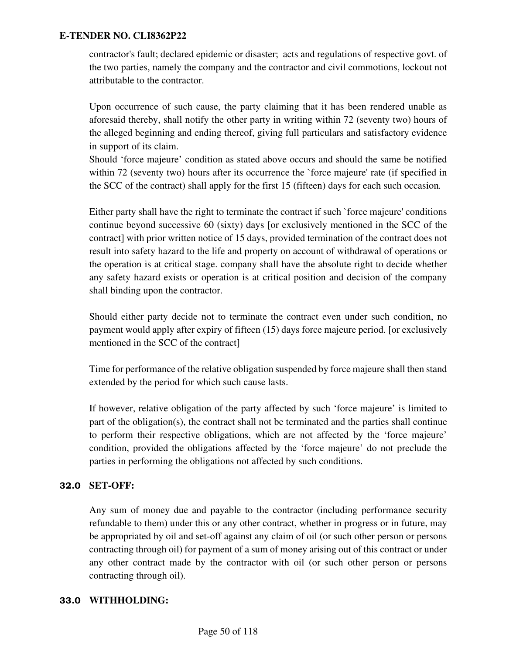contractor's fault; declared epidemic or disaster; acts and regulations of respective govt. of the two parties, namely the company and the contractor and civil commotions, lockout not attributable to the contractor.

Upon occurrence of such cause, the party claiming that it has been rendered unable as aforesaid thereby, shall notify the other party in writing within 72 (seventy two) hours of the alleged beginning and ending thereof, giving full particulars and satisfactory evidence in support of its claim.

Should 'force majeure' condition as stated above occurs and should the same be notified within 72 (seventy two) hours after its occurrence the `force majeure' rate (if specified in the SCC of the contract) shall apply for the first 15 (fifteen) days for each such occasion*.* 

Either party shall have the right to terminate the contract if such `force majeure' conditions continue beyond successive 60 (sixty) days [or exclusively mentioned in the SCC of the contract] with prior written notice of 15 days, provided termination of the contract does not result into safety hazard to the life and property on account of withdrawal of operations or the operation is at critical stage. company shall have the absolute right to decide whether any safety hazard exists or operation is at critical position and decision of the company shall binding upon the contractor.

Should either party decide not to terminate the contract even under such condition, no payment would apply after expiry of fifteen (15) days force majeure period*.* [or exclusively mentioned in the SCC of the contract]

Time for performance of the relative obligation suspended by force majeure shall then stand extended by the period for which such cause lasts.

If however, relative obligation of the party affected by such 'force majeure' is limited to part of the obligation(s), the contract shall not be terminated and the parties shall continue to perform their respective obligations, which are not affected by the 'force majeure' condition, provided the obligations affected by the 'force majeure' do not preclude the parties in performing the obligations not affected by such conditions.

### 32.0 **SET-OFF:**

Any sum of money due and payable to the contractor (including performance security refundable to them) under this or any other contract, whether in progress or in future, may be appropriated by oil and set-off against any claim of oil (or such other person or persons contracting through oil) for payment of a sum of money arising out of this contract or under any other contract made by the contractor with oil (or such other person or persons contracting through oil).

#### 33.0 **WITHHOLDING:**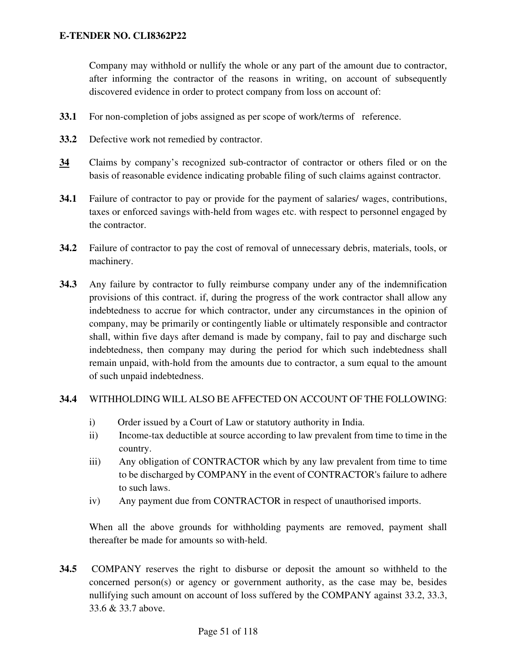Company may withhold or nullify the whole or any part of the amount due to contractor, after informing the contractor of the reasons in writing, on account of subsequently discovered evidence in order to protect company from loss on account of:

- **33.1** For non-completion of jobs assigned as per scope of work/terms of reference.
- **33.2** Defective work not remedied by contractor.
- **34** Claims by company's recognized sub-contractor of contractor or others filed or on the basis of reasonable evidence indicating probable filing of such claims against contractor.
- **34.1** Failure of contractor to pay or provide for the payment of salaries/ wages, contributions, taxes or enforced savings with-held from wages etc. with respect to personnel engaged by the contractor.
- **34.2** Failure of contractor to pay the cost of removal of unnecessary debris, materials, tools, or machinery.
- **34.3** Any failure by contractor to fully reimburse company under any of the indemnification provisions of this contract. if, during the progress of the work contractor shall allow any indebtedness to accrue for which contractor, under any circumstances in the opinion of company, may be primarily or contingently liable or ultimately responsible and contractor shall, within five days after demand is made by company, fail to pay and discharge such indebtedness, then company may during the period for which such indebtedness shall remain unpaid, with-hold from the amounts due to contractor, a sum equal to the amount of such unpaid indebtedness.

#### **34.4** WITHHOLDING WILL ALSO BE AFFECTED ON ACCOUNT OF THE FOLLOWING:

- i) Order issued by a Court of Law or statutory authority in India.
- ii) Income-tax deductible at source according to law prevalent from time to time in the country.
- iii) Any obligation of CONTRACTOR which by any law prevalent from time to time to be discharged by COMPANY in the event of CONTRACTOR's failure to adhere to such laws.
- iv) Any payment due from CONTRACTOR in respect of unauthorised imports.

When all the above grounds for withholding payments are removed, payment shall thereafter be made for amounts so with-held.

**34.5** COMPANY reserves the right to disburse or deposit the amount so withheld to the concerned person(s) or agency or government authority, as the case may be, besides nullifying such amount on account of loss suffered by the COMPANY against 33.2, 33.3, 33.6 & 33.7 above.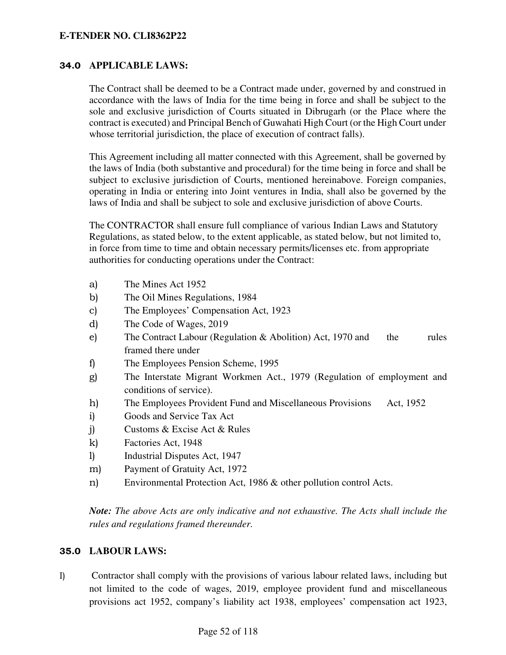#### 34.0 **APPLICABLE LAWS:**

The Contract shall be deemed to be a Contract made under, governed by and construed in accordance with the laws of India for the time being in force and shall be subject to the sole and exclusive jurisdiction of Courts situated in Dibrugarh (or the Place where the contract is executed) and Principal Bench of Guwahati High Court (or the High Court under whose territorial jurisdiction, the place of execution of contract falls).

This Agreement including all matter connected with this Agreement, shall be governed by the laws of India (both substantive and procedural) for the time being in force and shall be subject to exclusive jurisdiction of Courts, mentioned hereinabove. Foreign companies, operating in India or entering into Joint ventures in India, shall also be governed by the laws of India and shall be subject to sole and exclusive jurisdiction of above Courts.

The CONTRACTOR shall ensure full compliance of various Indian Laws and Statutory Regulations, as stated below, to the extent applicable, as stated below, but not limited to, in force from time to time and obtain necessary permits/licenses etc. from appropriate authorities for conducting operations under the Contract:

- a) The Mines Act 1952
- b) The Oil Mines Regulations, 1984
- c) The Employees' Compensation Act, 1923
- d) The Code of Wages, 2019
- e) The Contract Labour (Regulation & Abolition) Act, 1970 and the rules framed there under
- f) The Employees Pension Scheme, 1995
- g) The Interstate Migrant Workmen Act., 1979 (Regulation of employment and conditions of service).
- h) The Employees Provident Fund and Miscellaneous Provisions Act, 1952
- i) Goods and Service Tax Act
- j) Customs & Excise Act & Rules
- k) Factories Act, 1948
- l) Industrial Disputes Act, 1947
- m) Payment of Gratuity Act, 1972
- n) Environmental Protection Act, 1986 & other pollution control Acts.

*Note: The above Acts are only indicative and not exhaustive. The Acts shall include the rules and regulations framed thereunder.* 

#### 35.0 **LABOUR LAWS:**

I) Contractor shall comply with the provisions of various labour related laws, including but not limited to the code of wages, 2019, employee provident fund and miscellaneous provisions act 1952, company's liability act 1938, employees' compensation act 1923,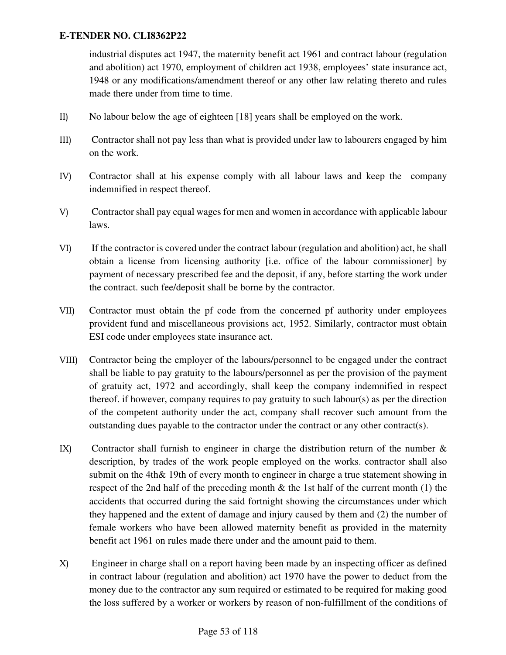industrial disputes act 1947, the maternity benefit act 1961 and contract labour (regulation and abolition) act 1970, employment of children act 1938, employees' state insurance act, 1948 or any modifications/amendment thereof or any other law relating thereto and rules made there under from time to time.

- II) No labour below the age of eighteen [18] years shall be employed on the work.
- III) Contractor shall not pay less than what is provided under law to labourers engaged by him on the work.
- IV) Contractor shall at his expense comply with all labour laws and keep the company indemnified in respect thereof.
- V) Contractor shall pay equal wages for men and women in accordance with applicable labour laws.
- VI) If the contractor is covered under the contract labour (regulation and abolition) act, he shall obtain a license from licensing authority [i.e. office of the labour commissioner] by payment of necessary prescribed fee and the deposit, if any, before starting the work under the contract. such fee/deposit shall be borne by the contractor.
- VII) Contractor must obtain the pf code from the concerned pf authority under employees provident fund and miscellaneous provisions act, 1952. Similarly, contractor must obtain ESI code under employees state insurance act.
- VIII) Contractor being the employer of the labours/personnel to be engaged under the contract shall be liable to pay gratuity to the labours/personnel as per the provision of the payment of gratuity act, 1972 and accordingly, shall keep the company indemnified in respect thereof. if however, company requires to pay gratuity to such labour(s) as per the direction of the competent authority under the act, company shall recover such amount from the outstanding dues payable to the contractor under the contract or any other contract(s).
- IX) Contractor shall furnish to engineer in charge the distribution return of the number  $\&$ description, by trades of the work people employed on the works. contractor shall also submit on the 4th& 19th of every month to engineer in charge a true statement showing in respect of the 2nd half of the preceding month & the 1st half of the current month (1) the accidents that occurred during the said fortnight showing the circumstances under which they happened and the extent of damage and injury caused by them and (2) the number of female workers who have been allowed maternity benefit as provided in the maternity benefit act 1961 on rules made there under and the amount paid to them.
- X) Engineer in charge shall on a report having been made by an inspecting officer as defined in contract labour (regulation and abolition) act 1970 have the power to deduct from the money due to the contractor any sum required or estimated to be required for making good the loss suffered by a worker or workers by reason of non-fulfillment of the conditions of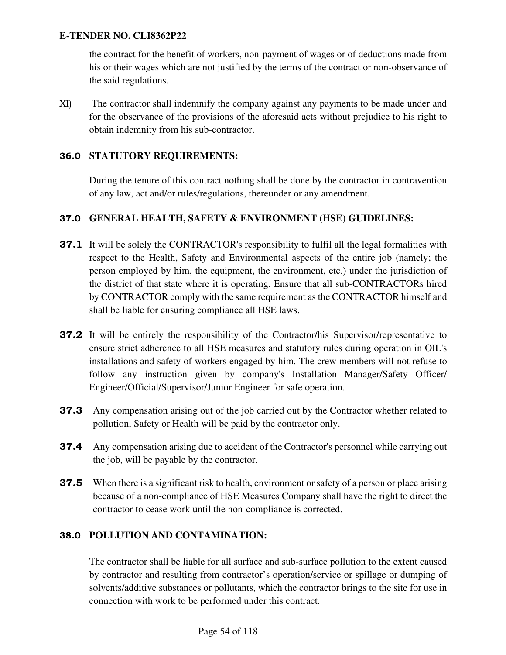the contract for the benefit of workers, non-payment of wages or of deductions made from his or their wages which are not justified by the terms of the contract or non-observance of the said regulations.

XI) The contractor shall indemnify the company against any payments to be made under and for the observance of the provisions of the aforesaid acts without prejudice to his right to obtain indemnity from his sub-contractor.

### 36.0 **STATUTORY REQUIREMENTS:**

During the tenure of this contract nothing shall be done by the contractor in contravention of any law, act and/or rules/regulations, thereunder or any amendment.

#### 37.0 **GENERAL HEALTH, SAFETY & ENVIRONMENT (HSE) GUIDELINES:**

- **37.1** It will be solely the CONTRACTOR's responsibility to fulfil all the legal formalities with respect to the Health, Safety and Environmental aspects of the entire job (namely; the person employed by him, the equipment, the environment, etc.) under the jurisdiction of the district of that state where it is operating. Ensure that all sub-CONTRACTORs hired by CONTRACTOR comply with the same requirement as the CONTRACTOR himself and shall be liable for ensuring compliance all HSE laws.
- **37.2** It will be entirely the responsibility of the Contractor/his Supervisor/representative to ensure strict adherence to all HSE measures and statutory rules during operation in OIL's installations and safety of workers engaged by him. The crew members will not refuse to follow any instruction given by company's Installation Manager/Safety Officer/ Engineer/Official/Supervisor/Junior Engineer for safe operation.
- **37.3** Any compensation arising out of the job carried out by the Contractor whether related to pollution, Safety or Health will be paid by the contractor only.
- **37.4** Any compensation arising due to accident of the Contractor's personnel while carrying out the job, will be payable by the contractor.
- **37.5** When there is a significant risk to health, environment or safety of a person or place arising because of a non-compliance of HSE Measures Company shall have the right to direct the contractor to cease work until the non-compliance is corrected.

### 38.0 **POLLUTION AND CONTAMINATION:**

The contractor shall be liable for all surface and sub-surface pollution to the extent caused by contractor and resulting from contractor's operation/service or spillage or dumping of solvents/additive substances or pollutants, which the contractor brings to the site for use in connection with work to be performed under this contract.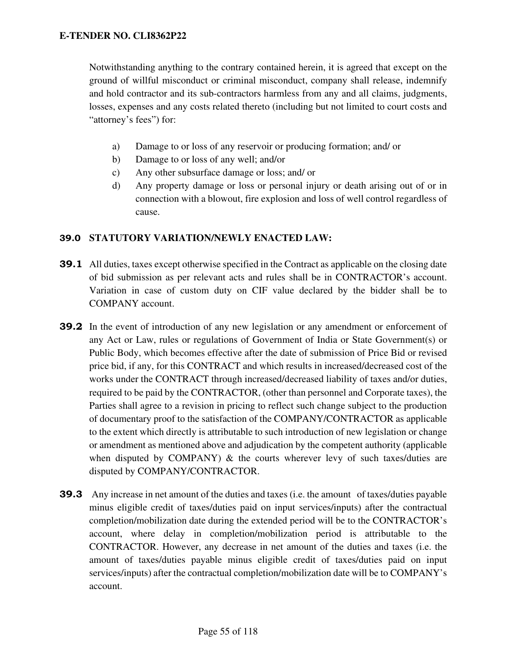Notwithstanding anything to the contrary contained herein, it is agreed that except on the ground of willful misconduct or criminal misconduct, company shall release, indemnify and hold contractor and its sub-contractors harmless from any and all claims, judgments, losses, expenses and any costs related thereto (including but not limited to court costs and "attorney's fees") for:

- a) Damage to or loss of any reservoir or producing formation; and/ or
- b) Damage to or loss of any well; and/or
- c) Any other subsurface damage or loss; and/ or
- d) Any property damage or loss or personal injury or death arising out of or in connection with a blowout, fire explosion and loss of well control regardless of cause.

#### 39.0 **STATUTORY VARIATION/NEWLY ENACTED LAW:**

- **39.1** All duties, taxes except otherwise specified in the Contract as applicable on the closing date of bid submission as per relevant acts and rules shall be in CONTRACTOR's account. Variation in case of custom duty on CIF value declared by the bidder shall be to COMPANY account.
- 39.2 In the event of introduction of any new legislation or any amendment or enforcement of any Act or Law, rules or regulations of Government of India or State Government(s) or Public Body, which becomes effective after the date of submission of Price Bid or revised price bid, if any, for this CONTRACT and which results in increased/decreased cost of the works under the CONTRACT through increased/decreased liability of taxes and/or duties, required to be paid by the CONTRACTOR, (other than personnel and Corporate taxes), the Parties shall agree to a revision in pricing to reflect such change subject to the production of documentary proof to the satisfaction of the COMPANY/CONTRACTOR as applicable to the extent which directly is attributable to such introduction of new legislation or change or amendment as mentioned above and adjudication by the competent authority (applicable when disputed by COMPANY)  $\&$  the courts wherever levy of such taxes/duties are disputed by COMPANY/CONTRACTOR.
- 39.3 Any increase in net amount of the duties and taxes (i.e. the amount of taxes/duties payable minus eligible credit of taxes/duties paid on input services/inputs) after the contractual completion/mobilization date during the extended period will be to the CONTRACTOR's account, where delay in completion/mobilization period is attributable to the CONTRACTOR. However, any decrease in net amount of the duties and taxes (i.e. the amount of taxes/duties payable minus eligible credit of taxes/duties paid on input services/inputs) after the contractual completion/mobilization date will be to COMPANY's account.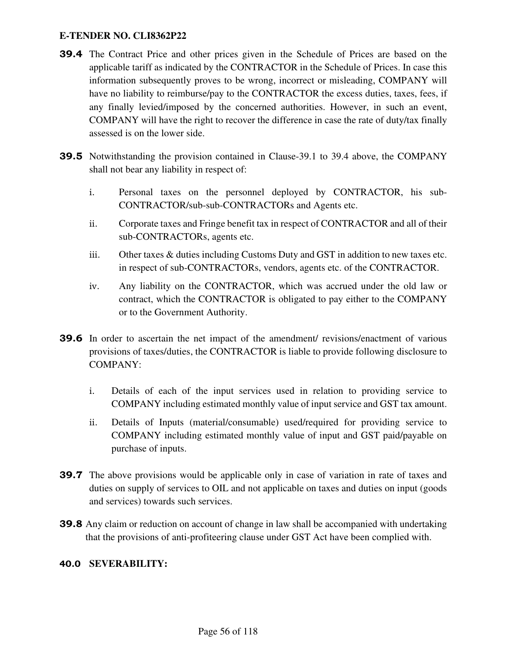- 39.4 The Contract Price and other prices given in the Schedule of Prices are based on the applicable tariff as indicated by the CONTRACTOR in the Schedule of Prices. In case this information subsequently proves to be wrong, incorrect or misleading, COMPANY will have no liability to reimburse/pay to the CONTRACTOR the excess duties, taxes, fees, if any finally levied/imposed by the concerned authorities. However, in such an event, COMPANY will have the right to recover the difference in case the rate of duty/tax finally assessed is on the lower side.
- 39.5 Notwithstanding the provision contained in Clause-39.1 to 39.4 above, the COMPANY shall not bear any liability in respect of:
	- i. Personal taxes on the personnel deployed by CONTRACTOR, his sub-CONTRACTOR/sub-sub-CONTRACTORs and Agents etc.
	- ii. Corporate taxes and Fringe benefit tax in respect of CONTRACTOR and all of their sub-CONTRACTORs, agents etc.
	- iii. Other taxes & duties including Customs Duty and GST in addition to new taxes etc. in respect of sub-CONTRACTORs, vendors, agents etc. of the CONTRACTOR.
	- iv. Any liability on the CONTRACTOR, which was accrued under the old law or contract, which the CONTRACTOR is obligated to pay either to the COMPANY or to the Government Authority.
- 39.6 In order to ascertain the net impact of the amendment/ revisions/enactment of various provisions of taxes/duties, the CONTRACTOR is liable to provide following disclosure to COMPANY:
	- i. Details of each of the input services used in relation to providing service to COMPANY including estimated monthly value of input service and GST tax amount.
	- ii. Details of Inputs (material/consumable) used/required for providing service to COMPANY including estimated monthly value of input and GST paid/payable on purchase of inputs.
- **39.7** The above provisions would be applicable only in case of variation in rate of taxes and duties on supply of services to OIL and not applicable on taxes and duties on input (goods and services) towards such services.
- 39.8 Any claim or reduction on account of change in law shall be accompanied with undertaking that the provisions of anti-profiteering clause under GST Act have been complied with.

### 40.0 **SEVERABILITY:**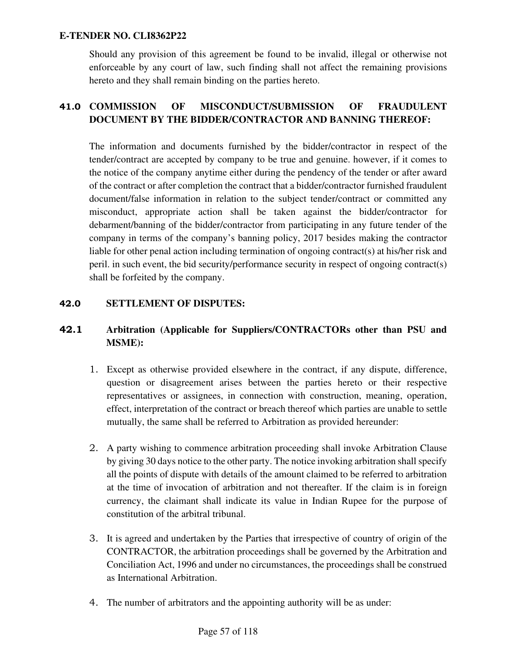Should any provision of this agreement be found to be invalid, illegal or otherwise not enforceable by any court of law, such finding shall not affect the remaining provisions hereto and they shall remain binding on the parties hereto.

# 41.0 **COMMISSION OF MISCONDUCT/SUBMISSION OF FRAUDULENT DOCUMENT BY THE BIDDER/CONTRACTOR AND BANNING THEREOF:**

The information and documents furnished by the bidder/contractor in respect of the tender/contract are accepted by company to be true and genuine. however, if it comes to the notice of the company anytime either during the pendency of the tender or after award of the contract or after completion the contract that a bidder/contractor furnished fraudulent document/false information in relation to the subject tender/contract or committed any misconduct, appropriate action shall be taken against the bidder/contractor for debarment/banning of the bidder/contractor from participating in any future tender of the company in terms of the company's banning policy, 2017 besides making the contractor liable for other penal action including termination of ongoing contract(s) at his/her risk and peril. in such event, the bid security/performance security in respect of ongoing contract(s) shall be forfeited by the company.

### 42.0 **SETTLEMENT OF DISPUTES:**

## 42.1 **Arbitration (Applicable for Suppliers/CONTRACTORs other than PSU and MSME):**

- 1. Except as otherwise provided elsewhere in the contract, if any dispute, difference, question or disagreement arises between the parties hereto or their respective representatives or assignees, in connection with construction, meaning, operation, effect, interpretation of the contract or breach thereof which parties are unable to settle mutually, the same shall be referred to Arbitration as provided hereunder:
- 2. A party wishing to commence arbitration proceeding shall invoke Arbitration Clause by giving 30 days notice to the other party. The notice invoking arbitration shall specify all the points of dispute with details of the amount claimed to be referred to arbitration at the time of invocation of arbitration and not thereafter. If the claim is in foreign currency, the claimant shall indicate its value in Indian Rupee for the purpose of constitution of the arbitral tribunal.
- 3. It is agreed and undertaken by the Parties that irrespective of country of origin of the CONTRACTOR, the arbitration proceedings shall be governed by the Arbitration and Conciliation Act, 1996 and under no circumstances, the proceedings shall be construed as International Arbitration.
- 4. The number of arbitrators and the appointing authority will be as under: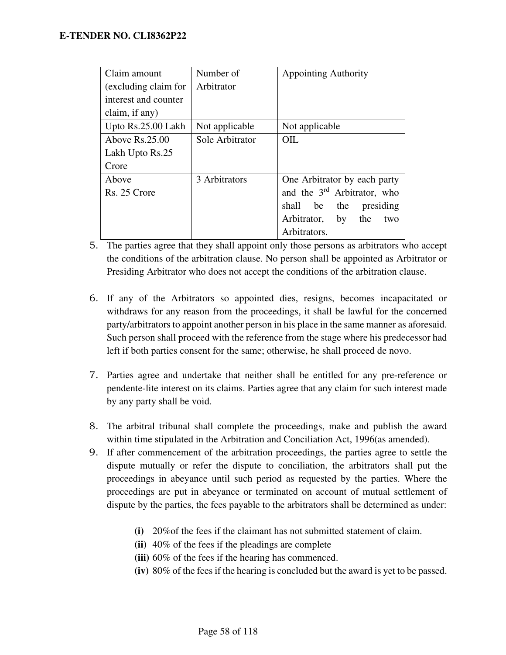| Claim amount         | Number of       | <b>Appointing Authority</b>             |
|----------------------|-----------------|-----------------------------------------|
| (excluding claim for | Arbitrator      |                                         |
| interest and counter |                 |                                         |
| claim, if any)       |                 |                                         |
| Upto Rs.25.00 Lakh   | Not applicable  | Not applicable                          |
| Above $Rs.25.00$     | Sole Arbitrator | OIL                                     |
| Lakh Upto Rs.25      |                 |                                         |
| Crore                |                 |                                         |
| Above                | 3 Arbitrators   | One Arbitrator by each party            |
| Rs. 25 Crore         |                 | and the 3 <sup>rd</sup> Arbitrator, who |
|                      |                 | shall<br>be<br>the<br>presiding         |
|                      |                 | Arbitrator,<br>by<br>the<br>two         |
|                      |                 | Arbitrators.                            |

- 5. The parties agree that they shall appoint only those persons as arbitrators who accept the conditions of the arbitration clause. No person shall be appointed as Arbitrator or Presiding Arbitrator who does not accept the conditions of the arbitration clause.
- 6. If any of the Arbitrators so appointed dies, resigns, becomes incapacitated or withdraws for any reason from the proceedings, it shall be lawful for the concerned party/arbitrators to appoint another person in his place in the same manner as aforesaid. Such person shall proceed with the reference from the stage where his predecessor had left if both parties consent for the same; otherwise, he shall proceed de novo.
- 7. Parties agree and undertake that neither shall be entitled for any pre-reference or pendente-lite interest on its claims. Parties agree that any claim for such interest made by any party shall be void.
- 8. The arbitral tribunal shall complete the proceedings, make and publish the award within time stipulated in the Arbitration and Conciliation Act, 1996(as amended).
- 9. If after commencement of the arbitration proceedings, the parties agree to settle the dispute mutually or refer the dispute to conciliation, the arbitrators shall put the proceedings in abeyance until such period as requested by the parties. Where the proceedings are put in abeyance or terminated on account of mutual settlement of dispute by the parties, the fees payable to the arbitrators shall be determined as under:
	- **(i)** 20%of the fees if the claimant has not submitted statement of claim.
	- **(ii)** 40% of the fees if the pleadings are complete
	- **(iii)** 60% of the fees if the hearing has commenced.
	- **(iv)** 80% of the fees if the hearing is concluded but the award is yet to be passed.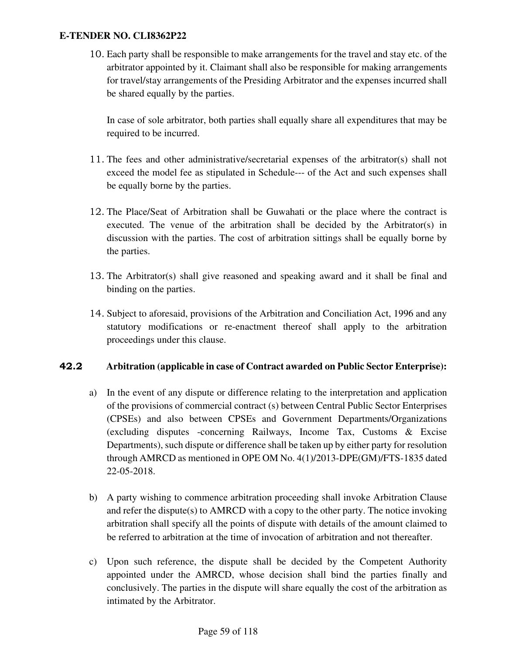10. Each party shall be responsible to make arrangements for the travel and stay etc. of the arbitrator appointed by it. Claimant shall also be responsible for making arrangements for travel/stay arrangements of the Presiding Arbitrator and the expenses incurred shall be shared equally by the parties.

In case of sole arbitrator, both parties shall equally share all expenditures that may be required to be incurred.

- 11. The fees and other administrative/secretarial expenses of the arbitrator(s) shall not exceed the model fee as stipulated in Schedule--- of the Act and such expenses shall be equally borne by the parties.
- 12. The Place/Seat of Arbitration shall be Guwahati or the place where the contract is executed. The venue of the arbitration shall be decided by the Arbitrator(s) in discussion with the parties. The cost of arbitration sittings shall be equally borne by the parties.
- 13. The Arbitrator(s) shall give reasoned and speaking award and it shall be final and binding on the parties.
- 14. Subject to aforesaid, provisions of the Arbitration and Conciliation Act, 1996 and any statutory modifications or re-enactment thereof shall apply to the arbitration proceedings under this clause.

### 42.2 **Arbitration (applicable in case of Contract awarded on Public Sector Enterprise):**

- a) In the event of any dispute or difference relating to the interpretation and application of the provisions of commercial contract (s) between Central Public Sector Enterprises (CPSEs) and also between CPSEs and Government Departments/Organizations (excluding disputes -concerning Railways, Income Tax, Customs & Excise Departments), such dispute or difference shall be taken up by either party for resolution through AMRCD as mentioned in OPE OM No. 4(1)/2013-DPE(GM)/FTS-1835 dated 22-05-2018.
- b) A party wishing to commence arbitration proceeding shall invoke Arbitration Clause and refer the dispute(s) to AMRCD with a copy to the other party. The notice invoking arbitration shall specify all the points of dispute with details of the amount claimed to be referred to arbitration at the time of invocation of arbitration and not thereafter.
- c) Upon such reference, the dispute shall be decided by the Competent Authority appointed under the AMRCD, whose decision shall bind the parties finally and conclusively. The parties in the dispute will share equally the cost of the arbitration as intimated by the Arbitrator.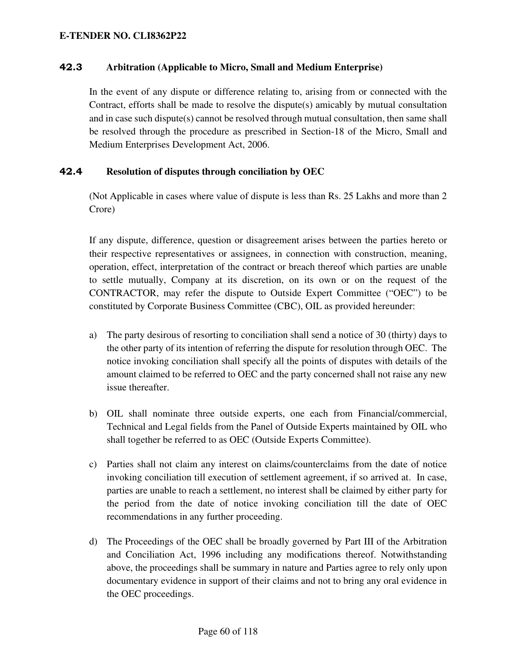#### 42.3 **Arbitration (Applicable to Micro, Small and Medium Enterprise)**

In the event of any dispute or difference relating to, arising from or connected with the Contract, efforts shall be made to resolve the dispute(s) amicably by mutual consultation and in case such dispute(s) cannot be resolved through mutual consultation, then same shall be resolved through the procedure as prescribed in Section-18 of the Micro, Small and Medium Enterprises Development Act, 2006.

#### 42.4 **Resolution of disputes through conciliation by OEC**

(Not Applicable in cases where value of dispute is less than Rs. 25 Lakhs and more than 2 Crore)

If any dispute, difference, question or disagreement arises between the parties hereto or their respective representatives or assignees, in connection with construction, meaning, operation, effect, interpretation of the contract or breach thereof which parties are unable to settle mutually, Company at its discretion, on its own or on the request of the CONTRACTOR, may refer the dispute to Outside Expert Committee ("OEC") to be constituted by Corporate Business Committee (CBC), OIL as provided hereunder:

- a) The party desirous of resorting to conciliation shall send a notice of 30 (thirty) days to the other party of its intention of referring the dispute for resolution through OEC. The notice invoking conciliation shall specify all the points of disputes with details of the amount claimed to be referred to OEC and the party concerned shall not raise any new issue thereafter.
- b) OIL shall nominate three outside experts, one each from Financial/commercial, Technical and Legal fields from the Panel of Outside Experts maintained by OIL who shall together be referred to as OEC (Outside Experts Committee).
- c) Parties shall not claim any interest on claims/counterclaims from the date of notice invoking conciliation till execution of settlement agreement, if so arrived at. In case, parties are unable to reach a settlement, no interest shall be claimed by either party for the period from the date of notice invoking conciliation till the date of OEC recommendations in any further proceeding.
- d) The Proceedings of the OEC shall be broadly governed by Part III of the Arbitration and Conciliation Act, 1996 including any modifications thereof. Notwithstanding above, the proceedings shall be summary in nature and Parties agree to rely only upon documentary evidence in support of their claims and not to bring any oral evidence in the OEC proceedings.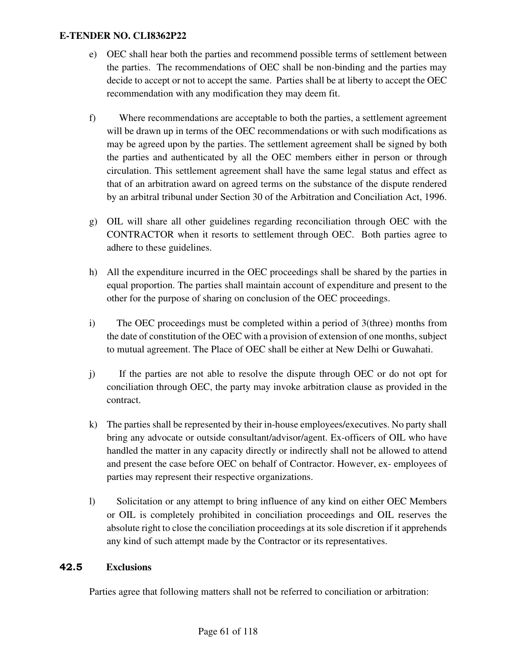- e) OEC shall hear both the parties and recommend possible terms of settlement between the parties. The recommendations of OEC shall be non-binding and the parties may decide to accept or not to accept the same. Parties shall be at liberty to accept the OEC recommendation with any modification they may deem fit.
- f) Where recommendations are acceptable to both the parties, a settlement agreement will be drawn up in terms of the OEC recommendations or with such modifications as may be agreed upon by the parties. The settlement agreement shall be signed by both the parties and authenticated by all the OEC members either in person or through circulation. This settlement agreement shall have the same legal status and effect as that of an arbitration award on agreed terms on the substance of the dispute rendered by an arbitral tribunal under Section 30 of the Arbitration and Conciliation Act, 1996.
- g) OIL will share all other guidelines regarding reconciliation through OEC with the CONTRACTOR when it resorts to settlement through OEC. Both parties agree to adhere to these guidelines.
- h) All the expenditure incurred in the OEC proceedings shall be shared by the parties in equal proportion. The parties shall maintain account of expenditure and present to the other for the purpose of sharing on conclusion of the OEC proceedings.
- i) The OEC proceedings must be completed within a period of 3(three) months from the date of constitution of the OEC with a provision of extension of one months, subject to mutual agreement. The Place of OEC shall be either at New Delhi or Guwahati.
- j) If the parties are not able to resolve the dispute through OEC or do not opt for conciliation through OEC, the party may invoke arbitration clause as provided in the contract.
- k) The parties shall be represented by their in-house employees/executives. No party shall bring any advocate or outside consultant/advisor/agent. Ex-officers of OIL who have handled the matter in any capacity directly or indirectly shall not be allowed to attend and present the case before OEC on behalf of Contractor. However, ex- employees of parties may represent their respective organizations.
- l) Solicitation or any attempt to bring influence of any kind on either OEC Members or OIL is completely prohibited in conciliation proceedings and OIL reserves the absolute right to close the conciliation proceedings at its sole discretion if it apprehends any kind of such attempt made by the Contractor or its representatives.

### 42.5 **Exclusions**

Parties agree that following matters shall not be referred to conciliation or arbitration: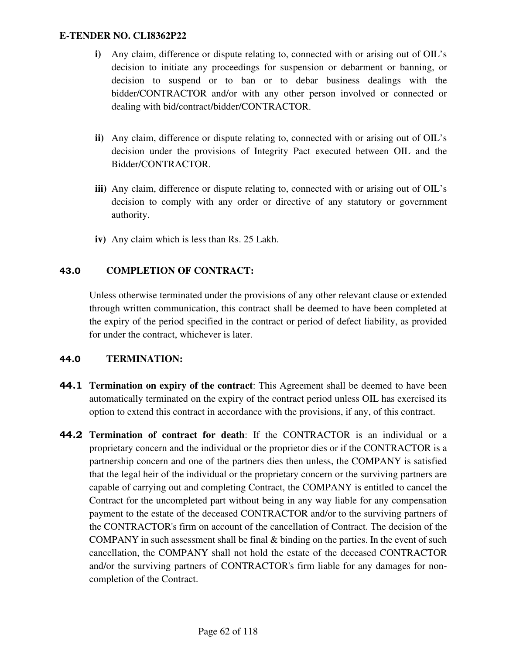- **i**) Any claim, difference or dispute relating to, connected with or arising out of OIL's decision to initiate any proceedings for suspension or debarment or banning, or decision to suspend or to ban or to debar business dealings with the bidder/CONTRACTOR and/or with any other person involved or connected or dealing with bid/contract/bidder/CONTRACTOR.
- **ii)** Any claim, difference or dispute relating to, connected with or arising out of OIL's decision under the provisions of Integrity Pact executed between OIL and the Bidder/CONTRACTOR.
- iii) Any claim, difference or dispute relating to, connected with or arising out of OIL's decision to comply with any order or directive of any statutory or government authority.
- **iv)** Any claim which is less than Rs. 25 Lakh.

# 43.0 **COMPLETION OF CONTRACT:**

Unless otherwise terminated under the provisions of any other relevant clause or extended through written communication, this contract shall be deemed to have been completed at the expiry of the period specified in the contract or period of defect liability, as provided for under the contract, whichever is later.

### 44.0 **TERMINATION:**

- 44.1 **Termination on expiry of the contract**: This Agreement shall be deemed to have been automatically terminated on the expiry of the contract period unless OIL has exercised its option to extend this contract in accordance with the provisions, if any, of this contract.
- 44.2 **Termination of contract for death**: If the CONTRACTOR is an individual or a proprietary concern and the individual or the proprietor dies or if the CONTRACTOR is a partnership concern and one of the partners dies then unless, the COMPANY is satisfied that the legal heir of the individual or the proprietary concern or the surviving partners are capable of carrying out and completing Contract, the COMPANY is entitled to cancel the Contract for the uncompleted part without being in any way liable for any compensation payment to the estate of the deceased CONTRACTOR and/or to the surviving partners of the CONTRACTOR's firm on account of the cancellation of Contract. The decision of the COMPANY in such assessment shall be final  $\&$  binding on the parties. In the event of such cancellation, the COMPANY shall not hold the estate of the deceased CONTRACTOR and/or the surviving partners of CONTRACTOR's firm liable for any damages for noncompletion of the Contract.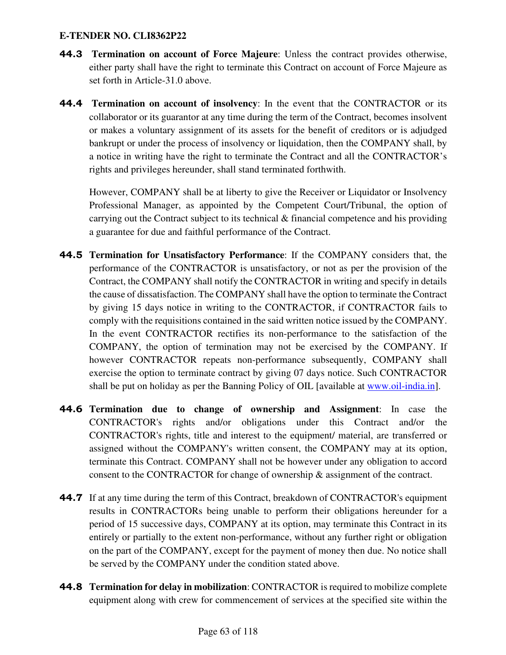- 44.3 **Termination on account of Force Majeure**: Unless the contract provides otherwise, either party shall have the right to terminate this Contract on account of Force Majeure as set forth in Article-31.0 above.
- 44.4 **Termination on account of insolvency**: In the event that the CONTRACTOR or its collaborator or its guarantor at any time during the term of the Contract, becomes insolvent or makes a voluntary assignment of its assets for the benefit of creditors or is adjudged bankrupt or under the process of insolvency or liquidation, then the COMPANY shall, by a notice in writing have the right to terminate the Contract and all the CONTRACTOR's rights and privileges hereunder, shall stand terminated forthwith.

 However, COMPANY shall be at liberty to give the Receiver or Liquidator or Insolvency Professional Manager, as appointed by the Competent Court/Tribunal, the option of carrying out the Contract subject to its technical & financial competence and his providing a guarantee for due and faithful performance of the Contract.

- 44.5 **Termination for Unsatisfactory Performance**: If the COMPANY considers that, the performance of the CONTRACTOR is unsatisfactory, or not as per the provision of the Contract, the COMPANY shall notify the CONTRACTOR in writing and specify in details the cause of dissatisfaction. The COMPANY shall have the option to terminate the Contract by giving 15 days notice in writing to the CONTRACTOR, if CONTRACTOR fails to comply with the requisitions contained in the said written notice issued by the COMPANY. In the event CONTRACTOR rectifies its non-performance to the satisfaction of the COMPANY, the option of termination may not be exercised by the COMPANY. If however CONTRACTOR repeats non-performance subsequently, COMPANY shall exercise the option to terminate contract by giving 07 days notice. Such CONTRACTOR shall be put on holiday as per the Banning Policy of OIL [available at www.oil-india.in].
- 44.6 **Termination due to change of ownership and Assignment**: In case the CONTRACTOR's rights and/or obligations under this Contract and/or the CONTRACTOR's rights, title and interest to the equipment/ material, are transferred or assigned without the COMPANY's written consent, the COMPANY may at its option, terminate this Contract. COMPANY shall not be however under any obligation to accord consent to the CONTRACTOR for change of ownership & assignment of the contract.
- **44.7** If at any time during the term of this Contract, breakdown of CONTRACTOR's equipment results in CONTRACTORs being unable to perform their obligations hereunder for a period of 15 successive days, COMPANY at its option, may terminate this Contract in its entirely or partially to the extent non-performance, without any further right or obligation on the part of the COMPANY, except for the payment of money then due. No notice shall be served by the COMPANY under the condition stated above.
- 44.8 **Termination for delay in mobilization**: CONTRACTOR is required to mobilize complete equipment along with crew for commencement of services at the specified site within the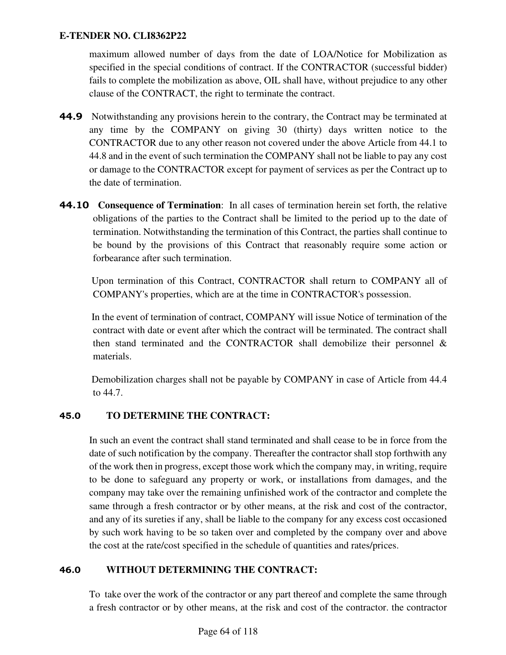maximum allowed number of days from the date of LOA/Notice for Mobilization as specified in the special conditions of contract. If the CONTRACTOR (successful bidder) fails to complete the mobilization as above, OIL shall have, without prejudice to any other clause of the CONTRACT, the right to terminate the contract.

- 44.9 Notwithstanding any provisions herein to the contrary, the Contract may be terminated at any time by the COMPANY on giving 30 (thirty) days written notice to the CONTRACTOR due to any other reason not covered under the above Article from 44.1 to 44.8 and in the event of such termination the COMPANY shall not be liable to pay any cost or damage to the CONTRACTOR except for payment of services as per the Contract up to the date of termination.
- **44.10 Consequence of Termination**: In all cases of termination herein set forth, the relative obligations of the parties to the Contract shall be limited to the period up to the date of termination. Notwithstanding the termination of this Contract, the parties shall continue to be bound by the provisions of this Contract that reasonably require some action or forbearance after such termination.

 Upon termination of this Contract, CONTRACTOR shall return to COMPANY all of COMPANY's properties, which are at the time in CONTRACTOR's possession.

 In the event of termination of contract, COMPANY will issue Notice of termination of the contract with date or event after which the contract will be terminated. The contract shall then stand terminated and the CONTRACTOR shall demobilize their personnel & materials.

 Demobilization charges shall not be payable by COMPANY in case of Article from 44.4 to 44.7.

# 45.0 **TO DETERMINE THE CONTRACT:**

In such an event the contract shall stand terminated and shall cease to be in force from the date of such notification by the company. Thereafter the contractor shall stop forthwith any of the work then in progress, except those work which the company may, in writing, require to be done to safeguard any property or work, or installations from damages, and the company may take over the remaining unfinished work of the contractor and complete the same through a fresh contractor or by other means, at the risk and cost of the contractor, and any of its sureties if any, shall be liable to the company for any excess cost occasioned by such work having to be so taken over and completed by the company over and above the cost at the rate/cost specified in the schedule of quantities and rates/prices.

### 46.0 **WITHOUT DETERMINING THE CONTRACT:**

To take over the work of the contractor or any part thereof and complete the same through a fresh contractor or by other means, at the risk and cost of the contractor. the contractor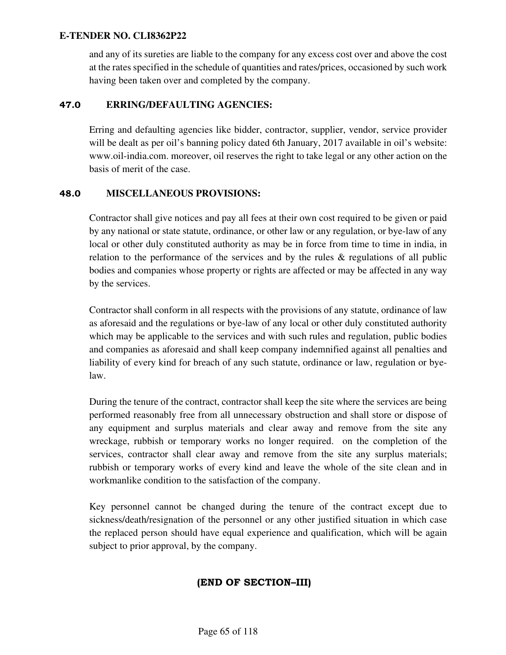and any of its sureties are liable to the company for any excess cost over and above the cost at the rates specified in the schedule of quantities and rates/prices, occasioned by such work having been taken over and completed by the company.

### 47.0 **ERRING/DEFAULTING AGENCIES:**

Erring and defaulting agencies like bidder, contractor, supplier, vendor, service provider will be dealt as per oil's banning policy dated 6th January, 2017 available in oil's website: www.oil-india.com. moreover, oil reserves the right to take legal or any other action on the basis of merit of the case.

### 48.0 **MISCELLANEOUS PROVISIONS:**

Contractor shall give notices and pay all fees at their own cost required to be given or paid by any national or state statute, ordinance, or other law or any regulation, or bye-law of any local or other duly constituted authority as may be in force from time to time in india, in relation to the performance of the services and by the rules & regulations of all public bodies and companies whose property or rights are affected or may be affected in any way by the services.

Contractor shall conform in all respects with the provisions of any statute, ordinance of law as aforesaid and the regulations or bye-law of any local or other duly constituted authority which may be applicable to the services and with such rules and regulation, public bodies and companies as aforesaid and shall keep company indemnified against all penalties and liability of every kind for breach of any such statute, ordinance or law, regulation or byelaw.

During the tenure of the contract, contractor shall keep the site where the services are being performed reasonably free from all unnecessary obstruction and shall store or dispose of any equipment and surplus materials and clear away and remove from the site any wreckage, rubbish or temporary works no longer required. on the completion of the services, contractor shall clear away and remove from the site any surplus materials; rubbish or temporary works of every kind and leave the whole of the site clean and in workmanlike condition to the satisfaction of the company.

Key personnel cannot be changed during the tenure of the contract except due to sickness/death/resignation of the personnel or any other justified situation in which case the replaced person should have equal experience and qualification, which will be again subject to prior approval, by the company.

# (END OF SECTION–III)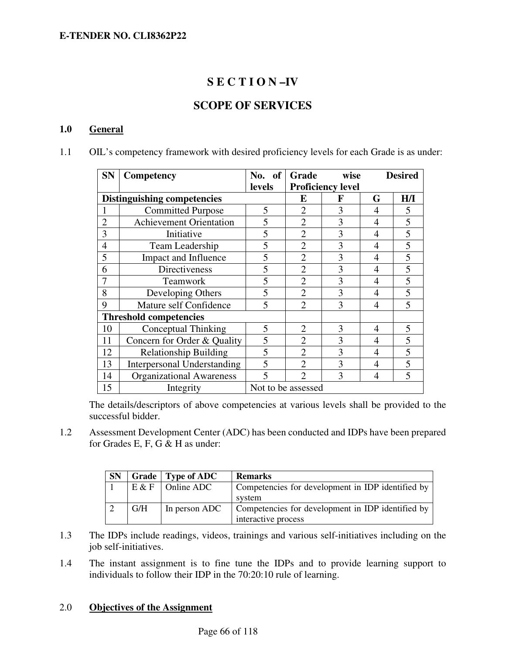# **S E C T I O N –IV**

# **SCOPE OF SERVICES**

#### **1.0 General**

1.1 OIL's competency framework with desired proficiency levels for each Grade is as under:

| <b>SN</b>      | Competency                         | No. of                  | Grade              | wise                     |   | <b>Desired</b>          |
|----------------|------------------------------------|-------------------------|--------------------|--------------------------|---|-------------------------|
|                |                                    | levels                  |                    | <b>Proficiency level</b> |   |                         |
|                | <b>Distinguishing competencies</b> |                         | E                  | F                        | G | H/I                     |
| 1              | <b>Committed Purpose</b>           | 5                       | $\overline{2}$     | 3                        | 4 | 5                       |
| $\overline{2}$ | <b>Achievement Orientation</b>     | 5                       | $\overline{2}$     | 3                        | 4 | 5                       |
| 3              | Initiative                         | 5                       | $\overline{2}$     | 3                        | 4 | 5                       |
| $\overline{4}$ | Team Leadership                    | 5                       | $\overline{2}$     | 3                        | 4 | 5                       |
| 5              | Impact and Influence               | 5                       | $\overline{2}$     | 3                        | 4 | 5                       |
| 6              | Directiveness                      | 5                       | $\overline{2}$     | 3                        | 4 | 5                       |
|                | Teamwork                           | 5                       | $\overline{2}$     | 3                        | 4 | 5                       |
| 8              | Developing Others                  | 5                       | $\mathfrak{D}$     | 3                        | 4 | 5                       |
| 9              | Mature self Confidence             | $\overline{5}$          | $\mathfrak{D}$     | 3                        | 4 | $\overline{\mathbf{S}}$ |
|                | <b>Threshold competencies</b>      |                         |                    |                          |   |                         |
| 10             | Conceptual Thinking                | 5                       | $\overline{2}$     | 3                        | 4 | 5                       |
| 11             | Concern for Order & Quality        | 5                       | $\overline{2}$     | 3                        | 4 | 5                       |
| 12             | <b>Relationship Building</b>       | 5                       | $\mathfrak{D}$     | 3                        | 4 | 5                       |
| 13             | <b>Interpersonal Understanding</b> | 5                       | $\mathfrak{D}$     | 3                        | 4 | 5                       |
| 14             | <b>Organizational Awareness</b>    | $\overline{\mathbf{5}}$ | $\mathcal{D}$      | 3                        | 4 | 5                       |
| 15             | Integrity                          |                         | Not to be assessed |                          |   |                         |

The details/descriptors of above competencies at various levels shall be provided to the successful bidder.

1.2 Assessment Development Center (ADC) has been conducted and IDPs have been prepared for Grades E, F, G & H as under:

| <b>SN</b> |       | Grade   Type of ADC | <b>Remarks</b>                                    |
|-----------|-------|---------------------|---------------------------------------------------|
|           | E & F | <b>Online ADC</b>   | Competencies for development in IDP identified by |
|           |       |                     | system                                            |
|           | G/H   | In person ADC       | Competencies for development in IDP identified by |
|           |       |                     | interactive process                               |

- 1.3 The IDPs include readings, videos, trainings and various self-initiatives including on the job self-initiatives.
- 1.4 The instant assignment is to fine tune the IDPs and to provide learning support to individuals to follow their IDP in the 70:20:10 rule of learning.

#### 2.0 **Objectives of the Assignment**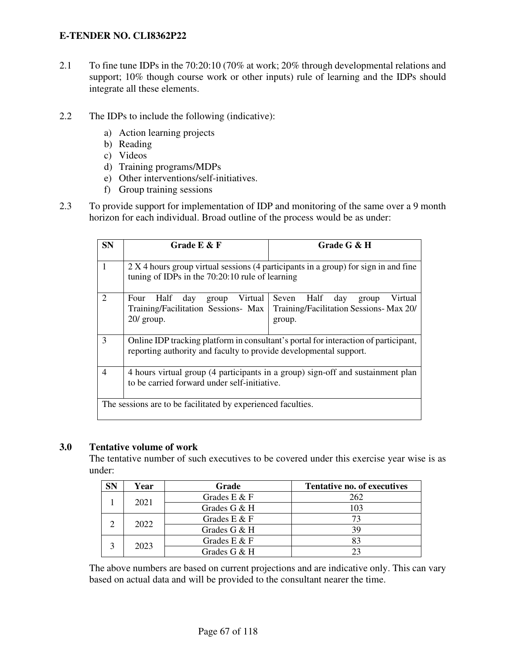- 2.1 To fine tune IDPs in the 70:20:10 (70% at work; 20% through developmental relations and support; 10% though course work or other inputs) rule of learning and the IDPs should integrate all these elements.
- 2.2 The IDPs to include the following (indicative):
	- a) Action learning projects
	- b) Reading
	- c) Videos
	- d) Training programs/MDPs
	- e) Other interventions/self-initiatives.
	- f) Group training sessions
- 2.3 To provide support for implementation of IDP and monitoring of the same over a 9 month horizon for each individual. Broad outline of the process would be as under:

| <b>SN</b>                                                    | Grade $E$ & $F$                                                                                                                                          | Grade G & H                                                                               |  |  |
|--------------------------------------------------------------|----------------------------------------------------------------------------------------------------------------------------------------------------------|-------------------------------------------------------------------------------------------|--|--|
| 1                                                            | 2 X 4 hours group virtual sessions (4 participants in a group) for sign in and fine<br>tuning of IDPs in the $70:20:10$ rule of learning                 |                                                                                           |  |  |
| 2                                                            | Virtual<br>Four Half day<br>group<br>Training/Facilitation Sessions- Max<br>$20/$ group.                                                                 | Half day<br>Virtual<br>Seven<br>group<br>Training/Facilitation Sessions-Max 20/<br>group. |  |  |
| 3                                                            | Online IDP tracking platform in consultant's portal for interaction of participant,<br>reporting authority and faculty to provide developmental support. |                                                                                           |  |  |
| $\overline{4}$                                               | 4 hours virtual group (4 participants in a group) sign-off and sustainment plan<br>to be carried forward under self-initiative.                          |                                                                                           |  |  |
| The sessions are to be facilitated by experienced faculties. |                                                                                                                                                          |                                                                                           |  |  |

#### **3.0 Tentative volume of work**

The tentative number of such executives to be covered under this exercise year wise is as under:

| <b>SN</b> | Year           | Grade           | Tentative no. of executives |
|-----------|----------------|-----------------|-----------------------------|
|           | 2021           | Grades $E \& F$ | 262                         |
|           |                | Grades G & H    | 103                         |
|           | 2022           | Grades $E \& F$ |                             |
|           |                | Grades G & H    | 39                          |
|           |                | Grades $E \& F$ |                             |
| 2023      | Grades G $&$ H |                 |                             |

The above numbers are based on current projections and are indicative only. This can vary based on actual data and will be provided to the consultant nearer the time.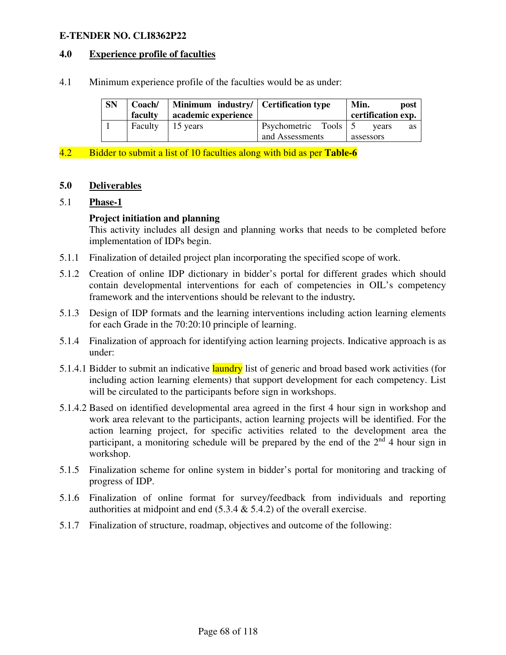#### **4.0 Experience profile of faculties**

4.1 Minimum experience profile of the faculties would be as under:

| <b>SN</b> | Coach/<br>faculty | Minimum industry/ Certification type<br>academic experience |                      | Min.<br>post<br>certification exp. |
|-----------|-------------------|-------------------------------------------------------------|----------------------|------------------------------------|
|           | Faculty           | 15 years                                                    | Psychometric Tools 5 | vears<br>as                        |
|           |                   |                                                             | and Assessments      | assessors                          |

4.2 Bidder to submit a list of 10 faculties along with bid as per **Table-6** 

#### **5.0 Deliverables**

### 5.1 **Phase-1**

#### **Project initiation and planning**

This activity includes all design and planning works that needs to be completed before implementation of IDPs begin.

- 5.1.1 Finalization of detailed project plan incorporating the specified scope of work.
- 5.1.2 Creation of online IDP dictionary in bidder's portal for different grades which should contain developmental interventions for each of competencies in OIL's competency framework and the interventions should be relevant to the industry*.*
- 5.1.3 Design of IDP formats and the learning interventions including action learning elements for each Grade in the 70:20:10 principle of learning.
- 5.1.4 Finalization of approach for identifying action learning projects. Indicative approach is as under:
- 5.1.4.1 Bidder to submit an indicative laundry list of generic and broad based work activities (for including action learning elements) that support development for each competency. List will be circulated to the participants before sign in workshops.
- 5.1.4.2 Based on identified developmental area agreed in the first 4 hour sign in workshop and work area relevant to the participants, action learning projects will be identified. For the action learning project, for specific activities related to the development area the participant, a monitoring schedule will be prepared by the end of the  $2<sup>nd</sup>$  4 hour sign in workshop.
- 5.1.5 Finalization scheme for online system in bidder's portal for monitoring and tracking of progress of IDP.
- 5.1.6 Finalization of online format for survey/feedback from individuals and reporting authorities at midpoint and end  $(5.3.4 \& 5.4.2)$  of the overall exercise.
- 5.1.7 Finalization of structure, roadmap, objectives and outcome of the following: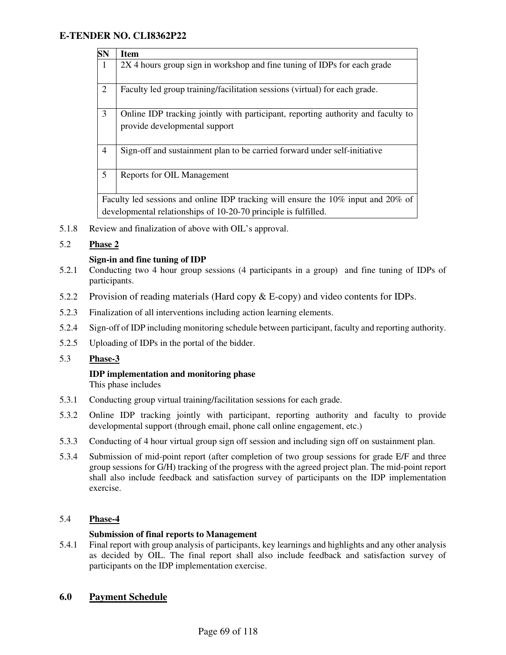| $\overline{\text{SN}}$ | <b>Item</b>                                                                                                       |  |  |
|------------------------|-------------------------------------------------------------------------------------------------------------------|--|--|
| $\mathbf{1}$           | 2X 4 hours group sign in workshop and fine tuning of IDPs for each grade                                          |  |  |
| $\overline{2}$         | Faculty led group training/facilitation sessions (virtual) for each grade.                                        |  |  |
| 3                      | Online IDP tracking jointly with participant, reporting authority and faculty to<br>provide developmental support |  |  |
| $\overline{4}$         | Sign-off and sustainment plan to be carried forward under self-initiative                                         |  |  |
| 5                      | Reports for OIL Management                                                                                        |  |  |
|                        | Faculty led sessions and online IDP tracking will ensure the 10% input and 20% of                                 |  |  |
|                        | developmental relationships of 10-20-70 principle is fulfilled.                                                   |  |  |

5.1.8 Review and finalization of above with OIL's approval.

#### 5.2 **Phase 2**

#### **Sign-in and fine tuning of IDP**

- 5.2.1 Conducting two 4 hour group sessions (4 participants in a group) and fine tuning of IDPs of participants.
- 5.2.2 Provision of reading materials (Hard copy & E-copy) and video contents for IDPs.
- 5.2.3 Finalization of all interventions including action learning elements.
- 5.2.4 Sign-off of IDP including monitoring schedule between participant, faculty and reporting authority.
- 5.2.5 Uploading of IDPs in the portal of the bidder.

#### 5.3 **Phase-3**

# **IDP implementation and monitoring phase**

This phase includes

- 5.3.1 Conducting group virtual training/facilitation sessions for each grade.
- 5.3.2 Online IDP tracking jointly with participant, reporting authority and faculty to provide developmental support (through email, phone call online engagement, etc.)
- 5.3.3 Conducting of 4 hour virtual group sign off session and including sign off on sustainment plan.
- 5.3.4 Submission of mid-point report (after completion of two group sessions for grade E/F and three group sessions for G/H) tracking of the progress with the agreed project plan. The mid-point report shall also include feedback and satisfaction survey of participants on the IDP implementation exercise.

#### 5.4 **Phase-4**

#### **Submission of final reports to Management**

5.4.1 Final report with group analysis of participants, key learnings and highlights and any other analysis as decided by OIL. The final report shall also include feedback and satisfaction survey of participants on the IDP implementation exercise.

#### **6.0 Payment Schedule**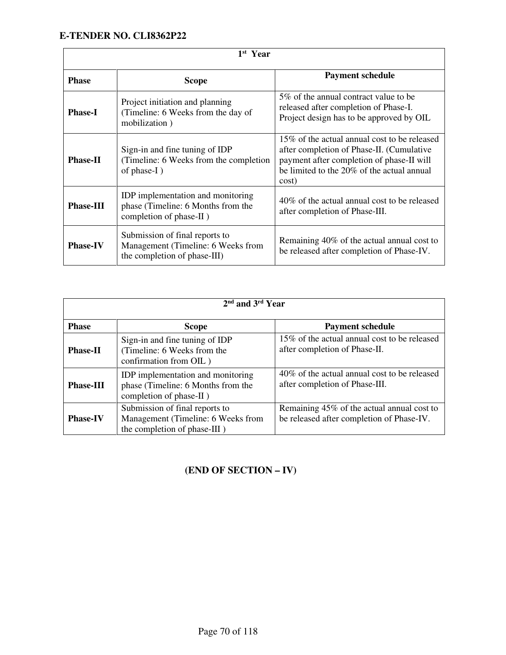| 1 <sup>st</sup> Year |                                                                                                      |                                                                                                                                                                                               |  |
|----------------------|------------------------------------------------------------------------------------------------------|-----------------------------------------------------------------------------------------------------------------------------------------------------------------------------------------------|--|
| <b>Phase</b>         | <b>Scope</b>                                                                                         | <b>Payment schedule</b>                                                                                                                                                                       |  |
| <b>Phase-I</b>       | Project initiation and planning<br>(Timeline: 6 Weeks from the day of<br>mobilization)               | 5\% of the annual contract value to be<br>released after completion of Phase-I.<br>Project design has to be approved by OIL                                                                   |  |
| <b>Phase-II</b>      | Sign-in and fine tuning of IDP<br>(Timeline: 6 Weeks from the completion)<br>of phase-I)             | 15% of the actual annual cost to be released<br>after completion of Phase-II. (Cumulative<br>payment after completion of phase-II will<br>be limited to the 20% of the actual annual<br>cost) |  |
| <b>Phase-III</b>     | IDP implementation and monitoring<br>phase (Timeline: 6 Months from the<br>completion of phase-II)   | 40\% of the actual annual cost to be released<br>after completion of Phase-III.                                                                                                               |  |
| <b>Phase-IV</b>      | Submission of final reports to<br>Management (Timeline: 6 Weeks from<br>the completion of phase-III) | Remaining 40% of the actual annual cost to<br>be released after completion of Phase-IV.                                                                                                       |  |

| 2 <sup>nd</sup> and 3 <sup>rd</sup> Year |                                                                                                      |                                                                                         |  |  |
|------------------------------------------|------------------------------------------------------------------------------------------------------|-----------------------------------------------------------------------------------------|--|--|
| <b>Phase</b>                             | <b>Scope</b>                                                                                         | <b>Payment schedule</b>                                                                 |  |  |
| <b>Phase-II</b>                          | Sign-in and fine tuning of IDP<br>(Timeline: 6 Weeks from the<br>confirmation from OIL)              | 15% of the actual annual cost to be released<br>after completion of Phase-II.           |  |  |
| <b>Phase-III</b>                         | IDP implementation and monitoring<br>phase (Timeline: 6 Months from the<br>completion of phase-II)   | 40\% of the actual annual cost to be released<br>after completion of Phase-III.         |  |  |
| <b>Phase-IV</b>                          | Submission of final reports to<br>Management (Timeline: 6 Weeks from<br>the completion of phase-III) | Remaining 45% of the actual annual cost to<br>be released after completion of Phase-IV. |  |  |

# **(END OF SECTION – IV)**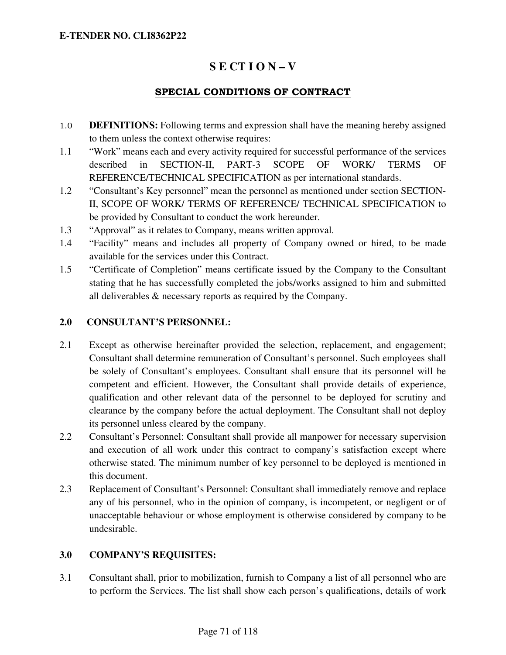# **S E CT I O N – V**

### SPECIAL CONDITIONS OF CONTRACT

- 1.0 **DEFINITIONS:** Following terms and expression shall have the meaning hereby assigned to them unless the context otherwise requires:
- 1.1 "Work" means each and every activity required for successful performance of the services described in SECTION-II, PART-3 SCOPE OF WORK/ TERMS OF REFERENCE/TECHNICAL SPECIFICATION as per international standards.
- 1.2 "Consultant's Key personnel" mean the personnel as mentioned under section SECTION-II, SCOPE OF WORK/ TERMS OF REFERENCE/ TECHNICAL SPECIFICATION to be provided by Consultant to conduct the work hereunder.
- 1.3 "Approval" as it relates to Company, means written approval.
- 1.4 "Facility" means and includes all property of Company owned or hired, to be made available for the services under this Contract.
- 1.5 "Certificate of Completion" means certificate issued by the Company to the Consultant stating that he has successfully completed the jobs/works assigned to him and submitted all deliverables & necessary reports as required by the Company.

#### **2.0 CONSULTANT'S PERSONNEL:**

- 2.1 Except as otherwise hereinafter provided the selection, replacement, and engagement; Consultant shall determine remuneration of Consultant's personnel. Such employees shall be solely of Consultant's employees. Consultant shall ensure that its personnel will be competent and efficient. However, the Consultant shall provide details of experience, qualification and other relevant data of the personnel to be deployed for scrutiny and clearance by the company before the actual deployment. The Consultant shall not deploy its personnel unless cleared by the company.
- 2.2 Consultant's Personnel: Consultant shall provide all manpower for necessary supervision and execution of all work under this contract to company's satisfaction except where otherwise stated. The minimum number of key personnel to be deployed is mentioned in this document.
- 2.3 Replacement of Consultant's Personnel: Consultant shall immediately remove and replace any of his personnel, who in the opinion of company, is incompetent, or negligent or of unacceptable behaviour or whose employment is otherwise considered by company to be undesirable.

### **3.0 COMPANY'S REQUISITES:**

3.1 Consultant shall, prior to mobilization, furnish to Company a list of all personnel who are to perform the Services. The list shall show each person's qualifications, details of work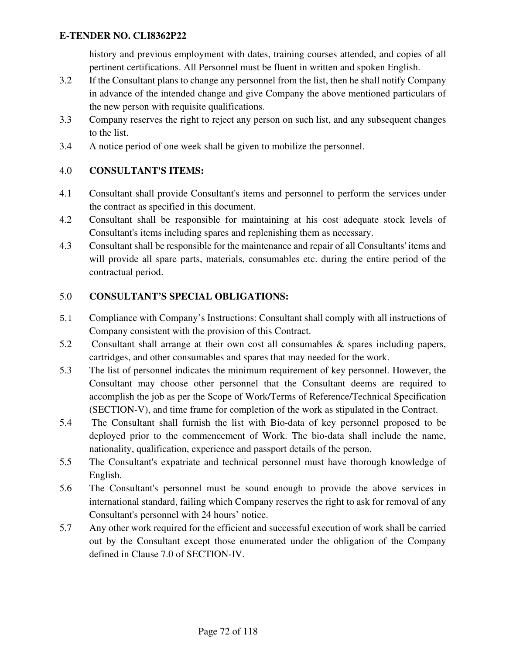history and previous employment with dates, training courses attended, and copies of all pertinent certifications. All Personnel must be fluent in written and spoken English.

- 3.2 If the Consultant plans to change any personnel from the list, then he shall notify Company in advance of the intended change and give Company the above mentioned particulars of the new person with requisite qualifications.
- 3.3 Company reserves the right to reject any person on such list, and any subsequent changes to the list.
- 3.4 A notice period of one week shall be given to mobilize the personnel.

#### 4.0 **CONSULTANT'S ITEMS:**

- 4.1 Consultant shall provide Consultant's items and personnel to perform the services under the contract as specified in this document.
- 4.2 Consultant shall be responsible for maintaining at his cost adequate stock levels of Consultant's items including spares and replenishing them as necessary.
- 4.3 Consultant shall be responsible for the maintenance and repair of all Consultants' items and will provide all spare parts, materials, consumables etc. during the entire period of the contractual period.

#### 5.0 **CONSULTANT'S SPECIAL OBLIGATIONS:**

- 5.1 Compliance with Company's Instructions: Consultant shall comply with all instructions of Company consistent with the provision of this Contract.
- 5.2 Consultant shall arrange at their own cost all consumables & spares including papers, cartridges, and other consumables and spares that may needed for the work.
- 5.3 The list of personnel indicates the minimum requirement of key personnel. However, the Consultant may choose other personnel that the Consultant deems are required to accomplish the job as per the Scope of Work/Terms of Reference/Technical Specification (SECTION-V), and time frame for completion of the work as stipulated in the Contract.
- 5.4 The Consultant shall furnish the list with Bio-data of key personnel proposed to be deployed prior to the commencement of Work. The bio-data shall include the name, nationality, qualification, experience and passport details of the person.
- 5.5 The Consultant's expatriate and technical personnel must have thorough knowledge of English.
- 5.6 The Consultant's personnel must be sound enough to provide the above services in international standard, failing which Company reserves the right to ask for removal of any Consultant's personnel with 24 hours' notice.
- 5.7 Any other work required for the efficient and successful execution of work shall be carried out by the Consultant except those enumerated under the obligation of the Company defined in Clause 7.0 of SECTION-IV.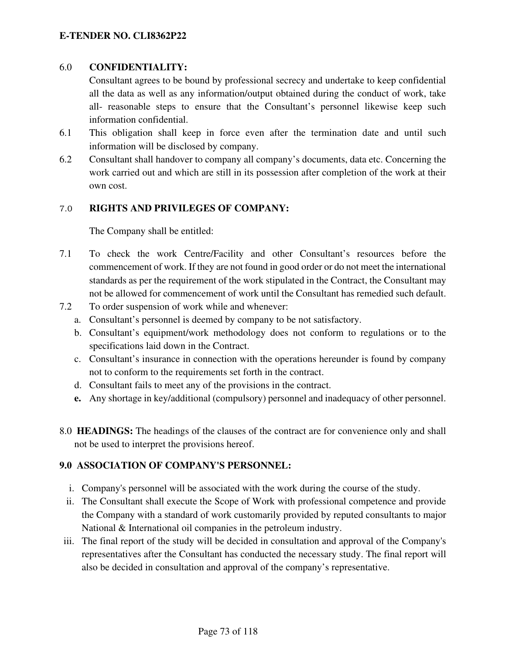# 6.0 **CONFIDENTIALITY:**

 Consultant agrees to be bound by professional secrecy and undertake to keep confidential all the data as well as any information/output obtained during the conduct of work, take all- reasonable steps to ensure that the Consultant's personnel likewise keep such information confidential.

- 6.1 This obligation shall keep in force even after the termination date and until such information will be disclosed by company.
- 6.2 Consultant shall handover to company all company's documents, data etc. Concerning the work carried out and which are still in its possession after completion of the work at their own cost.

# 7.0 **RIGHTS AND PRIVILEGES OF COMPANY:**

The Company shall be entitled:

- 7.1 To check the work Centre/Facility and other Consultant's resources before the commencement of work. If they are not found in good order or do not meet the international standards as per the requirement of the work stipulated in the Contract, the Consultant may not be allowed for commencement of work until the Consultant has remedied such default.
- 7.2 To order suspension of work while and whenever:
	- a. Consultant's personnel is deemed by company to be not satisfactory.
	- b. Consultant's equipment/work methodology does not conform to regulations or to the specifications laid down in the Contract.
	- c. Consultant's insurance in connection with the operations hereunder is found by company not to conform to the requirements set forth in the contract.
	- d. Consultant fails to meet any of the provisions in the contract.
	- **e.** Any shortage in key/additional (compulsory) personnel and inadequacy of other personnel.
- 8.0 **HEADINGS:** The headings of the clauses of the contract are for convenience only and shall not be used to interpret the provisions hereof.

# **9.0 ASSOCIATION OF COMPANY'S PERSONNEL:**

- i. Company's personnel will be associated with the work during the course of the study.
- ii. The Consultant shall execute the Scope of Work with professional competence and provide the Company with a standard of work customarily provided by reputed consultants to major National & International oil companies in the petroleum industry.
- iii. The final report of the study will be decided in consultation and approval of the Company's representatives after the Consultant has conducted the necessary study. The final report will also be decided in consultation and approval of the company's representative.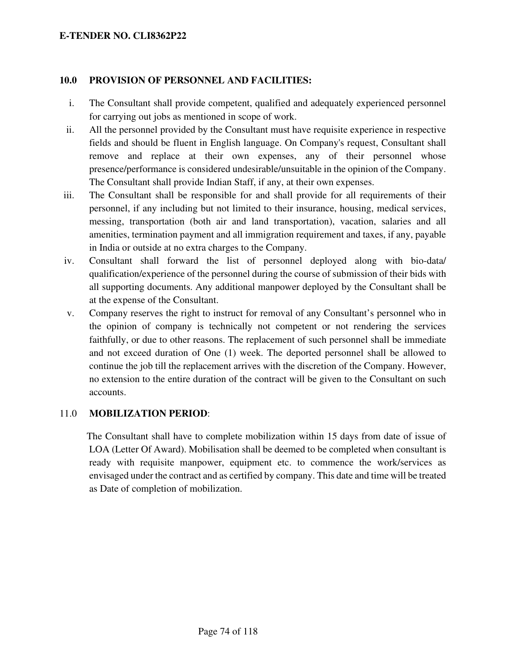### **10.0 PROVISION OF PERSONNEL AND FACILITIES:**

- i. The Consultant shall provide competent, qualified and adequately experienced personnel for carrying out jobs as mentioned in scope of work.
- ii. All the personnel provided by the Consultant must have requisite experience in respective fields and should be fluent in English language. On Company's request, Consultant shall remove and replace at their own expenses, any of their personnel whose presence/performance is considered undesirable/unsuitable in the opinion of the Company. The Consultant shall provide Indian Staff, if any, at their own expenses.
- iii. The Consultant shall be responsible for and shall provide for all requirements of their personnel, if any including but not limited to their insurance, housing, medical services, messing, transportation (both air and land transportation), vacation, salaries and all amenities, termination payment and all immigration requirement and taxes, if any, payable in India or outside at no extra charges to the Company.
- iv. Consultant shall forward the list of personnel deployed along with bio-data/ qualification/experience of the personnel during the course of submission of their bids with all supporting documents. Any additional manpower deployed by the Consultant shall be at the expense of the Consultant.
- v. Company reserves the right to instruct for removal of any Consultant's personnel who in the opinion of company is technically not competent or not rendering the services faithfully, or due to other reasons. The replacement of such personnel shall be immediate and not exceed duration of One (1) week. The deported personnel shall be allowed to continue the job till the replacement arrives with the discretion of the Company. However, no extension to the entire duration of the contract will be given to the Consultant on such accounts.

## 11.0 **MOBILIZATION PERIOD**:

 The Consultant shall have to complete mobilization within 15 days from date of issue of LOA (Letter Of Award). Mobilisation shall be deemed to be completed when consultant is ready with requisite manpower, equipment etc. to commence the work/services as envisaged under the contract and as certified by company. This date and time will be treated as Date of completion of mobilization.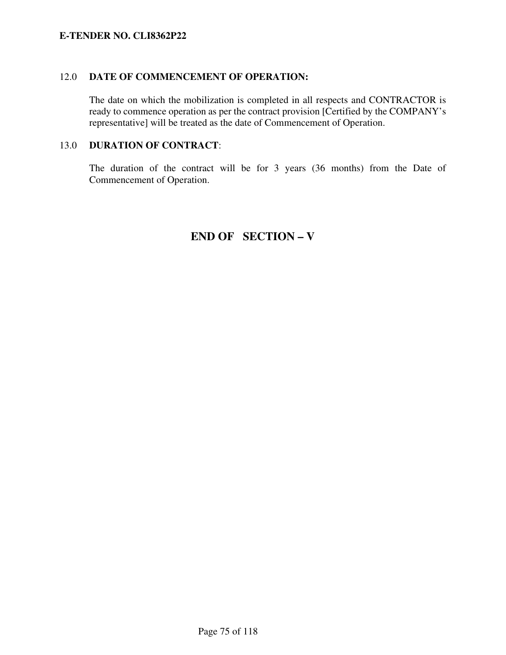### 12.0 **DATE OF COMMENCEMENT OF OPERATION:**

 The date on which the mobilization is completed in all respects and CONTRACTOR is ready to commence operation as per the contract provision [Certified by the COMPANY's representative] will be treated as the date of Commencement of Operation.

## 13.0 **DURATION OF CONTRACT**:

 The duration of the contract will be for 3 years (36 months) from the Date of Commencement of Operation.

# **END OF SECTION – V**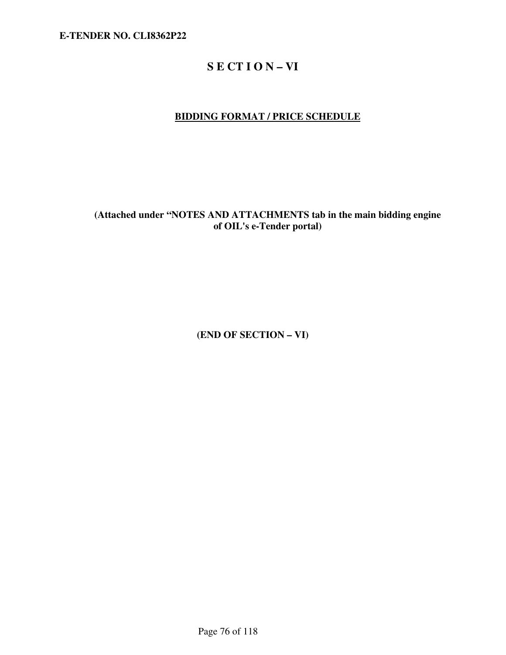# **S E CT I O N – VI**

# **BIDDING FORMAT / PRICE SCHEDULE**

**(Attached under "NOTES AND ATTACHMENTS tab in the main bidding engine of OIL's e-Tender portal)** 

**(END OF SECTION – VI)**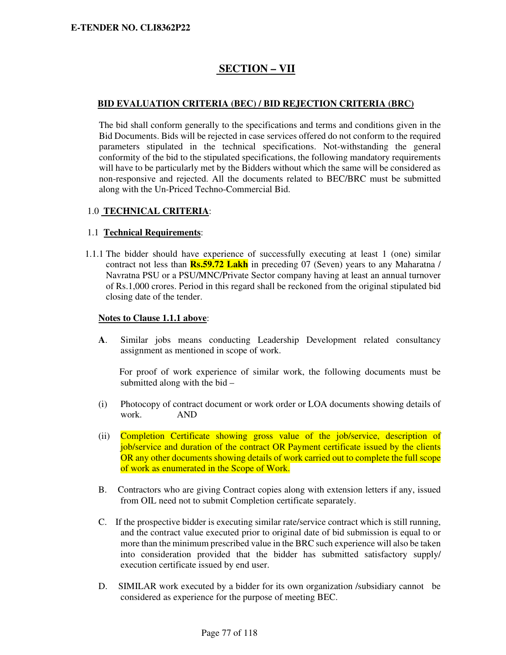# **SECTION – VII**

### **BID EVALUATION CRITERIA (BEC) / BID REJECTION CRITERIA (BRC)**

The bid shall conform generally to the specifications and terms and conditions given in the Bid Documents. Bids will be rejected in case services offered do not conform to the required parameters stipulated in the technical specifications. Not-withstanding the general conformity of the bid to the stipulated specifications, the following mandatory requirements will have to be particularly met by the Bidders without which the same will be considered as non-responsive and rejected. All the documents related to BEC/BRC must be submitted along with the Un-Priced Techno-Commercial Bid.

### 1.0 **TECHNICAL CRITERIA**:

#### 1.1 **Technical Requirements**:

1.1.1 The bidder should have experience of successfully executing at least 1 (one) similar contract not less than **Rs.59.72 Lakh** in preceding 07 (Seven) years to any Maharatna / Navratna PSU or a PSU/MNC/Private Sector company having at least an annual turnover of Rs.1,000 crores. Period in this regard shall be reckoned from the original stipulated bid closing date of the tender.

### **Notes to Clause 1.1.1 above**:

**A**. Similar jobs means conducting Leadership Development related consultancy assignment as mentioned in scope of work.

 For proof of work experience of similar work, the following documents must be submitted along with the bid –

- (i) Photocopy of contract document or work order or LOA documents showing details of work. AND
- (ii) Completion Certificate showing gross value of the job/service, description of job/service and duration of the contract OR Payment certificate issued by the clients OR any other documents showing details of work carried out to complete the full scope of work as enumerated in the Scope of Work.
- B. Contractors who are giving Contract copies along with extension letters if any, issued from OIL need not to submit Completion certificate separately.
- C. If the prospective bidder is executing similar rate/service contract which is still running, and the contract value executed prior to original date of bid submission is equal to or more than the minimum prescribed value in the BRC such experience will also be taken into consideration provided that the bidder has submitted satisfactory supply/ execution certificate issued by end user.
- D. SIMILAR work executed by a bidder for its own organization /subsidiary cannot be considered as experience for the purpose of meeting BEC.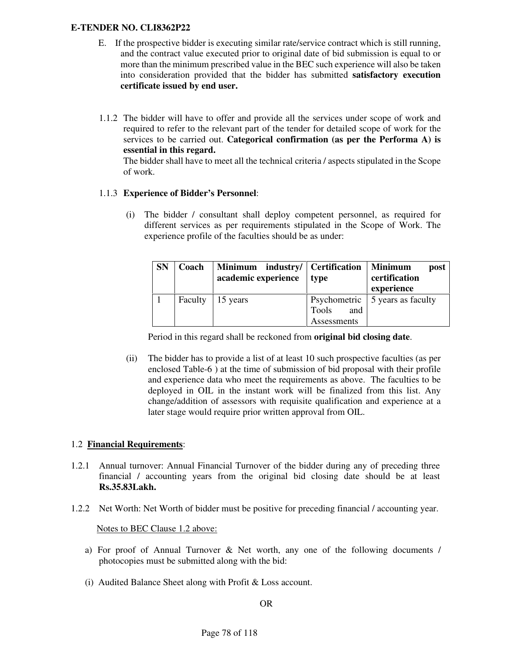- E. If the prospective bidder is executing similar rate/service contract which is still running, and the contract value executed prior to original date of bid submission is equal to or more than the minimum prescribed value in the BEC such experience will also be taken into consideration provided that the bidder has submitted **satisfactory execution certificate issued by end user.**
- 1.1.2 The bidder will have to offer and provide all the services under scope of work and required to refer to the relevant part of the tender for detailed scope of work for the services to be carried out. **Categorical confirmation (as per the Performa A) is essential in this regard.**

 The bidder shall have to meet all the technical criteria / aspects stipulated in the Scope of work.

### 1.1.3 **Experience of Bidder's Personnel**:

(i) The bidder / consultant shall deploy competent personnel, as required for different services as per requirements stipulated in the Scope of Work. The experience profile of the faculties should be as under:

| <b>SN</b> | Coach | Minimum industry/ Certification   Minimum<br>academic experience | type         | post  <br>certification<br>experience   |
|-----------|-------|------------------------------------------------------------------|--------------|-----------------------------------------|
|           |       | Faculty   15 years                                               |              | Psychometric $\vert$ 5 years as faculty |
|           |       |                                                                  | Tools<br>and |                                         |
|           |       |                                                                  | Assessments  |                                         |

Period in this regard shall be reckoned from **original bid closing date**.

(ii) The bidder has to provide a list of at least 10 such prospective faculties (as per enclosed Table-6 ) at the time of submission of bid proposal with their profile and experience data who meet the requirements as above. The faculties to be deployed in OIL in the instant work will be finalized from this list. Any change/addition of assessors with requisite qualification and experience at a later stage would require prior written approval from OIL.

### 1.2 **Financial Requirements**:

- 1.2.1 Annual turnover: Annual Financial Turnover of the bidder during any of preceding three financial / accounting years from the original bid closing date should be at least **Rs.35.83Lakh.**
- 1.2.2 Net Worth: Net Worth of bidder must be positive for preceding financial / accounting year.

Notes to BEC Clause 1.2 above:

- a) For proof of Annual Turnover & Net worth, any one of the following documents / photocopies must be submitted along with the bid:
- (i) Audited Balance Sheet along with Profit & Loss account.

#### OR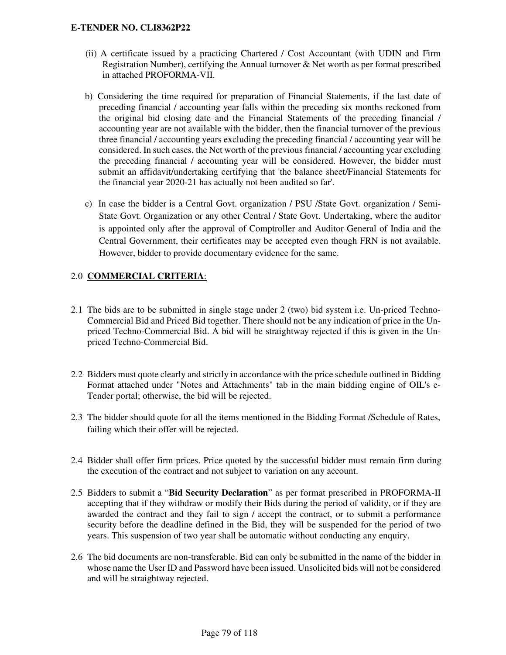- (ii) A certificate issued by a practicing Chartered / Cost Accountant (with UDIN and Firm Registration Number), certifying the Annual turnover & Net worth as per format prescribed in attached PROFORMA-VII.
- b) Considering the time required for preparation of Financial Statements, if the last date of preceding financial / accounting year falls within the preceding six months reckoned from the original bid closing date and the Financial Statements of the preceding financial / accounting year are not available with the bidder, then the financial turnover of the previous three financial / accounting years excluding the preceding financial / accounting year will be considered. In such cases, the Net worth of the previous financial / accounting year excluding the preceding financial / accounting year will be considered. However, the bidder must submit an affidavit/undertaking certifying that 'the balance sheet/Financial Statements for the financial year 2020-21 has actually not been audited so far'.
- c) In case the bidder is a Central Govt. organization / PSU /State Govt. organization / Semi-State Govt. Organization or any other Central / State Govt. Undertaking, where the auditor is appointed only after the approval of Comptroller and Auditor General of India and the Central Government, their certificates may be accepted even though FRN is not available. However, bidder to provide documentary evidence for the same.

## 2.0 **COMMERCIAL CRITERIA**:

- 2.1 The bids are to be submitted in single stage under 2 (two) bid system i.e. Un-priced Techno-Commercial Bid and Priced Bid together. There should not be any indication of price in the Unpriced Techno-Commercial Bid. A bid will be straightway rejected if this is given in the Unpriced Techno-Commercial Bid.
- 2.2 Bidders must quote clearly and strictly in accordance with the price schedule outlined in Bidding Format attached under "Notes and Attachments" tab in the main bidding engine of OIL's e-Tender portal; otherwise, the bid will be rejected.
- 2.3 The bidder should quote for all the items mentioned in the Bidding Format /Schedule of Rates, failing which their offer will be rejected.
- 2.4 Bidder shall offer firm prices. Price quoted by the successful bidder must remain firm during the execution of the contract and not subject to variation on any account.
- 2.5 Bidders to submit a "**Bid Security Declaration**" as per format prescribed in PROFORMA-II accepting that if they withdraw or modify their Bids during the period of validity, or if they are awarded the contract and they fail to sign / accept the contract, or to submit a performance security before the deadline defined in the Bid, they will be suspended for the period of two years. This suspension of two year shall be automatic without conducting any enquiry.
- 2.6 The bid documents are non-transferable. Bid can only be submitted in the name of the bidder in whose name the User ID and Password have been issued. Unsolicited bids will not be considered and will be straightway rejected.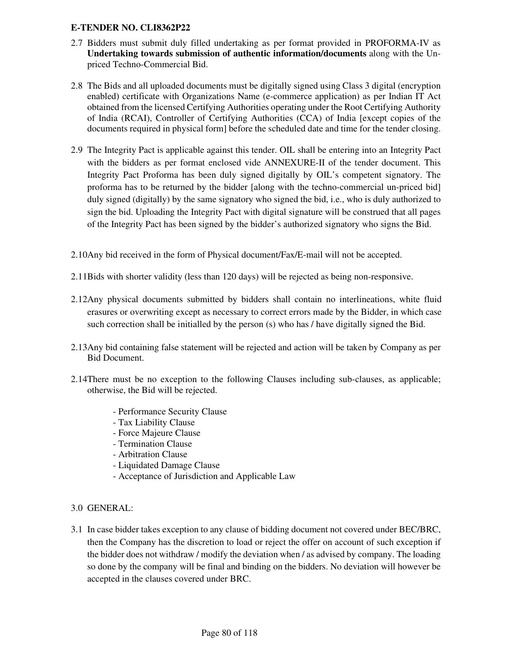- 2.7 Bidders must submit duly filled undertaking as per format provided in PROFORMA-IV as **Undertaking towards submission of authentic information/documents** along with the Unpriced Techno-Commercial Bid.
- 2.8 The Bids and all uploaded documents must be digitally signed using Class 3 digital (encryption enabled) certificate with Organizations Name (e-commerce application) as per Indian IT Act obtained from the licensed Certifying Authorities operating under the Root Certifying Authority of India (RCAI), Controller of Certifying Authorities (CCA) of India [except copies of the documents required in physical form] before the scheduled date and time for the tender closing.
- 2.9 The Integrity Pact is applicable against this tender. OIL shall be entering into an Integrity Pact with the bidders as per format enclosed vide ANNEXURE-II of the tender document. This Integrity Pact Proforma has been duly signed digitally by OIL's competent signatory. The proforma has to be returned by the bidder [along with the techno-commercial un-priced bid] duly signed (digitally) by the same signatory who signed the bid, i.e., who is duly authorized to sign the bid. Uploading the Integrity Pact with digital signature will be construed that all pages of the Integrity Pact has been signed by the bidder's authorized signatory who signs the Bid.
- 2.10Any bid received in the form of Physical document/Fax/E-mail will not be accepted.
- 2.11Bids with shorter validity (less than 120 days) will be rejected as being non-responsive.
- 2.12Any physical documents submitted by bidders shall contain no interlineations, white fluid erasures or overwriting except as necessary to correct errors made by the Bidder, in which case such correction shall be initialled by the person (s) who has / have digitally signed the Bid.
- 2.13Any bid containing false statement will be rejected and action will be taken by Company as per Bid Document.
- 2.14There must be no exception to the following Clauses including sub-clauses, as applicable; otherwise, the Bid will be rejected.
	- Performance Security Clause
	- Tax Liability Clause
	- Force Majeure Clause
	- Termination Clause
	- Arbitration Clause
	- Liquidated Damage Clause
	- Acceptance of Jurisdiction and Applicable Law

### 3.0 GENERAL:

3.1 In case bidder takes exception to any clause of bidding document not covered under BEC/BRC, then the Company has the discretion to load or reject the offer on account of such exception if the bidder does not withdraw / modify the deviation when / as advised by company. The loading so done by the company will be final and binding on the bidders. No deviation will however be accepted in the clauses covered under BRC.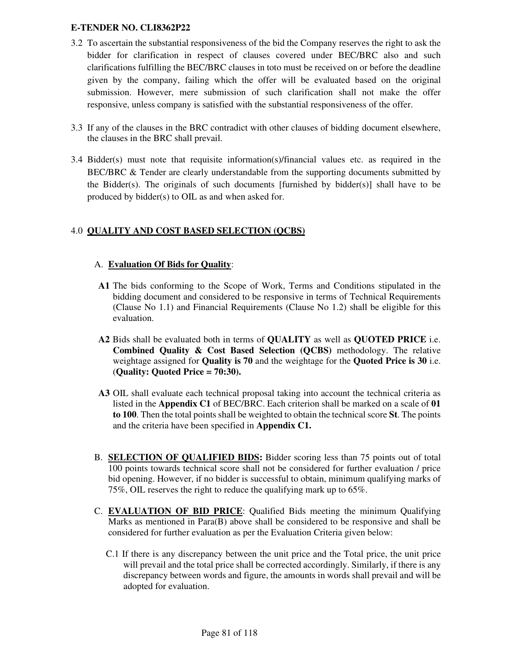- 3.2 To ascertain the substantial responsiveness of the bid the Company reserves the right to ask the bidder for clarification in respect of clauses covered under BEC/BRC also and such clarifications fulfilling the BEC/BRC clauses in toto must be received on or before the deadline given by the company, failing which the offer will be evaluated based on the original submission. However, mere submission of such clarification shall not make the offer responsive, unless company is satisfied with the substantial responsiveness of the offer.
- 3.3 If any of the clauses in the BRC contradict with other clauses of bidding document elsewhere, the clauses in the BRC shall prevail.
- 3.4 Bidder(s) must note that requisite information(s)/financial values etc. as required in the BEC/BRC & Tender are clearly understandable from the supporting documents submitted by the Bidder(s). The originals of such documents [furnished by bidder(s)] shall have to be produced by bidder(s) to OIL as and when asked for.

## 4.0 **QUALITY AND COST BASED SELECTION (QCBS)**

### A. **Evaluation Of Bids for Quality**:

- **A1** The bids conforming to the Scope of Work, Terms and Conditions stipulated in the bidding document and considered to be responsive in terms of Technical Requirements (Clause No 1.1) and Financial Requirements (Clause No 1.2) shall be eligible for this evaluation.
- **A2** Bids shall be evaluated both in terms of **QUALITY** as well as **QUOTED PRICE** i.e. **Combined Quality & Cost Based Selection (QCBS)** methodology. The relative weightage assigned for **Quality is 70** and the weightage for the **Quoted Price is 30** i.e. (**Quality: Quoted Price = 70:30).**
- **A3** OIL shall evaluate each technical proposal taking into account the technical criteria as listed in the **Appendix C1** of BEC/BRC. Each criterion shall be marked on a scale of **01 to 100**. Then the total points shall be weighted to obtain the technical score **St**. The points and the criteria have been specified in **Appendix C1.**
- B. **SELECTION OF QUALIFIED BIDS:** Bidder scoring less than 75 points out of total 100 points towards technical score shall not be considered for further evaluation / price bid opening. However, if no bidder is successful to obtain, minimum qualifying marks of 75%, OIL reserves the right to reduce the qualifying mark up to 65%.
- C. **EVALUATION OF BID PRICE**: Qualified Bids meeting the minimum Qualifying Marks as mentioned in Para(B) above shall be considered to be responsive and shall be considered for further evaluation as per the Evaluation Criteria given below:
	- C.1 If there is any discrepancy between the unit price and the Total price, the unit price will prevail and the total price shall be corrected accordingly. Similarly, if there is any discrepancy between words and figure, the amounts in words shall prevail and will be adopted for evaluation.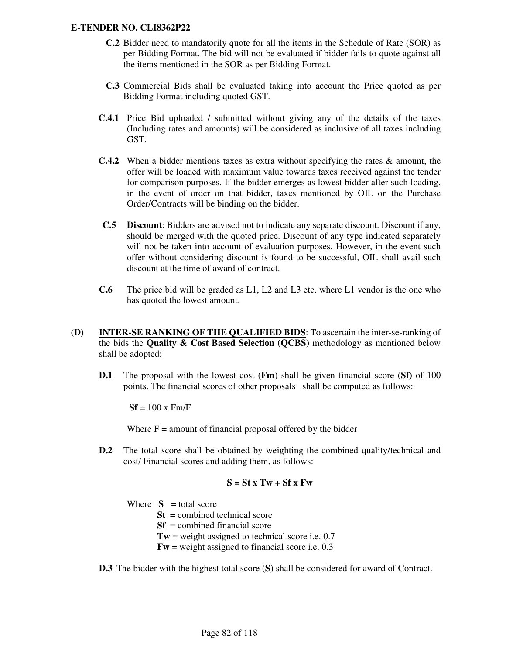- **C.2** Bidder need to mandatorily quote for all the items in the Schedule of Rate (SOR) as per Bidding Format. The bid will not be evaluated if bidder fails to quote against all the items mentioned in the SOR as per Bidding Format.
- **C.3** Commercial Bids shall be evaluated taking into account the Price quoted as per Bidding Format including quoted GST.
- **C.4.1** Price Bid uploaded / submitted without giving any of the details of the taxes (Including rates and amounts) will be considered as inclusive of all taxes including GST.
- **C.4.2** When a bidder mentions taxes as extra without specifying the rates & amount, the offer will be loaded with maximum value towards taxes received against the tender for comparison purposes. If the bidder emerges as lowest bidder after such loading, in the event of order on that bidder, taxes mentioned by OIL on the Purchase Order/Contracts will be binding on the bidder.
- **C.5 Discount**: Bidders are advised not to indicate any separate discount. Discount if any, should be merged with the quoted price. Discount of any type indicated separately will not be taken into account of evaluation purposes. However, in the event such offer without considering discount is found to be successful, OIL shall avail such discount at the time of award of contract.
- **C.6** The price bid will be graded as L1, L2 and L3 etc. where L1 vendor is the one who has quoted the lowest amount.
- **(D) INTER-SE RANKING OF THE QUALIFIED BIDS**: To ascertain the inter-se-ranking of the bids the **Quality & Cost Based Selection (QCBS)** methodology as mentioned below shall be adopted:
	- **D.1** The proposal with the lowest cost (**Fm**) shall be given financial score (**Sf**) of 100 points. The financial scores of other proposals shall be computed as follows:

 $Sf = 100 \text{ x Fm/F}$ 

Where  $F =$  amount of financial proposal offered by the bidder

**D.2** The total score shall be obtained by weighting the combined quality/technical and cost/ Financial scores and adding them, as follows:

$$
S = St x Tw + Sf x Fw
$$

Where  $S =$  total score

**St** = combined technical score

**Sf** = combined financial score

 $Tw$  = weight assigned to technical score i.e. 0.7

**Fw** = weight assigned to financial score i.e. 0.3

**D.3** The bidder with the highest total score (**S**) shall be considered for award of Contract.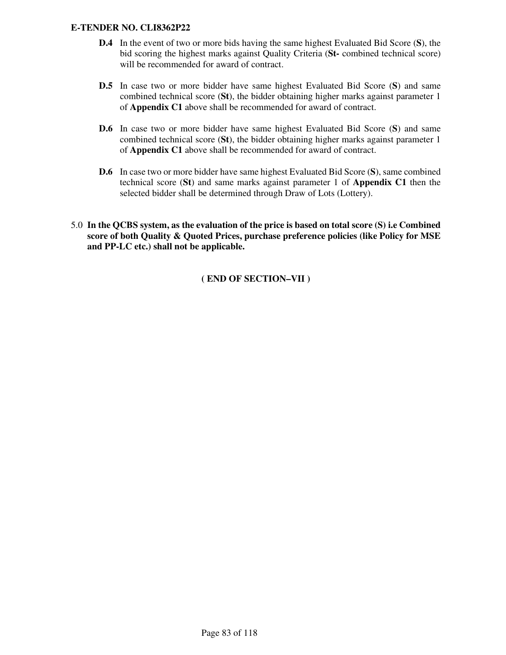- **D.4** In the event of two or more bids having the same highest Evaluated Bid Score (**S**), the bid scoring the highest marks against Quality Criteria (**St-** combined technical score) will be recommended for award of contract.
- **D.5** In case two or more bidder have same highest Evaluated Bid Score (**S**) and same combined technical score (**St**), the bidder obtaining higher marks against parameter 1 of **Appendix C1** above shall be recommended for award of contract.
- **D.6** In case two or more bidder have same highest Evaluated Bid Score (**S**) and same combined technical score (**St**), the bidder obtaining higher marks against parameter 1 of **Appendix C1** above shall be recommended for award of contract.
- **D.6** In case two or more bidder have same highest Evaluated Bid Score (**S**), same combined technical score (**St**) and same marks against parameter 1 of **Appendix C1** then the selected bidder shall be determined through Draw of Lots (Lottery).
- 5.0 **In the QCBS system, as the evaluation of the price is based on total score (S) i.e Combined score of both Quality & Quoted Prices, purchase preference policies (like Policy for MSE and PP-LC etc.) shall not be applicable.**

**( END OF SECTION–VII )**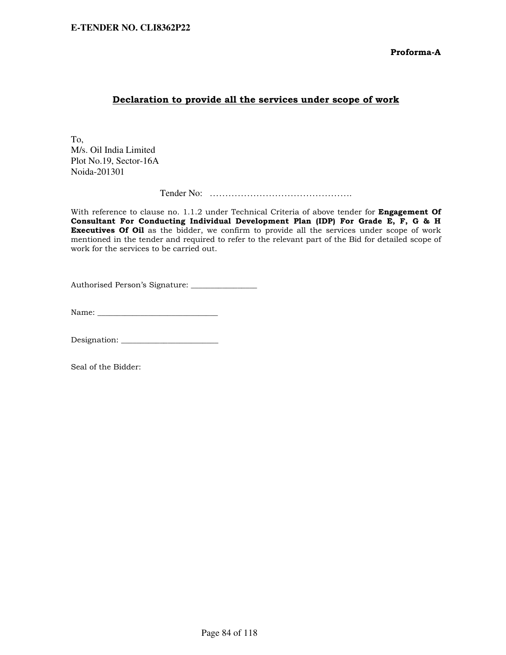Proforma-A

### Declaration to provide all the services under scope of work

To, M/s. Oil India Limited Plot No.19, Sector-16A Noida-201301

Tender No: ……………………………………….

With reference to clause no. 1.1.2 under Technical Criteria of above tender for **Engagement Of** Consultant For Conducting Individual Development Plan (IDP) For Grade E, F, G & H Executives Of Oil as the bidder, we confirm to provide all the services under scope of work mentioned in the tender and required to refer to the relevant part of the Bid for detailed scope of work for the services to be carried out.

Authorised Person's Signature: \_\_\_\_\_\_\_\_\_\_\_\_\_\_\_\_\_

Name: \_\_\_\_\_\_\_\_\_\_\_\_\_\_\_\_\_\_\_\_\_\_\_\_\_\_\_\_\_\_\_

Designation: \_\_\_\_\_\_\_\_\_\_\_\_\_\_\_\_\_\_\_\_\_\_\_\_\_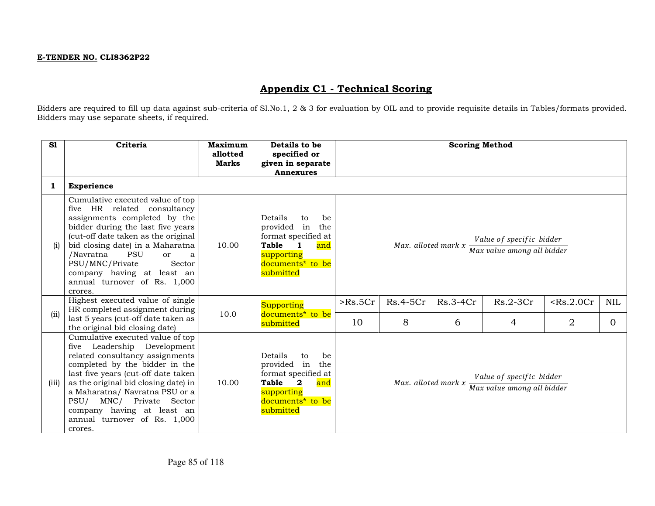# Appendix C1 - Technical Scoring

Bidders are required to fill up data against sub-criteria of Sl.No.1, 2 & 3 for evaluation by OIL and to provide requisite details in Tables/formats provided. Bidders may use separate sheets, if required.

| S1           | Criteria                                                                                                                                                                                                                                                                                                                                                    | Maximum<br>allotted<br><b>Marks</b> | Details to be<br>specified or<br>given in separate<br><b>Annexures</b>                                                                                               |         |                     | <b>Scoring Method</b> |                                                        |                |            |
|--------------|-------------------------------------------------------------------------------------------------------------------------------------------------------------------------------------------------------------------------------------------------------------------------------------------------------------------------------------------------------------|-------------------------------------|----------------------------------------------------------------------------------------------------------------------------------------------------------------------|---------|---------------------|-----------------------|--------------------------------------------------------|----------------|------------|
| $\mathbf{1}$ | <b>Experience</b>                                                                                                                                                                                                                                                                                                                                           |                                     |                                                                                                                                                                      |         |                     |                       |                                                        |                |            |
| (i)          | Cumulative executed value of top<br>five HR related consultancy<br>assignments completed by the<br>bidder during the last five years<br>(cut-off date taken as the original<br>bid closing date) in a Maharatna<br>/Navratna<br><b>PSU</b><br>or<br>a<br>PSU/MNC/Private<br>Sector<br>company having at least an<br>annual turnover of Rs. 1,000<br>crores. | 10.00                               | Details<br>be<br>to<br>provided in<br>the<br>format specified at<br><b>Table</b><br>$\blacksquare$<br>and<br>supporting<br>documents <sup>*</sup> to be<br>submitted |         | Max. alloted mark x |                       | Value of specific bidder<br>Max value among all bidder |                |            |
| (i)          | Highest executed value of single<br>HR completed assignment during                                                                                                                                                                                                                                                                                          | 10.0                                | Supporting<br>documents* to be                                                                                                                                       | >Rs.5Cr | $Rs.4-5Cr$          | $Rs.3-4Cr$            | $Rs.2-3Cr$                                             | Rs.2.0Cr       | <b>NIL</b> |
|              | last 5 years (cut-off date taken as<br>the original bid closing date)                                                                                                                                                                                                                                                                                       |                                     | submitted                                                                                                                                                            | 10      | 8                   | 6                     | 4                                                      | $\overline{2}$ | $\Omega$   |
| (iii)        | Cumulative executed value of top<br>five Leadership Development<br>related consultancy assignments<br>completed by the bidder in the<br>last five years (cut-off date taken<br>as the original bid closing date) in<br>a Maharatna/ Navratna PSU or a<br>PSU/ MNC/ Private Sector<br>company having at least an<br>annual turnover of Rs. 1,000<br>crores.  | 10.00                               | Details<br>be<br>to<br>provided in<br>the<br>format specified at<br>Table<br>$\mathbf{2}$<br>and<br>supporting<br>documents <sup>*</sup> to be<br>submitted          |         | Max. alloted mark x |                       | Value of specific bidder<br>Max value among all bidder |                |            |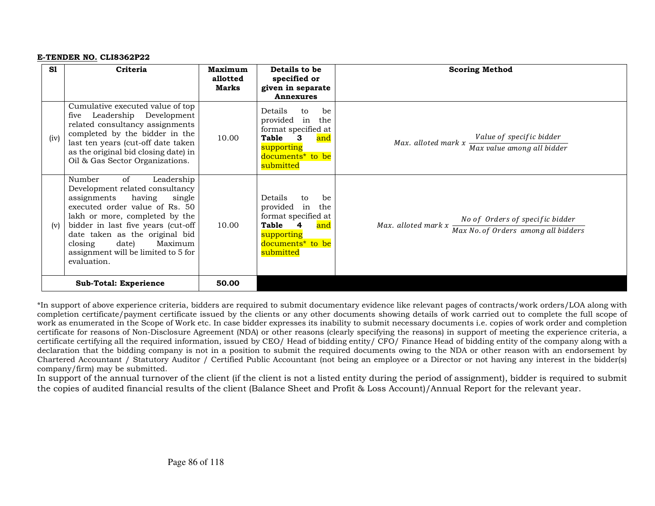| S1   | Criteria                                                                                                                                                                                                                                                                                                                          | Maximum<br>allotted<br>Marks | Details to be<br>specified or<br>given in separate<br><b>Annexures</b>                                                                                      | <b>Scoring Method</b>                                                                                                                                                                                       |
|------|-----------------------------------------------------------------------------------------------------------------------------------------------------------------------------------------------------------------------------------------------------------------------------------------------------------------------------------|------------------------------|-------------------------------------------------------------------------------------------------------------------------------------------------------------|-------------------------------------------------------------------------------------------------------------------------------------------------------------------------------------------------------------|
| (iv) | Cumulative executed value of top<br>five Leadership Development<br>related consultancy assignments<br>completed by the bidder in the<br>last ten years (cut-off date taken<br>as the original bid closing date) in<br>Oil & Gas Sector Organizations.                                                                             | 10.00                        | Details<br>be<br>to<br>provided in<br>the<br>format specified at<br>Table<br>$\mathbf{3}$<br>and<br>supporting<br>documents <sup>*</sup> to be<br>submitted | Value of specific bidder<br>Max. alloted mark $x \frac{1}{\text{Max value among all bidder}}$                                                                                                               |
| (v)  | of<br>Leadership<br>Number<br>Development related consultancy<br>having<br>assignments<br>single<br>executed order value of Rs. 50<br>lakh or more, completed by the<br>bidder in last five years (cut-off<br>date taken as the original bid<br>date)<br>Maximum<br>closing<br>assignment will be limited to 5 for<br>evaluation. | 10.00                        | Details<br>be<br>to<br>provided in<br>the<br>format specified at<br>Table 4<br>and<br>supporting<br>documents <sup>*</sup> to be<br>submitted               | Max. alloted mark $x \frac{No \space of \space Orders \space of \space specific \space bidder}$<br>Max. alloted mark $x \frac{Max \space No \space of \space Orders \space among \space all \space biders}$ |
|      | <b>Sub-Total: Experience</b>                                                                                                                                                                                                                                                                                                      | 50.00                        |                                                                                                                                                             |                                                                                                                                                                                                             |

\*In support of above experience criteria, bidders are required to submit documentary evidence like relevant pages of contracts/work orders/LOA along with completion certificate/payment certificate issued by the clients or any other documents showing details of work carried out to complete the full scope of work as enumerated in the Scope of Work etc. In case bidder expresses its inability to submit necessary documents i.e. copies of work order and completion certificate for reasons of Non-Disclosure Agreement (NDA) or other reasons (clearly specifying the reasons) in support of meeting the experience criteria, a certificate certifying all the required information, issued by CEO/ Head of bidding entity/ CFO/ Finance Head of bidding entity of the company along with a declaration that the bidding company is not in a position to submit the required documents owing to the NDA or other reason with an endorsement by Chartered Accountant / Statutory Auditor / Certified Public Accountant (not being an employee or a Director or not having any interest in the bidder(s) company/firm) may be submitted.

 In support of the annual turnover of the client (if the client is not a listed entity during the period of assignment), bidder is required to submit the copies of audited financial results of the client (Balance Sheet and Profit & Loss Account)/Annual Report for the relevant year.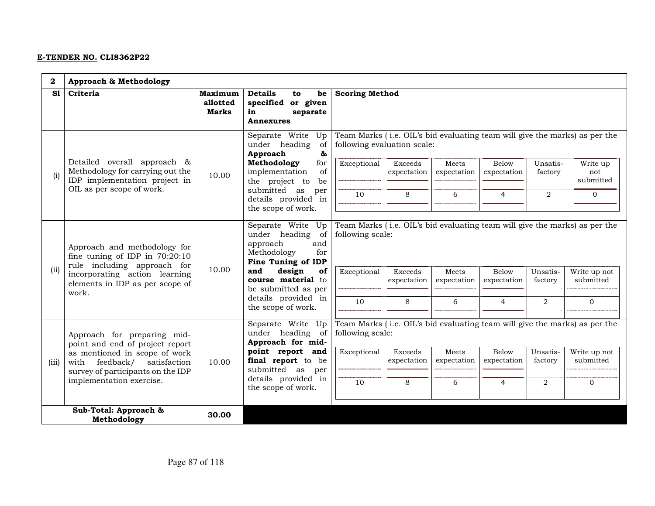| 2                         | Approach & Methodology                                                                               |                                                                  |                                                                                                         |                                            |                               |                      |                      |                     |                                                                                        |
|---------------------------|------------------------------------------------------------------------------------------------------|------------------------------------------------------------------|---------------------------------------------------------------------------------------------------------|--------------------------------------------|-------------------------------|----------------------|----------------------|---------------------|----------------------------------------------------------------------------------------|
| S1                        | Criteria                                                                                             | Maximum<br>allotted<br><b>Marks</b>                              | <b>Details</b><br>be<br>to<br>specified or given<br>separate<br>in<br>Annexures                         | <b>Scoring Method</b>                      |                               |                      |                      |                     |                                                                                        |
|                           | Detailed overall approach &                                                                          | 10.00                                                            | Separate Write Up<br>under heading<br>of<br>Approach<br>&<br>Methodology<br>for                         | following evaluation scale:<br>Exceptional | Exceeds                       | Meets                | Below                | Unsatis-            | Team Marks (i.e. OIL's bid evaluating team will give the marks) as per the<br>Write up |
| (i)                       | Methodology for carrying out the<br>IDP implementation project in                                    |                                                                  | of<br>implementation<br>the project to<br>be                                                            |                                            | expectation                   | expectation          | expectation          | factory             | not<br>submitted                                                                       |
| OIL as per scope of work. |                                                                                                      | submitted as<br>per<br>details provided in<br>the scope of work. | 10                                                                                                      | 8                                          | 6                             | $\overline{4}$       | $\overline{a}$       | $\overline{0}$      |                                                                                        |
|                           | Approach and methodology for<br>fine tuning of IDP in $70:20:10$<br>rule including approach for      |                                                                  | Separate Write Up<br>under heading<br>of<br>approach<br>and<br>Methodology<br>for<br>Fine Tuning of IDP | following scale:                           |                               |                      |                      |                     | Team Marks (i.e. OIL's bid evaluating team will give the marks) as per the             |
| (ii)                      | incorporating action learning<br>elements in IDP as per scope of<br>work.                            | 10.00                                                            | and<br>design<br>of<br>course material to<br>be submitted as per                                        | Exceptional                                | <b>Exceeds</b><br>expectation | Meets<br>expectation | Below<br>expectation | Unsatis-<br>factory | Write up not<br>submitted                                                              |
|                           |                                                                                                      |                                                                  | details provided in<br>the scope of work.                                                               | 10                                         | 8                             | 6                    | $\overline{4}$       | 2                   | $\mathbf{0}$                                                                           |
|                           | Approach for preparing mid-<br>point and end of project report                                       |                                                                  | Separate Write Up<br>under heading of<br>Approach for mid-                                              | following scale:                           |                               |                      |                      |                     | Team Marks (i.e. OIL's bid evaluating team will give the marks) as per the             |
| (iii)                     | as mentioned in scope of work<br>with feedback/<br>satisfaction<br>survey of participants on the IDP | 10.00                                                            | point report and<br>final report to be<br>submitted as<br>per                                           | Exceptional                                | Exceeds<br>expectation        | Meets<br>expectation | Below<br>expectation | Unsatis-<br>factory | Write up not<br>submitted                                                              |
|                           | implementation exercise.                                                                             |                                                                  | details provided in<br>the scope of work.                                                               | 10                                         | 8                             | 6                    | $\overline{4}$       | $\overline{2}$      | $\mathbf 0$                                                                            |
|                           | Sub-Total: Approach &<br>Methodology                                                                 | 30.00                                                            |                                                                                                         |                                            |                               |                      |                      |                     |                                                                                        |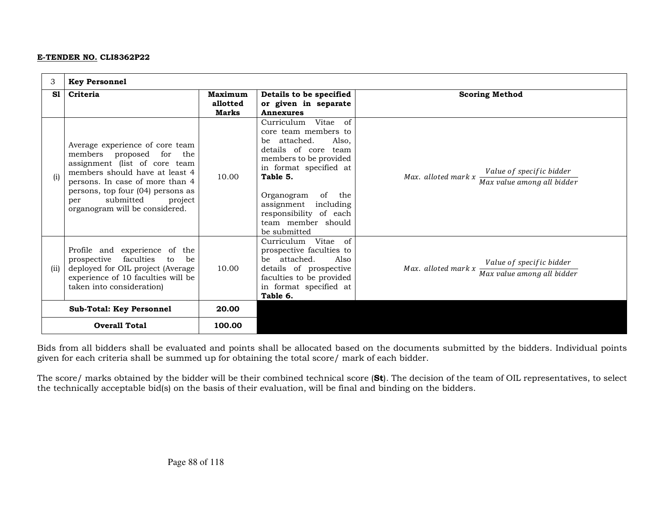| 3                                        | <b>Key Personnel</b>                                                                                                                                                                                                                                                       |                                     |                                                                                                                                                                                                                                                                                 |                                                                                               |
|------------------------------------------|----------------------------------------------------------------------------------------------------------------------------------------------------------------------------------------------------------------------------------------------------------------------------|-------------------------------------|---------------------------------------------------------------------------------------------------------------------------------------------------------------------------------------------------------------------------------------------------------------------------------|-----------------------------------------------------------------------------------------------|
| S1                                       | Criteria                                                                                                                                                                                                                                                                   | Maximum<br>allotted<br><b>Marks</b> | Details to be specified<br>or given in separate<br><b>Annexures</b>                                                                                                                                                                                                             | <b>Scoring Method</b>                                                                         |
| (i)                                      | Average experience of core team<br>members proposed for<br>the<br>assignment (list of core team<br>members should have at least 4<br>persons. In case of more than 4<br>persons, top four (04) persons as<br>submitted<br>project<br>per<br>organogram will be considered. | 10.00                               | Curriculum Vitae of<br>core team members to<br>attached.<br>Also.<br>be<br>details of core team<br>members to be provided<br>in format specified at<br>Table 5.<br>Organogram<br>of the<br>assignment including<br>responsibility of each<br>team member should<br>be submitted | Value of specific bidder<br>Max. alloted mark $x \frac{1}{\text{Max value among all bidder}}$ |
| (ii)                                     | Profile and experience of the<br>prospective faculties<br>to<br>be<br>deployed for OIL project (Average<br>experience of 10 faculties will be<br>taken into consideration)                                                                                                 | 10.00                               | Curriculum Vitae<br>of<br>prospective faculties to<br>be attached.<br>Also<br>details of prospective<br>faculties to be provided<br>in format specified at<br>Table 6.                                                                                                          | Value of specific bidder<br>Max. alloted mark $x -$<br>Max value among all bidder             |
| 20.00<br><b>Sub-Total: Key Personnel</b> |                                                                                                                                                                                                                                                                            |                                     |                                                                                                                                                                                                                                                                                 |                                                                                               |
| <b>Overall Total</b><br>100.00           |                                                                                                                                                                                                                                                                            |                                     |                                                                                                                                                                                                                                                                                 |                                                                                               |

Bids from all bidders shall be evaluated and points shall be allocated based on the documents submitted by the bidders. Individual points given for each criteria shall be summed up for obtaining the total score/ mark of each bidder.

The score/ marks obtained by the bidder will be their combined technical score (St). The decision of the team of OIL representatives, to select the technically acceptable bid(s) on the basis of their evaluation, will be final and binding on the bidders.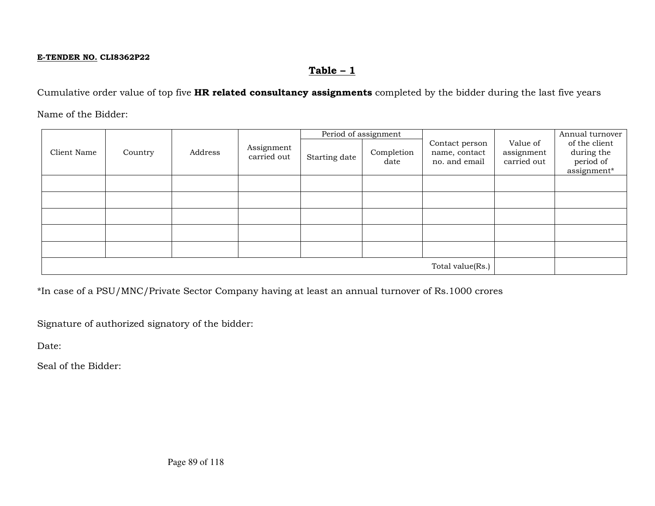# $Table - 1$

Cumulative order value of top five HR related consultancy assignments completed by the bidder during the last five years

Name of the Bidder:

|             |                  | Address | Assignment<br>carried out | Period of assignment |                    |                                                  |                                       | Annual turnover                                         |
|-------------|------------------|---------|---------------------------|----------------------|--------------------|--------------------------------------------------|---------------------------------------|---------------------------------------------------------|
| Client Name | Country          |         |                           | Starting date        | Completion<br>date | Contact person<br>name, contact<br>no. and email | Value of<br>assignment<br>carried out | of the client<br>during the<br>period of<br>assignment* |
|             |                  |         |                           |                      |                    |                                                  |                                       |                                                         |
|             |                  |         |                           |                      |                    |                                                  |                                       |                                                         |
|             |                  |         |                           |                      |                    |                                                  |                                       |                                                         |
|             |                  |         |                           |                      |                    |                                                  |                                       |                                                         |
|             |                  |         |                           |                      |                    |                                                  |                                       |                                                         |
|             | Total value(Rs.) |         |                           |                      |                    |                                                  |                                       |                                                         |

\*In case of a PSU/MNC/Private Sector Company having at least an annual turnover of Rs.1000 crores

Signature of authorized signatory of the bidder:

Date: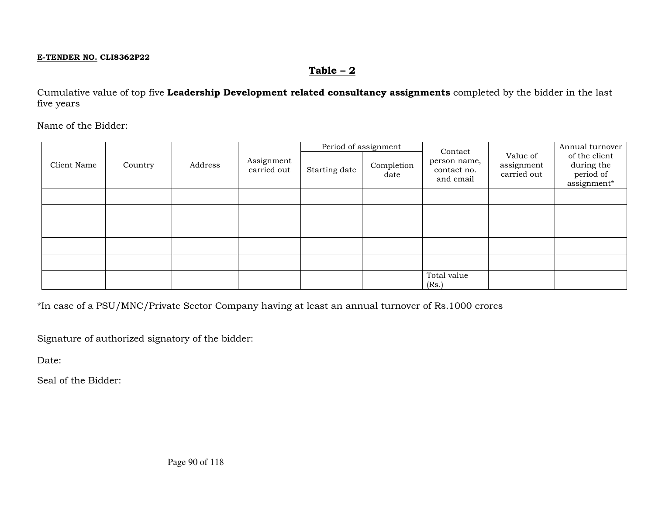# $Table - 2$

Cumulative value of top five Leadership Development related consultancy assignments completed by the bidder in the last five years

Name of the Bidder:

|             |         |         |                           | Period of assignment |                    | Contact                                  |                                       | Annual turnover                                         |
|-------------|---------|---------|---------------------------|----------------------|--------------------|------------------------------------------|---------------------------------------|---------------------------------------------------------|
| Client Name | Country | Address | Assignment<br>carried out | Starting date        | Completion<br>date | person name,<br>contact no.<br>and email | Value of<br>assignment<br>carried out | of the client<br>during the<br>period of<br>assignment* |
|             |         |         |                           |                      |                    |                                          |                                       |                                                         |
|             |         |         |                           |                      |                    |                                          |                                       |                                                         |
|             |         |         |                           |                      |                    |                                          |                                       |                                                         |
|             |         |         |                           |                      |                    |                                          |                                       |                                                         |
|             |         |         |                           |                      |                    |                                          |                                       |                                                         |
|             |         |         |                           |                      |                    | Total value<br>(Rs.)                     |                                       |                                                         |

\*In case of a PSU/MNC/Private Sector Company having at least an annual turnover of Rs.1000 crores

Signature of authorized signatory of the bidder:

Date: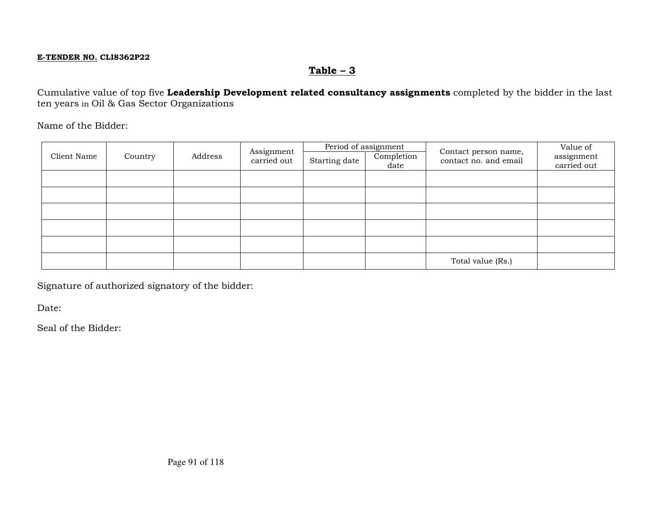# $Table - 3$

Cumulative value of top five Leadership Development related consultancy assignments completed by the bidder in the last ten years in Oil & Gas Sector Organizations

Name of the Bidder:

| Client Name | Country | Address | Assignment<br>carried out | Period of assignment<br>Starting date | Completion<br>date | Contact person name,<br>contact no. and email | Value of<br>assignment<br>carried out |
|-------------|---------|---------|---------------------------|---------------------------------------|--------------------|-----------------------------------------------|---------------------------------------|
|             |         |         |                           |                                       |                    |                                               |                                       |
|             |         |         |                           |                                       |                    |                                               |                                       |
|             |         |         |                           |                                       |                    |                                               |                                       |
|             |         |         |                           |                                       |                    |                                               |                                       |
|             |         |         |                           |                                       |                    |                                               |                                       |
|             |         |         |                           |                                       |                    | Total value (Rs.)                             |                                       |

Signature of authorized signatory of the bidder:

Date: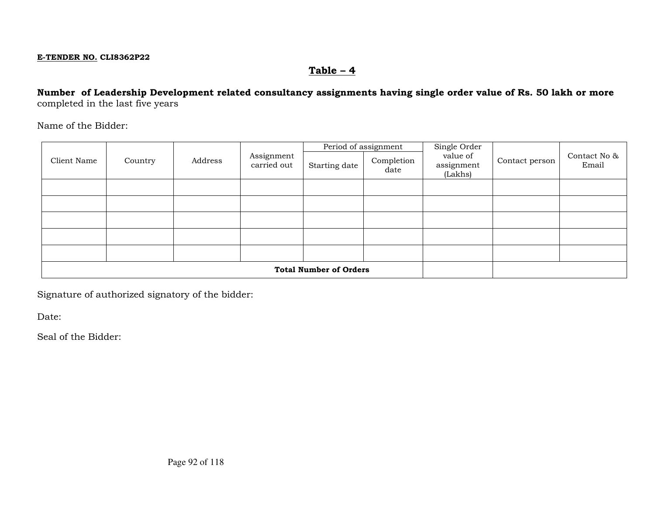# Table – 4

## Number of Leadership Development related consultancy assignments having single order value of Rs. 50 lakh or morecompleted in the last five years

Name of the Bidder:

|             |                               | Address | Assignment<br>carried out | Period of assignment |                    | Single Order                      |                | Contact No & |
|-------------|-------------------------------|---------|---------------------------|----------------------|--------------------|-----------------------------------|----------------|--------------|
| Client Name | Country                       |         |                           | Starting date        | Completion<br>date | value of<br>assignment<br>(Lakhs) | Contact person | Email        |
|             |                               |         |                           |                      |                    |                                   |                |              |
|             |                               |         |                           |                      |                    |                                   |                |              |
|             |                               |         |                           |                      |                    |                                   |                |              |
|             |                               |         |                           |                      |                    |                                   |                |              |
|             |                               |         |                           |                      |                    |                                   |                |              |
|             |                               |         |                           |                      |                    |                                   |                |              |
|             | <b>Total Number of Orders</b> |         |                           |                      |                    |                                   |                |              |

Signature of authorized signatory of the bidder:

Date: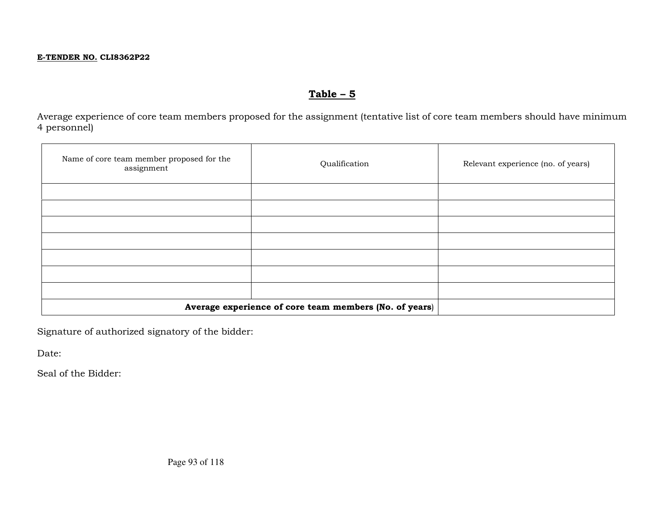# $Table - 5$

Average experience of core team members proposed for the assignment (tentative list of core team members should have minimum 4 personnel)

| Name of core team member proposed for the<br>assignment | Qualification | Relevant experience (no. of years) |
|---------------------------------------------------------|---------------|------------------------------------|
|                                                         |               |                                    |
|                                                         |               |                                    |
|                                                         |               |                                    |
|                                                         |               |                                    |
|                                                         |               |                                    |
|                                                         |               |                                    |
|                                                         |               |                                    |
| Average experience of core team members (No. of years)  |               |                                    |

Signature of authorized signatory of the bidder:

Date: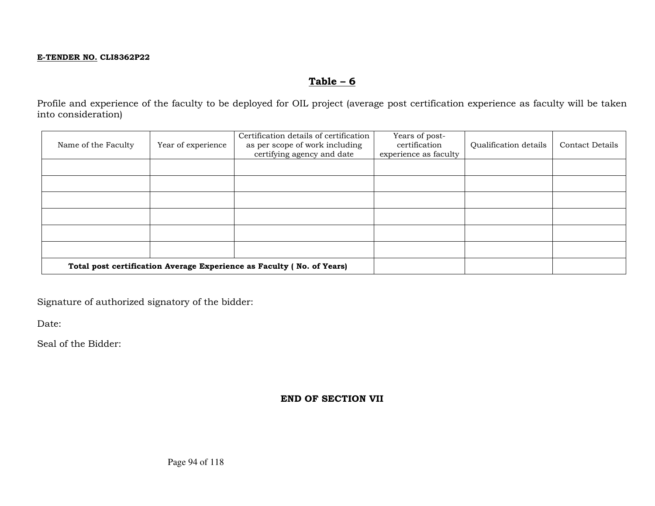# $Table - 6$

Profile and experience of the faculty to be deployed for OIL project (average post certification experience as faculty will be taken into consideration)

| Name of the Faculty | Year of experience | Certification details of certification<br>as per scope of work including<br>certifying agency and date | Years of post-<br>certification<br>experience as faculty | Qualification details | <b>Contact Details</b> |
|---------------------|--------------------|--------------------------------------------------------------------------------------------------------|----------------------------------------------------------|-----------------------|------------------------|
|                     |                    |                                                                                                        |                                                          |                       |                        |
|                     |                    |                                                                                                        |                                                          |                       |                        |
|                     |                    |                                                                                                        |                                                          |                       |                        |
|                     |                    |                                                                                                        |                                                          |                       |                        |
|                     |                    |                                                                                                        |                                                          |                       |                        |
|                     |                    |                                                                                                        |                                                          |                       |                        |
|                     |                    | Total post certification Average Experience as Faculty (No. of Years)                                  |                                                          |                       |                        |

Signature of authorized signatory of the bidder:

Date:

Seal of the Bidder:

### END OF SECTION VII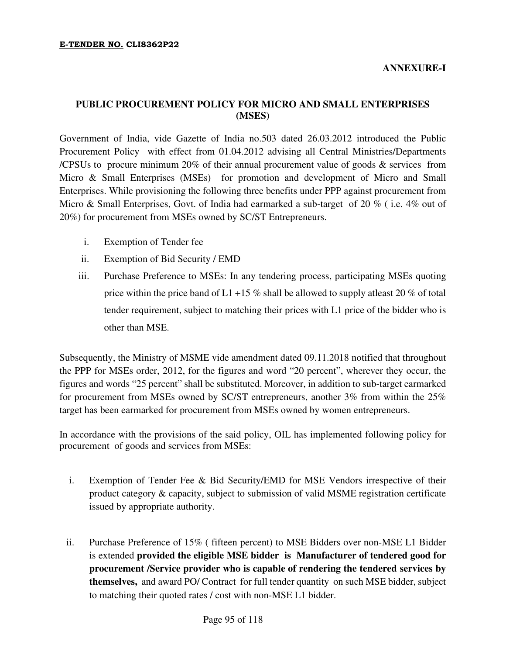# **PUBLIC PROCUREMENT POLICY FOR MICRO AND SMALL ENTERPRISES (MSES)**

Government of India, vide Gazette of India no.503 dated 26.03.2012 introduced the Public Procurement Policy with effect from 01.04.2012 advising all Central Ministries/Departments /CPSUs to procure minimum 20% of their annual procurement value of goods & services from Micro & Small Enterprises (MSEs) for promotion and development of Micro and Small Enterprises. While provisioning the following three benefits under PPP against procurement from Micro & Small Enterprises, Govt. of India had earmarked a sub-target of 20 % (i.e. 4% out of 20%) for procurement from MSEs owned by SC/ST Entrepreneurs.

- i. Exemption of Tender fee
- ii. Exemption of Bid Security / EMD
- iii. Purchase Preference to MSEs: In any tendering process, participating MSEs quoting price within the price band of L1 +15 % shall be allowed to supply at least 20 % of total tender requirement, subject to matching their prices with L1 price of the bidder who is other than MSE.

Subsequently, the Ministry of MSME vide amendment dated 09.11.2018 notified that throughout the PPP for MSEs order, 2012, for the figures and word "20 percent", wherever they occur, the figures and words "25 percent" shall be substituted. Moreover, in addition to sub-target earmarked for procurement from MSEs owned by SC/ST entrepreneurs, another 3% from within the 25% target has been earmarked for procurement from MSEs owned by women entrepreneurs.

In accordance with the provisions of the said policy, OIL has implemented following policy for procurement of goods and services from MSEs:

- i. Exemption of Tender Fee & Bid Security/EMD for MSE Vendors irrespective of their product category & capacity, subject to submission of valid MSME registration certificate issued by appropriate authority.
- ii. Purchase Preference of 15% ( fifteen percent) to MSE Bidders over non-MSE L1 Bidder is extended **provided the eligible MSE bidder is Manufacturer of tendered good for procurement /Service provider who is capable of rendering the tendered services by themselves,** and award PO/ Contract for full tender quantity on such MSE bidder, subject to matching their quoted rates / cost with non-MSE L1 bidder.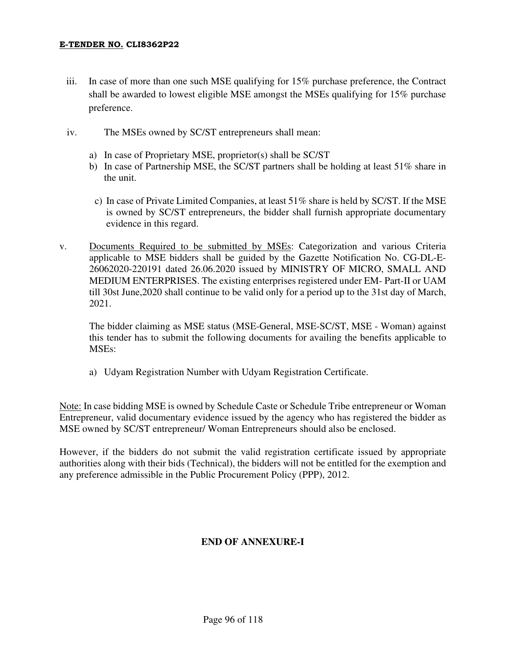- iii. In case of more than one such MSE qualifying for 15% purchase preference, the Contract shall be awarded to lowest eligible MSE amongst the MSEs qualifying for 15% purchase preference.
- iv. The MSEs owned by SC/ST entrepreneurs shall mean:
	- a) In case of Proprietary MSE, proprietor(s) shall be SC/ST
	- b) In case of Partnership MSE, the SC/ST partners shall be holding at least 51% share in the unit.
	- c) In case of Private Limited Companies, at least 51% share is held by SC/ST. If the MSE is owned by SC/ST entrepreneurs, the bidder shall furnish appropriate documentary evidence in this regard.
- v. Documents Required to be submitted by MSEs: Categorization and various Criteria applicable to MSE bidders shall be guided by the Gazette Notification No. CG-DL-E-26062020-220191 dated 26.06.2020 issued by MINISTRY OF MICRO, SMALL AND MEDIUM ENTERPRISES. The existing enterprises registered under EM- Part-II or UAM till 30st June,2020 shall continue to be valid only for a period up to the 31st day of March, 2021.

 The bidder claiming as MSE status (MSE-General, MSE-SC/ST, MSE - Woman) against this tender has to submit the following documents for availing the benefits applicable to MSEs:

a) Udyam Registration Number with Udyam Registration Certificate.

Note: In case bidding MSE is owned by Schedule Caste or Schedule Tribe entrepreneur or Woman Entrepreneur, valid documentary evidence issued by the agency who has registered the bidder as MSE owned by SC/ST entrepreneur/ Woman Entrepreneurs should also be enclosed.

However, if the bidders do not submit the valid registration certificate issued by appropriate authorities along with their bids (Technical), the bidders will not be entitled for the exemption and any preference admissible in the Public Procurement Policy (PPP), 2012.

# **END OF ANNEXURE-I**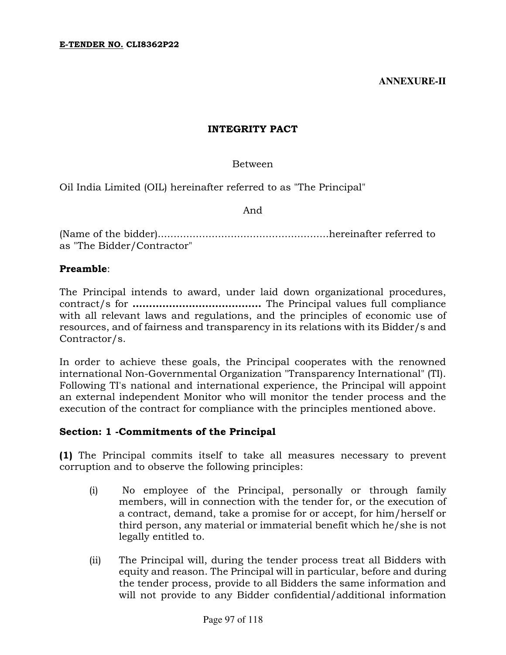# INTEGRITY PACT

# Between

Oil India Limited (OIL) hereinafter referred to as "The Principal"

And

(Name of the bidder)......................................................hereinafter referred to as "The Bidder/Contractor"

# Preamble:

The Principal intends to award, under laid down organizational procedures, contract/s for ………………………………… The Principal values full compliance with all relevant laws and regulations, and the principles of economic use of resources, and of fairness and transparency in its relations with its Bidder/s and Contractor/s.

In order to achieve these goals, the Principal cooperates with the renowned international Non-Governmental Organization "Transparency International" (TI). Following TI's national and international experience, the Principal will appoint an external independent Monitor who will monitor the tender process and the execution of the contract for compliance with the principles mentioned above.

## Section: 1 -Commitments of the Principal

(1) The Principal commits itself to take all measures necessary to prevent corruption and to observe the following principles:

- (i) No employee of the Principal, personally or through family members, will in connection with the tender for, or the execution of a contract, demand, take a promise for or accept, for him/herself or third person, any material or immaterial benefit which he/she is not legally entitled to.
- (ii) The Principal will, during the tender process treat all Bidders with equity and reason. The Principal will in particular, before and during the tender process, provide to all Bidders the same information and will not provide to any Bidder confidential/additional information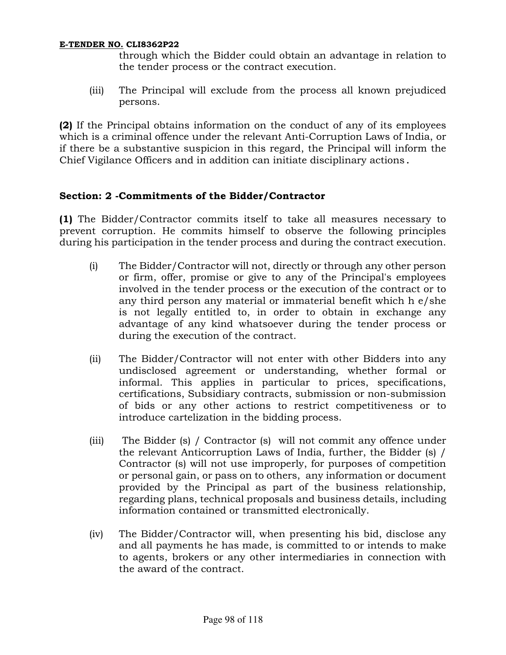through which the Bidder could obtain an advantage in relation to the tender process or the contract execution.

(iii) The Principal will exclude from the process all known prejudiced persons.

(2) If the Principal obtains information on the conduct of any of its employees which is a criminal offence under the relevant Anti-Corruption Laws of India, or if there be a substantive suspicion in this regard, the Principal will inform the Chief Vigilance Officers and in addition can initiate disciplinary actions.

# Section: 2 -Commitments of the Bidder/Contractor

(1) The Bidder/Contractor commits itself to take all measures necessary to prevent corruption. He commits himself to observe the following principles during his participation in the tender process and during the contract execution.

- (i) The Bidder/Contractor will not, directly or through any other person or firm, offer, promise or give to any of the Principal's employees involved in the tender process or the execution of the contract or to any third person any material or immaterial benefit which h e/she is not legally entitled to, in order to obtain in exchange any advantage of any kind whatsoever during the tender process or during the execution of the contract.
- (ii) The Bidder/Contractor will not enter with other Bidders into any undisclosed agreement or understanding, whether formal or informal. This applies in particular to prices, specifications, certifications, Subsidiary contracts, submission or non-submission of bids or any other actions to restrict competitiveness or to introduce cartelization in the bidding process.
- (iii) The Bidder (s) / Contractor (s) will not commit any offence under the relevant Anticorruption Laws of India, further, the Bidder (s) / Contractor (s) will not use improperly, for purposes of competition or personal gain, or pass on to others, any information or document provided by the Principal as part of the business relationship, regarding plans, technical proposals and business details, including information contained or transmitted electronically.
- (iv) The Bidder/Contractor will, when presenting his bid, disclose any and all payments he has made, is committed to or intends to make to agents, brokers or any other intermediaries in connection with the award of the contract.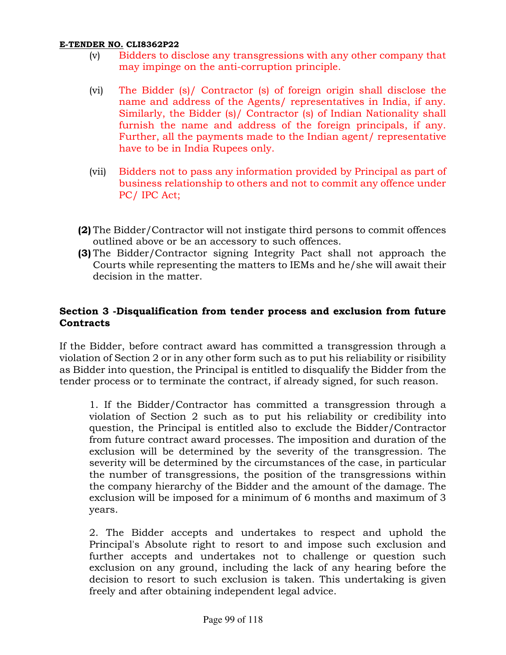- (v) Bidders to disclose any transgressions with any other company that may impinge on the anti-corruption principle.
- (vi) The Bidder (s)/ Contractor (s) of foreign origin shall disclose the name and address of the Agents/ representatives in India, if any. Similarly, the Bidder (s)/ Contractor (s) of Indian Nationality shall furnish the name and address of the foreign principals, if any. Further, all the payments made to the Indian agent/ representative have to be in India Rupees only.
- (vii) Bidders not to pass any information provided by Principal as part of business relationship to others and not to commit any offence under PC/ IPC Act;
- (2) The Bidder/Contractor will not instigate third persons to commit offences outlined above or be an accessory to such offences.
- (3) The Bidder/Contractor signing Integrity Pact shall not approach the Courts while representing the matters to IEMs and he/she will await their decision in the matter.

# Section 3 -Disqualification from tender process and exclusion from future **Contracts**

If the Bidder, before contract award has committed a transgression through a violation of Section 2 or in any other form such as to put his reliability or risibility as Bidder into question, the Principal is entitled to disqualify the Bidder from the tender process or to terminate the contract, if already signed, for such reason.

1. If the Bidder/Contractor has committed a transgression through a violation of Section 2 such as to put his reliability or credibility into question, the Principal is entitled also to exclude the Bidder/Contractor from future contract award processes. The imposition and duration of the exclusion will be determined by the severity of the transgression. The severity will be determined by the circumstances of the case, in particular the number of transgressions, the position of the transgressions within the company hierarchy of the Bidder and the amount of the damage. The exclusion will be imposed for a minimum of 6 months and maximum of 3 years.

2. The Bidder accepts and undertakes to respect and uphold the Principal's Absolute right to resort to and impose such exclusion and further accepts and undertakes not to challenge or question such exclusion on any ground, including the lack of any hearing before the decision to resort to such exclusion is taken. This undertaking is given freely and after obtaining independent legal advice.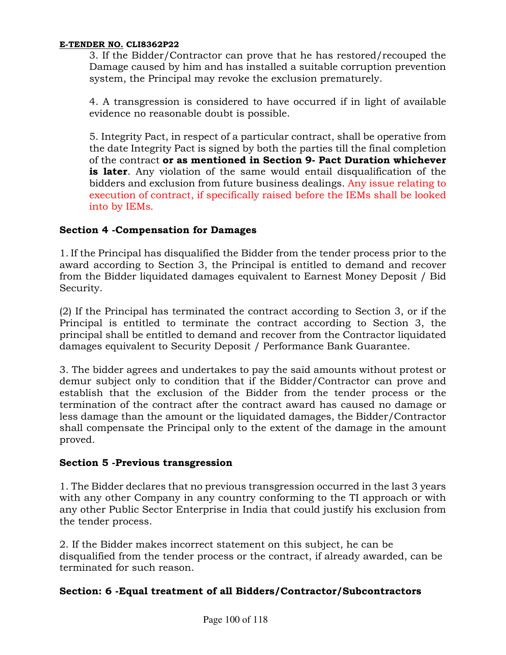3. If the Bidder/Contractor can prove that he has restored/recouped the Damage caused by him and has installed a suitable corruption prevention system, the Principal may revoke the exclusion prematurely.

4. A transgression is considered to have occurred if in light of available evidence no reasonable doubt is possible.

5. Integrity Pact, in respect of a particular contract, shall be operative from the date Integrity Pact is signed by both the parties till the final completion of the contract or as mentioned in Section 9- Pact Duration whichever **is later.** Any violation of the same would entail disqualification of the bidders and exclusion from future business dealings. Any issue relating to execution of contract, if specifically raised before the IEMs shall be looked into by IEMs.

# Section 4 -Compensation for Damages

1. If the Principal has disqualified the Bidder from the tender process prior to the award according to Section 3, the Principal is entitled to demand and recover from the Bidder liquidated damages equivalent to Earnest Money Deposit / Bid Security.

(2) If the Principal has terminated the contract according to Section 3, or if the Principal is entitled to terminate the contract according to Section 3, the principal shall be entitled to demand and recover from the Contractor liquidated damages equivalent to Security Deposit / Performance Bank Guarantee.

3. The bidder agrees and undertakes to pay the said amounts without protest or demur subject only to condition that if the Bidder/Contractor can prove and establish that the exclusion of the Bidder from the tender process or the termination of the contract after the contract award has caused no damage or less damage than the amount or the liquidated damages, the Bidder/Contractor shall compensate the Principal only to the extent of the damage in the amount proved.

## Section 5 -Previous transgression

1. The Bidder declares that no previous transgression occurred in the last 3 years with any other Company in any country conforming to the TI approach or with any other Public Sector Enterprise in India that could justify his exclusion from the tender process.

2. If the Bidder makes incorrect statement on this subject, he can be disqualified from the tender process or the contract, if already awarded, can be terminated for such reason.

## Section: 6 -Equal treatment of all Bidders/Contractor/Subcontractors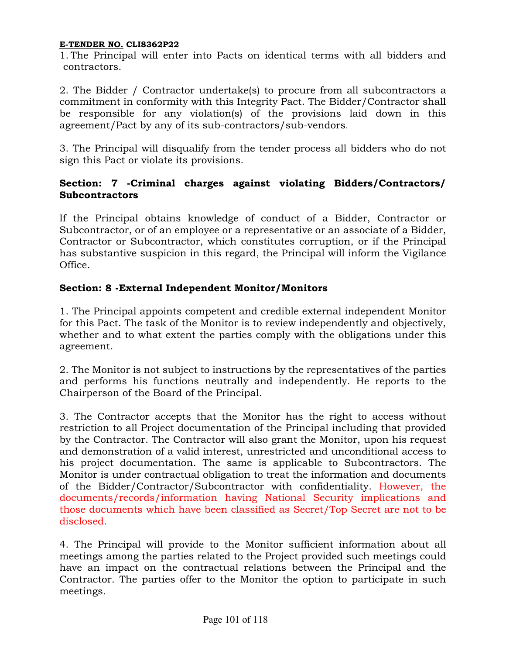1. The Principal will enter into Pacts on identical terms with all bidders and contractors.

2. The Bidder / Contractor undertake(s) to procure from all subcontractors a commitment in conformity with this Integrity Pact. The Bidder/Contractor shall be responsible for any violation(s) of the provisions laid down in this agreement/Pact by any of its sub-contractors/sub-vendors.

3. The Principal will disqualify from the tender process all bidders who do not sign this Pact or violate its provisions.

# Section: 7 -Criminal charges against violating Bidders/Contractors/ Subcontractors

If the Principal obtains knowledge of conduct of a Bidder, Contractor or Subcontractor, or of an employee or a representative or an associate of a Bidder, Contractor or Subcontractor, which constitutes corruption, or if the Principal has substantive suspicion in this regard, the Principal will inform the Vigilance Office.

# Section: 8 -External Independent Monitor/Monitors

1. The Principal appoints competent and credible external independent Monitor for this Pact. The task of the Monitor is to review independently and objectively, whether and to what extent the parties comply with the obligations under this agreement.

2. The Monitor is not subject to instructions by the representatives of the parties and performs his functions neutrally and independently. He reports to the Chairperson of the Board of the Principal.

3. The Contractor accepts that the Monitor has the right to access without restriction to all Project documentation of the Principal including that provided by the Contractor. The Contractor will also grant the Monitor, upon his request and demonstration of a valid interest, unrestricted and unconditional access to his project documentation. The same is applicable to Subcontractors. The Monitor is under contractual obligation to treat the information and documents of the Bidder/Contractor/Subcontractor with confidentiality. However, the documents/records/information having National Security implications and those documents which have been classified as Secret/Top Secret are not to be disclosed.

4. The Principal will provide to the Monitor sufficient information about all meetings among the parties related to the Project provided such meetings could have an impact on the contractual relations between the Principal and the Contractor. The parties offer to the Monitor the option to participate in such meetings.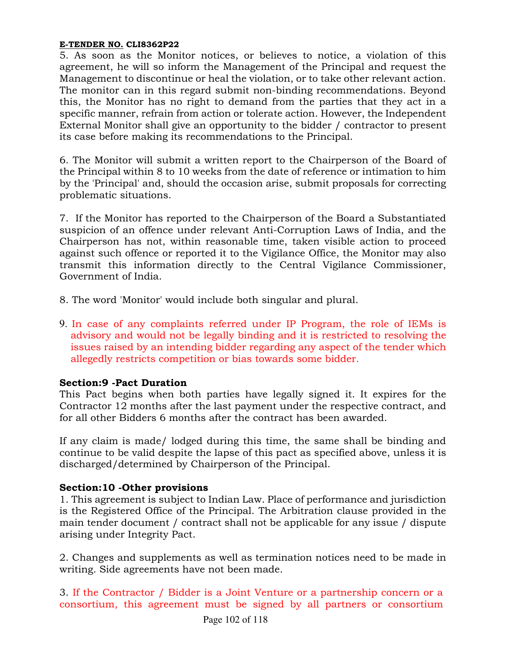5. As soon as the Monitor notices, or believes to notice, a violation of this agreement, he will so inform the Management of the Principal and request the Management to discontinue or heal the violation, or to take other relevant action. The monitor can in this regard submit non-binding recommendations. Beyond this, the Monitor has no right to demand from the parties that they act in a specific manner, refrain from action or tolerate action. However, the Independent External Monitor shall give an opportunity to the bidder / contractor to present its case before making its recommendations to the Principal.

6. The Monitor will submit a written report to the Chairperson of the Board of the Principal within 8 to 10 weeks from the date of reference or intimation to him by the 'Principal' and, should the occasion arise, submit proposals for correcting problematic situations.

7. If the Monitor has reported to the Chairperson of the Board a Substantiated suspicion of an offence under relevant Anti-Corruption Laws of India, and the Chairperson has not, within reasonable time, taken visible action to proceed against such offence or reported it to the Vigilance Office, the Monitor may also transmit this information directly to the Central Vigilance Commissioner, Government of India.

8. The word 'Monitor' would include both singular and plural.

9. In case of any complaints referred under IP Program, the role of IEMs is advisory and would not be legally binding and it is restricted to resolving the issues raised by an intending bidder regarding any aspect of the tender which allegedly restricts competition or bias towards some bidder.

# Section:9 -Pact Duration

This Pact begins when both parties have legally signed it. It expires for the Contractor 12 months after the last payment under the respective contract, and for all other Bidders 6 months after the contract has been awarded.

If any claim is made/ lodged during this time, the same shall be binding and continue to be valid despite the lapse of this pact as specified above, unless it is discharged/determined by Chairperson of the Principal.

# Section:10 -Other provisions

1. This agreement is subject to Indian Law. Place of performance and jurisdiction is the Registered Office of the Principal. The Arbitration clause provided in the main tender document / contract shall not be applicable for any issue / dispute arising under Integrity Pact.

2. Changes and supplements as well as termination notices need to be made in writing. Side agreements have not been made.

3. If the Contractor / Bidder is a Joint Venture or a partnership concern or a consortium, this agreement must be signed by all partners or consortium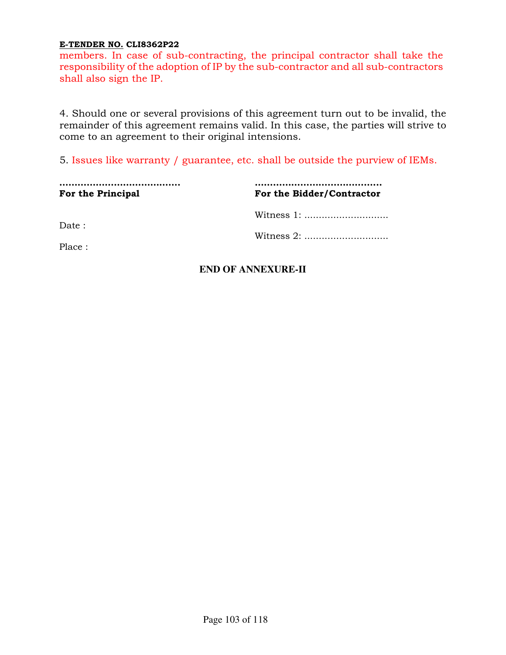members. In case of sub-contracting, the principal contractor shall take the responsibility of the adoption of IP by the sub-contractor and all sub-contractors shall also sign the IP.

4. Should one or several provisions of this agreement turn out to be invalid, the remainder of this agreement remains valid. In this case, the parties will strive to come to an agreement to their original intensions.

5. Issues like warranty / guarantee, etc. shall be outside the purview of IEMs.

| For the Principal | For the Bidder/Contractor |
|-------------------|---------------------------|
|                   |                           |
| Date:             |                           |
| Place:            |                           |

# **END OF ANNEXURE-II**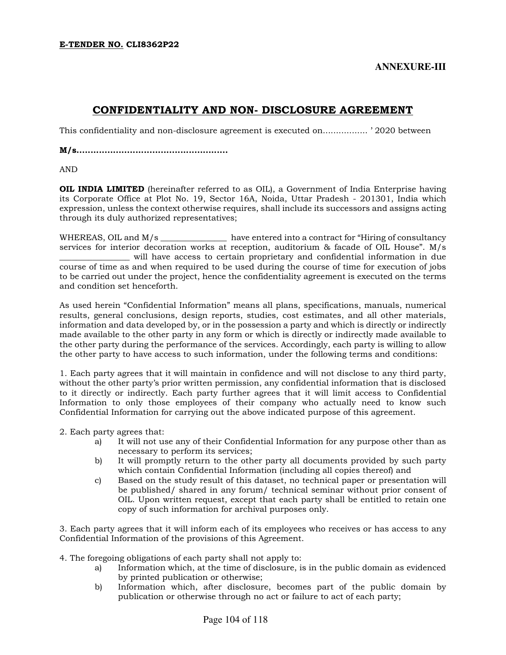# CONFIDENTIALITY AND NON- DISCLOSURE AGREEMENT

This confidentiality and non-disclosure agreement is executed on................. ' 2020 between

M/s......................................................

AND

OIL INDIA LIMITED (hereinafter referred to as OIL), a Government of India Enterprise having its Corporate Office at Plot No. 19, Sector 16A, Noida, Uttar Pradesh - 201301, India which expression, unless the context otherwise requires, shall include its successors and assigns acting through its duly authorized representatives;

WHEREAS, OIL and M/s have entered into a contract for "Hiring of consultancy" services for interior decoration works at reception, auditorium & facade of OIL House". M/s \_\_\_\_\_\_\_\_\_\_\_\_\_\_\_\_\_ will have access to certain proprietary and confidential information in due course of time as and when required to be used during the course of time for execution of jobs to be carried out under the project, hence the confidentiality agreement is executed on the terms and condition set henceforth.

As used herein "Confidential Information" means all plans, specifications, manuals, numerical results, general conclusions, design reports, studies, cost estimates, and all other materials, information and data developed by, or in the possession a party and which is directly or indirectly made available to the other party in any form or which is directly or indirectly made available to the other party during the performance of the services. Accordingly, each party is willing to allow the other party to have access to such information, under the following terms and conditions:

1. Each party agrees that it will maintain in confidence and will not disclose to any third party, without the other party's prior written permission, any confidential information that is disclosed to it directly or indirectly. Each party further agrees that it will limit access to Confidential Information to only those employees of their company who actually need to know such Confidential Information for carrying out the above indicated purpose of this agreement.

2. Each party agrees that:

- a) It will not use any of their Confidential Information for any purpose other than as necessary to perform its services;
- b) It will promptly return to the other party all documents provided by such party which contain Confidential Information (including all copies thereof) and
- c) Based on the study result of this dataset, no technical paper or presentation will be published/ shared in any forum/ technical seminar without prior consent of OIL. Upon written request, except that each party shall be entitled to retain one copy of such information for archival purposes only.

3. Each party agrees that it will inform each of its employees who receives or has access to any Confidential Information of the provisions of this Agreement.

4. The foregoing obligations of each party shall not apply to:

- a) Information which, at the time of disclosure, is in the public domain as evidenced by printed publication or otherwise;
- b) Information which, after disclosure, becomes part of the public domain by publication or otherwise through no act or failure to act of each party;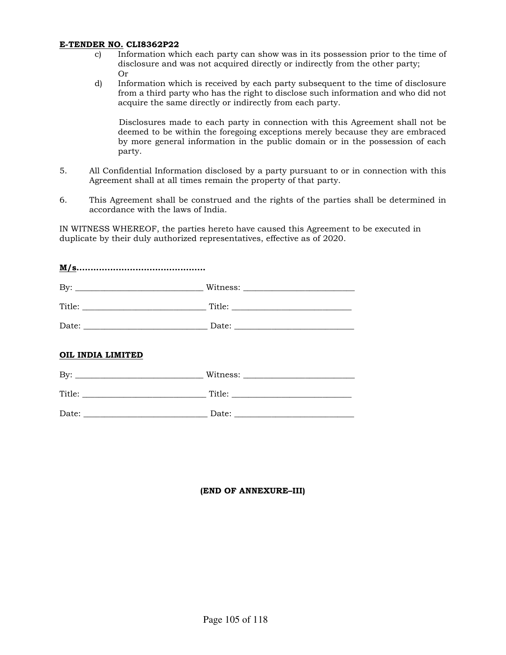- c) Information which each party can show was in its possession prior to the time of disclosure and was not acquired directly or indirectly from the other party; Or
- d) Information which is received by each party subsequent to the time of disclosure from a third party who has the right to disclose such information and who did not acquire the same directly or indirectly from each party.

Disclosures made to each party in connection with this Agreement shall not be deemed to be within the foregoing exceptions merely because they are embraced by more general information in the public domain or in the possession of each party.

- 5. All Confidential Information disclosed by a party pursuant to or in connection with this Agreement shall at all times remain the property of that party.
- 6. This Agreement shall be construed and the rights of the parties shall be determined in accordance with the laws of India.

IN WITNESS WHEREOF, the parties hereto have caused this Agreement to be executed in duplicate by their duly authorized representatives, effective as of 2020.

| OIL INDIA LIMITED |                         |
|-------------------|-------------------------|
|                   |                         |
|                   | $\boxed{\text{Title:}}$ |

| $\overline{\phantom{0}}$<br>. |  |
|-------------------------------|--|

### (END OF ANNEXURE–III)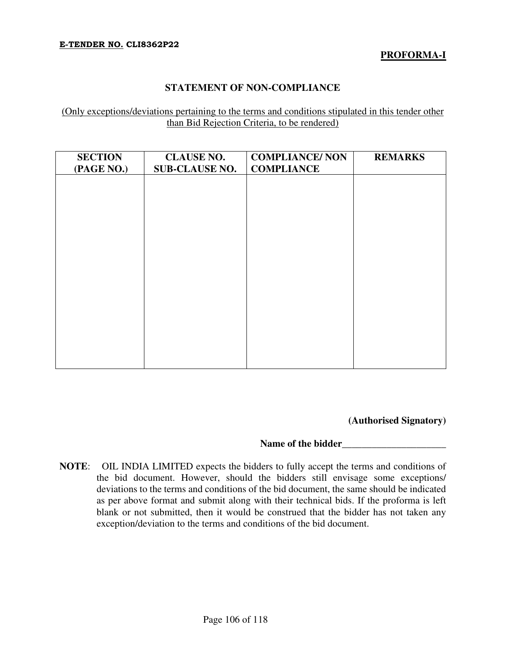## **PROFORMA-I**

## **STATEMENT OF NON-COMPLIANCE**

(Only exceptions/deviations pertaining to the terms and conditions stipulated in this tender other than Bid Rejection Criteria, to be rendered)

| <b>SECTION</b><br>(PAGE NO.) | <b>CLAUSE NO.</b><br><b>SUB-CLAUSE NO.</b> | <b>COMPLIANCE/ NON</b><br><b>COMPLIANCE</b> | <b>REMARKS</b> |
|------------------------------|--------------------------------------------|---------------------------------------------|----------------|
|                              |                                            |                                             |                |
|                              |                                            |                                             |                |
|                              |                                            |                                             |                |
|                              |                                            |                                             |                |
|                              |                                            |                                             |                |
|                              |                                            |                                             |                |
|                              |                                            |                                             |                |
|                              |                                            |                                             |                |

**(Authorised Signatory)** 

### Name of the bidder

**NOTE**: OIL INDIA LIMITED expects the bidders to fully accept the terms and conditions of the bid document. However, should the bidders still envisage some exceptions/ deviations to the terms and conditions of the bid document, the same should be indicated as per above format and submit along with their technical bids. If the proforma is left blank or not submitted, then it would be construed that the bidder has not taken any exception/deviation to the terms and conditions of the bid document.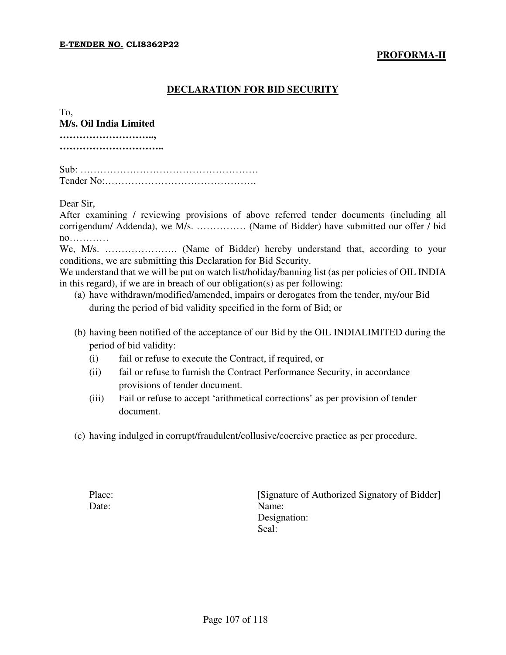### **PROFORMA-II**

## **DECLARATION FOR BID SECURITY**

| To.                    |
|------------------------|
| M/s. Oil India Limited |
|                        |
|                        |
|                        |
|                        |
|                        |
|                        |

Dear Sir,

After examining / reviewing provisions of above referred tender documents (including all corrigendum/ Addenda), we M/s. …………… (Name of Bidder) have submitted our offer / bid no…………

We, M/s. …………………. (Name of Bidder) hereby understand that, according to your conditions, we are submitting this Declaration for Bid Security.

We understand that we will be put on watch list/holiday/banning list (as per policies of OIL INDIA in this regard), if we are in breach of our obligation(s) as per following:

- (a) have withdrawn/modified/amended, impairs or derogates from the tender, my/our Bid during the period of bid validity specified in the form of Bid; or
- (b) having been notified of the acceptance of our Bid by the OIL INDIALIMITED during the period of bid validity:
	- (i) fail or refuse to execute the Contract, if required, or
	- (ii) fail or refuse to furnish the Contract Performance Security, in accordance provisions of tender document.
	- (iii) Fail or refuse to accept 'arithmetical corrections' as per provision of tender document.
- (c) having indulged in corrupt/fraudulent/collusive/coercive practice as per procedure.

Place: [Signature of Authorized Signatory of Bidder] Date: Name: Designation: Seal: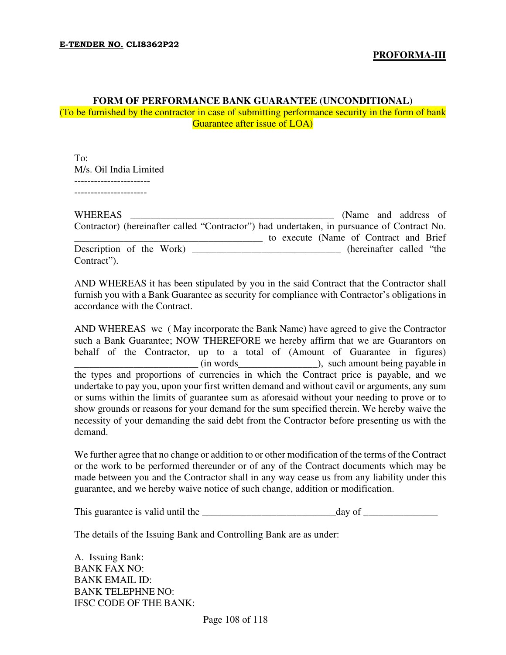# **FORM OF PERFORMANCE BANK GUARANTEE (UNCONDITIONAL)**

(To be furnished by the contractor in case of submitting performance security in the form of bank Guarantee after issue of LOA)

To: M/s. Oil India Limited -----------------------

----------------------

| <b>WHEREAS</b>           | (Name and address of                                                                       |
|--------------------------|--------------------------------------------------------------------------------------------|
|                          | Contractor) (hereinafter called "Contractor") had undertaken, in pursuance of Contract No. |
|                          | to execute (Name of Contract and Brief)                                                    |
| Description of the Work) | (hereinafter called "the                                                                   |
| Contract").              |                                                                                            |

AND WHEREAS it has been stipulated by you in the said Contract that the Contractor shall furnish you with a Bank Guarantee as security for compliance with Contractor's obligations in accordance with the Contract.

AND WHEREAS we ( May incorporate the Bank Name) have agreed to give the Contractor such a Bank Guarantee; NOW THEREFORE we hereby affirm that we are Guarantors on behalf of the Contractor, up to a total of (Amount of Guarantee in figures) \_\_\_\_\_\_\_\_\_\_\_\_\_\_\_\_\_\_\_\_\_\_\_\_\_ (in words\_\_\_\_\_\_\_\_\_\_\_\_\_\_\_\_), such amount being payable in the types and proportions of currencies in which the Contract price is payable, and we undertake to pay you, upon your first written demand and without cavil or arguments, any sum or sums within the limits of guarantee sum as aforesaid without your needing to prove or to show grounds or reasons for your demand for the sum specified therein. We hereby waive the necessity of your demanding the said debt from the Contractor before presenting us with the demand.

We further agree that no change or addition to or other modification of the terms of the Contract or the work to be performed thereunder or of any of the Contract documents which may be made between you and the Contractor shall in any way cease us from any liability under this guarantee, and we hereby waive notice of such change, addition or modification.

This guarantee is valid until the \_\_\_\_\_\_\_\_\_\_\_\_\_\_\_\_\_\_\_\_\_\_\_\_\_\_\_day of \_\_\_\_\_\_\_\_\_\_\_\_\_\_\_

The details of the Issuing Bank and Controlling Bank are as under:

A. Issuing Bank: BANK FAX NO: BANK EMAIL ID: BANK TELEPHNE NO: IFSC CODE OF THE BANK:

Page 108 of 118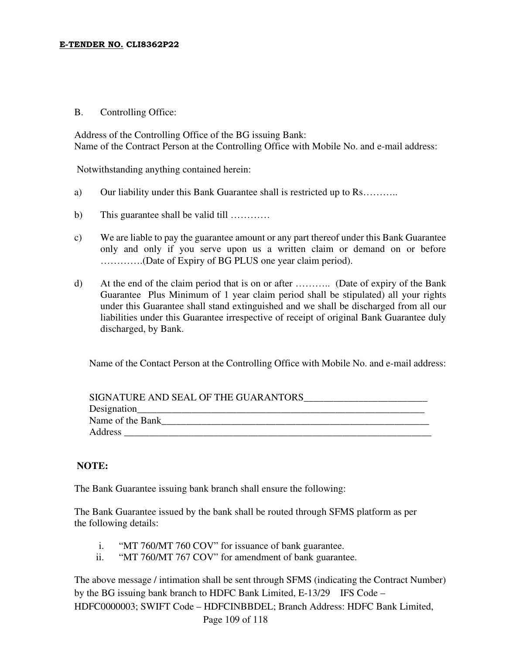#### E-TENDER NO. CLI8362P22

### B. Controlling Office:

Address of the Controlling Office of the BG issuing Bank: Name of the Contract Person at the Controlling Office with Mobile No. and e-mail address:

Notwithstanding anything contained herein:

- a) Our liability under this Bank Guarantee shall is restricted up to Rs………..
- b) This guarantee shall be valid till …………
- c) We are liable to pay the guarantee amount or any part thereof under this Bank Guarantee only and only if you serve upon us a written claim or demand on or before ………….(Date of Expiry of BG PLUS one year claim period).
- d) At the end of the claim period that is on or after ……….. (Date of expiry of the Bank Guarantee Plus Minimum of 1 year claim period shall be stipulated) all your rights under this Guarantee shall stand extinguished and we shall be discharged from all our liabilities under this Guarantee irrespective of receipt of original Bank Guarantee duly discharged, by Bank.

Name of the Contact Person at the Controlling Office with Mobile No. and e-mail address:

| SIGNATURE AND SEAL OF THE GUARANTORS |
|--------------------------------------|
| Designation                          |
| Name of the Bank                     |
| Address                              |

# **NOTE:**

The Bank Guarantee issuing bank branch shall ensure the following:

The Bank Guarantee issued by the bank shall be routed through SFMS platform as per the following details:

- i. "MT 760/MT 760 COV" for issuance of bank guarantee.
- ii. "MT 760/MT 767 COV" for amendment of bank guarantee.

 Page 109 of 118 The above message / intimation shall be sent through SFMS (indicating the Contract Number) by the BG issuing bank branch to HDFC Bank Limited, E-13/29 IFS Code – HDFC0000003; SWIFT Code – HDFCINBBDEL; Branch Address: HDFC Bank Limited,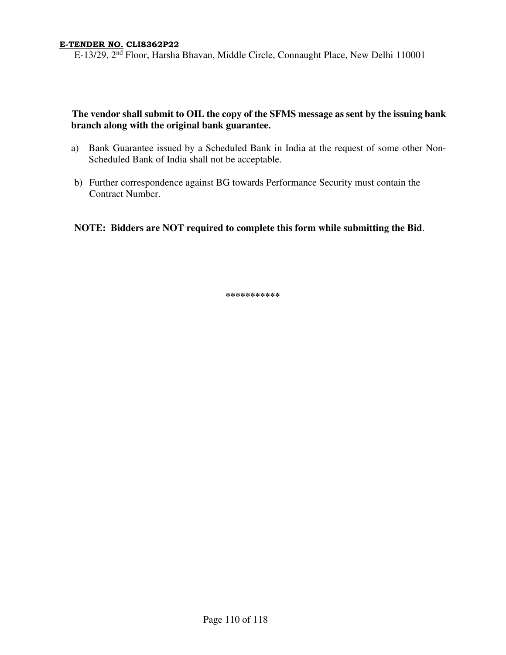E-13/29, 2<sup>nd</sup> Floor, Harsha Bhavan, Middle Circle, Connaught Place, New Delhi 110001

# **The vendor shall submit to OIL the copy of the SFMS message as sent by the issuing bank branch along with the original bank guarantee.**

- a) Bank Guarantee issued by a Scheduled Bank in India at the request of some other Non-Scheduled Bank of India shall not be acceptable.
- b) Further correspondence against BG towards Performance Security must contain the Contract Number.

# **NOTE: Bidders are NOT required to complete this form while submitting the Bid**.

**\*\*\*\*\*\*\*\*\*\*\***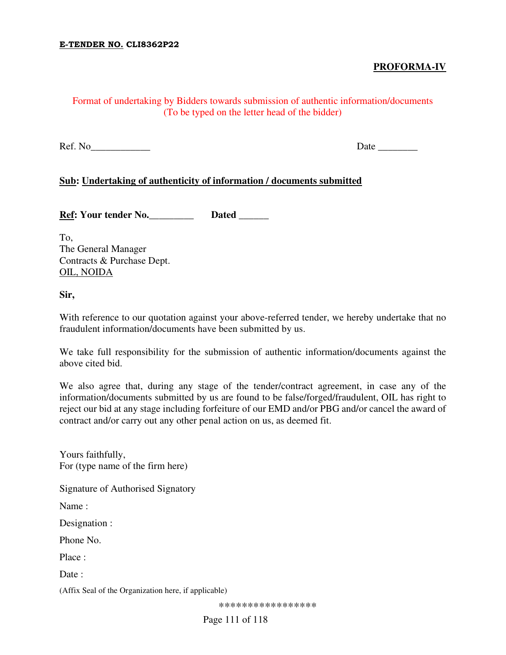# **PROFORMA-IV**

# Format of undertaking by Bidders towards submission of authentic information/documents (To be typed on the letter head of the bidder)

Ref. No **Date**  $\Box$ 

## **Sub: Undertaking of authenticity of information / documents submitted**

Ref: Your tender No. **Dated Dated** 

To, The General Manager Contracts & Purchase Dept. OIL, NOIDA

**Sir,** 

With reference to our quotation against your above-referred tender, we hereby undertake that no fraudulent information/documents have been submitted by us.

We take full responsibility for the submission of authentic information/documents against the above cited bid.

We also agree that, during any stage of the tender/contract agreement, in case any of the information/documents submitted by us are found to be false/forged/fraudulent, OIL has right to reject our bid at any stage including forfeiture of our EMD and/or PBG and/or cancel the award of contract and/or carry out any other penal action on us, as deemed fit.

Yours faithfully, For (type name of the firm here)

Signature of Authorised Signatory

Name :

Designation :

Phone No.

Place :

Date:

(Affix Seal of the Organization here, if applicable)

\*\*\*\*\*\*\*\*\*\*\*\*\*\*\*\*\*

Page 111 of 118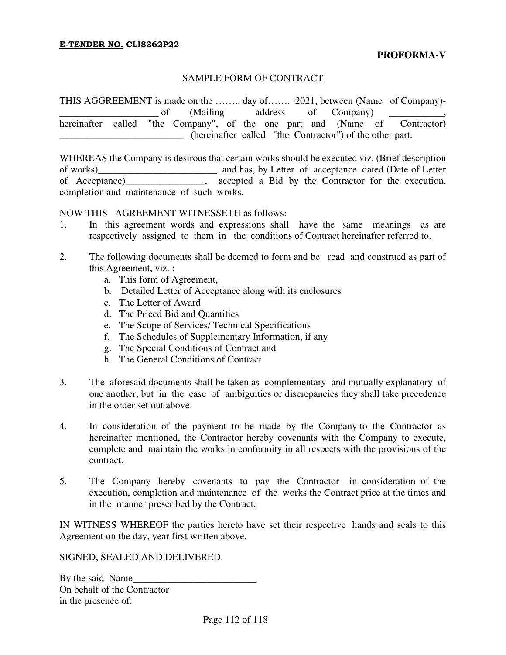# SAMPLE FORM OF CONTRACT

THIS AGGREEMENT is made on the …….. day of……. 2021, between (Name of Company) of (Mailing address of Company) hereinafter called "the Company", of the one part and (Name of Contractor) \_\_\_\_\_\_\_\_\_\_\_\_\_\_\_\_\_\_\_\_\_\_\_\_\_ (hereinafter called "the Contractor") of the other part.

WHEREAS the Company is desirous that certain works should be executed viz. (Brief description of works)\_\_\_\_\_\_\_\_\_\_\_\_\_\_\_\_\_\_\_\_\_\_\_\_ and has, by Letter of acceptance dated (Date of Letter of Acceptance)\_\_\_\_\_\_\_\_\_\_\_\_\_\_\_\_, accepted a Bid by the Contractor for the execution, completion and maintenance of such works.

NOW THIS AGREEMENT WITNESSETH as follows:

- 1. In this agreement words and expressions shall have the same meanings as are respectively assigned to them in the conditions of Contract hereinafter referred to.
- 2. The following documents shall be deemed to form and be read and construed as part of this Agreement, viz. :
	- a. This form of Agreement,
	- b. Detailed Letter of Acceptance along with its enclosures
	- c. The Letter of Award
	- d. The Priced Bid and Quantities
	- e. The Scope of Services/ Technical Specifications
	- f. The Schedules of Supplementary Information, if any
	- g. The Special Conditions of Contract and
	- h. The General Conditions of Contract
- 3. The aforesaid documents shall be taken as complementary and mutually explanatory of one another, but in the case of ambiguities or discrepancies they shall take precedence in the order set out above.
- 4. In consideration of the payment to be made by the Company to the Contractor as hereinafter mentioned, the Contractor hereby covenants with the Company to execute, complete and maintain the works in conformity in all respects with the provisions of the contract.
- 5. The Company hereby covenants to pay the Contractor in consideration of the execution, completion and maintenance of the works the Contract price at the times and in the manner prescribed by the Contract.

IN WITNESS WHEREOF the parties hereto have set their respective hands and seals to this Agreement on the day, year first written above.

SIGNED, SEALED AND DELIVERED.

By the said Name On behalf of the Contractor in the presence of: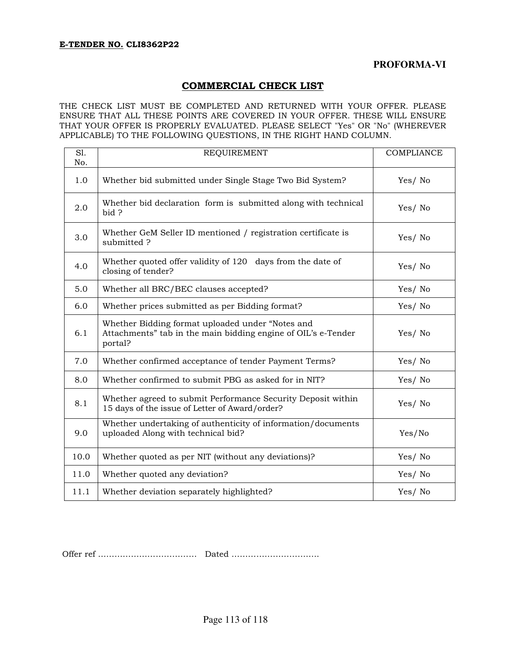# COMMERCIAL CHECK LIST

THE CHECK LIST MUST BE COMPLETED AND RETURNED WITH YOUR OFFER. PLEASE ENSURE THAT ALL THESE POINTS ARE COVERED IN YOUR OFFER. THESE WILL ENSURE THAT YOUR OFFER IS PROPERLY EVALUATED. PLEASE SELECT "Yes" OR "No" (WHEREVER APPLICABLE) TO THE FOLLOWING QUESTIONS, IN THE RIGHT HAND COLUMN.

| S1.<br>No. | <b>REQUIREMENT</b>                                                                                                           | <b>COMPLIANCE</b> |
|------------|------------------------------------------------------------------------------------------------------------------------------|-------------------|
| 1.0        | Whether bid submitted under Single Stage Two Bid System?                                                                     | Yes/No            |
| 2.0        | Whether bid declaration form is submitted along with technical<br>bid ?                                                      | Yes/No            |
| 3.0        | Whether GeM Seller ID mentioned / registration certificate is<br>submitted?                                                  | Yes/No            |
| 4.0        | Whether quoted offer validity of 120 days from the date of<br>closing of tender?                                             | Yes/No            |
| 5.0        | Whether all BRC/BEC clauses accepted?                                                                                        | Yes/No            |
| 6.0        | Whether prices submitted as per Bidding format?                                                                              | Yes/No            |
| 6.1        | Whether Bidding format uploaded under "Notes and<br>Attachments" tab in the main bidding engine of OIL's e-Tender<br>portal? | Yes/No            |
| 7.0        | Whether confirmed acceptance of tender Payment Terms?                                                                        | Yes/No            |
| 8.0        | Whether confirmed to submit PBG as asked for in NIT?                                                                         | Yes/No            |
| 8.1        | Whether agreed to submit Performance Security Deposit within<br>15 days of the issue of Letter of Award/order?               | Yes/No            |
| 9.0        | Whether undertaking of authenticity of information/documents<br>uploaded Along with technical bid?                           | Yes/No            |
| 10.0       | Whether quoted as per NIT (without any deviations)?                                                                          | Yes/No            |
| 11.0       | Whether quoted any deviation?                                                                                                | Yes/No            |
| 11.1       | Whether deviation separately highlighted?                                                                                    | Yes/No            |

Offer ref ……………………………… Dated …………………………..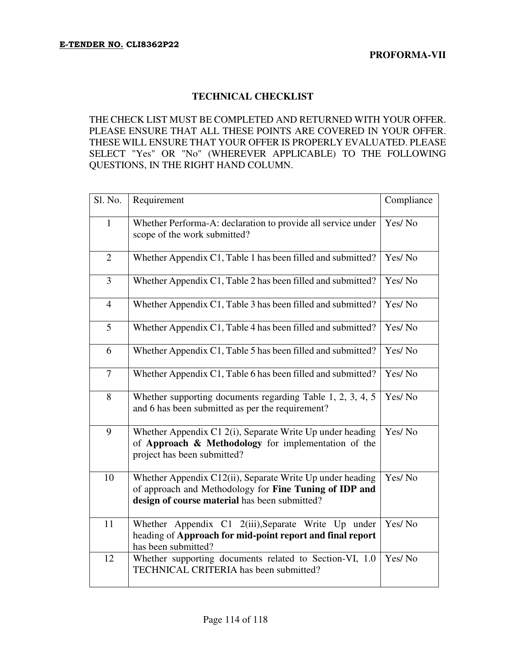# **TECHNICAL CHECKLIST**

THE CHECK LIST MUST BE COMPLETED AND RETURNED WITH YOUR OFFER. PLEASE ENSURE THAT ALL THESE POINTS ARE COVERED IN YOUR OFFER. THESE WILL ENSURE THAT YOUR OFFER IS PROPERLY EVALUATED. PLEASE SELECT "Yes" OR "No" (WHEREVER APPLICABLE) TO THE FOLLOWING QUESTIONS, IN THE RIGHT HAND COLUMN.

| Sl. No.        | Requirement                                                                                                                                                          | Compliance |
|----------------|----------------------------------------------------------------------------------------------------------------------------------------------------------------------|------------|
| $\mathbf{1}$   | Whether Performa-A: declaration to provide all service under<br>scope of the work submitted?                                                                         | Yes/No     |
| $\mathfrak{2}$ | Whether Appendix C1, Table 1 has been filled and submitted?                                                                                                          | Yes/No     |
| 3              | Whether Appendix C1, Table 2 has been filled and submitted?                                                                                                          | Yes/No     |
| $\overline{4}$ | Whether Appendix C1, Table 3 has been filled and submitted?                                                                                                          | Yes/No     |
| 5              | Whether Appendix C1, Table 4 has been filled and submitted?                                                                                                          | Yes/No     |
| 6              | Whether Appendix C1, Table 5 has been filled and submitted?                                                                                                          | Yes/No     |
| $\overline{7}$ | Whether Appendix C1, Table 6 has been filled and submitted?                                                                                                          | Yes/No     |
| 8              | Whether supporting documents regarding Table 1, 2, 3, 4, 5<br>and 6 has been submitted as per the requirement?                                                       | Yes/No     |
| 9              | Whether Appendix C1 2(i), Separate Write Up under heading<br>of Approach & Methodology for implementation of the<br>project has been submitted?                      | Yes/No     |
| 10             | Whether Appendix C12(ii), Separate Write Up under heading<br>of approach and Methodology for Fine Tuning of IDP and<br>design of course material has been submitted? | Yes/No     |
| 11             | Whether Appendix C1 2(iii), Separate Write Up under<br>heading of Approach for mid-point report and final report<br>has been submitted?                              | Yes/No     |
| 12             | Whether supporting documents related to Section-VI, 1.0<br>TECHNICAL CRITERIA has been submitted?                                                                    | Yes/No     |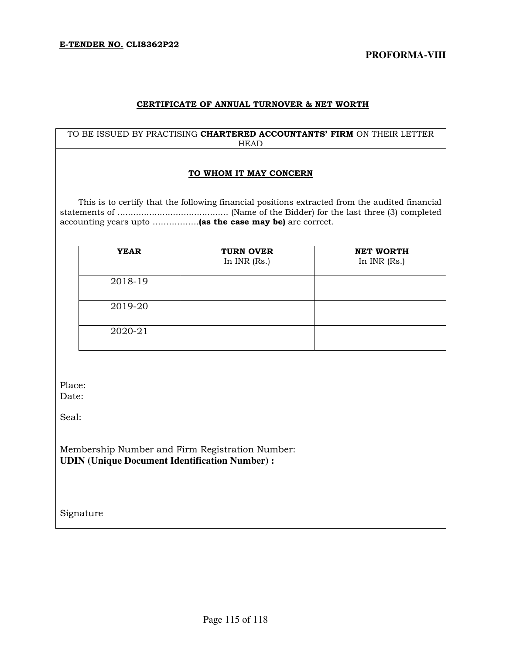#### CERTIFICATE OF ANNUAL TURNOVER & NET WORTH

### TO BE ISSUED BY PRACTISING CHARTERED ACCOUNTANTS' FIRM ON THEIR LETTER HEAD

#### TO WHOM IT MAY CONCERN

 This is to certify that the following financial positions extracted from the audited financial statements of .......................................... (Name of the Bidder) for the last three (3) completed accounting years upto .................. (as the case may be) are correct.

| <b>YEAR</b> | <b>TURN OVER</b><br>In $INR$ (Rs.) | <b>NET WORTH</b><br>In INR (Rs.) |
|-------------|------------------------------------|----------------------------------|
| 2018-19     |                                    |                                  |
| 2019-20     |                                    |                                  |
| 2020-21     |                                    |                                  |

Place: Date:

Seal:

Membership Number and Firm Registration Number: **UDIN (Unique Document Identification Number) :** 

Signature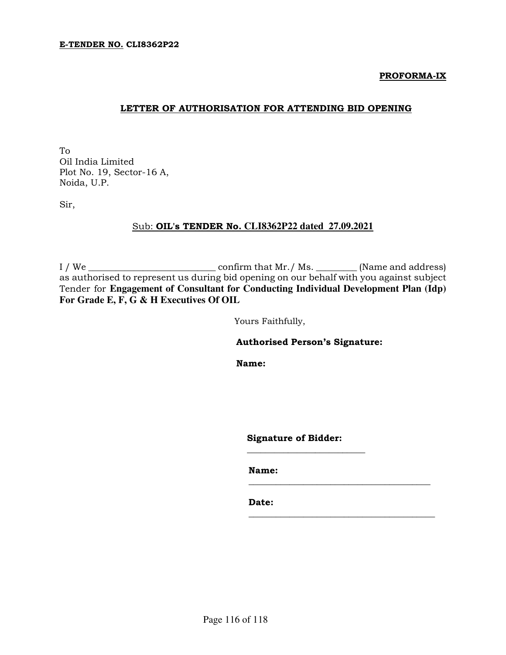#### PROFORMA-IX

## LETTER OF AUTHORISATION FOR ATTENDING BID OPENING

To Oil India Limited Plot No. 19, Sector-16 A, Noida, U.P.

Sir,

## Sub: OIL's TENDER No. **CLI8362P22 dated 27.09.2021**

I / We \_\_\_\_\_\_\_\_\_\_\_\_\_\_\_\_\_\_\_\_\_\_\_\_\_\_\_\_ confirm that Mr./ Ms. \_\_\_\_\_\_\_\_\_ (Name and address) as authorised to represent us during bid opening on our behalf with you against subject Tender for **Engagement of Consultant for Conducting Individual Development Plan (Idp) For Grade E, F, G & H Executives Of OIL**

Yours Faithfully,

Authorised Person's Signature:

Name:

Signature of Bidder:

\_\_\_\_\_\_\_\_\_\_\_\_\_\_\_\_\_\_\_\_\_\_\_\_\_\_

 $\overline{\phantom{a}}$  , and the set of the set of the set of the set of the set of the set of the set of the set of the set of the set of the set of the set of the set of the set of the set of the set of the set of the set of the s

\_\_\_\_\_\_\_\_\_\_\_\_\_\_\_\_\_\_\_\_\_\_\_\_\_\_\_\_\_\_\_\_\_\_\_\_\_\_\_\_\_

Name:

Date: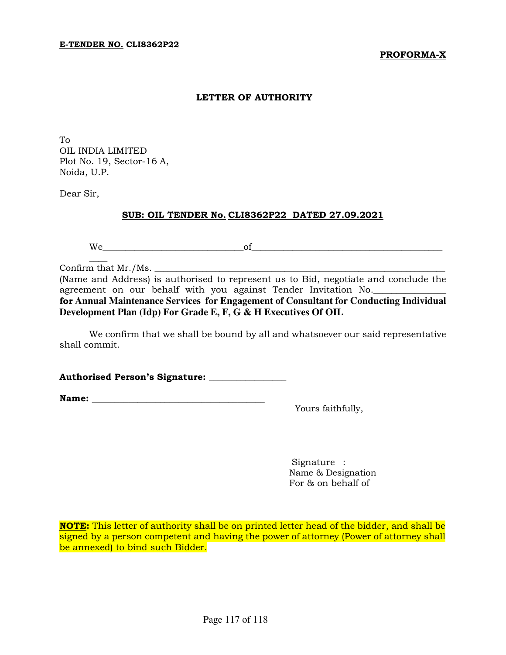### PROFORMA-X

### LETTER OF AUTHORITY

To OIL INDIA LIMITED Plot No. 19, Sector-16 A, Noida, U.P.

Dear Sir,

#### SUB: OIL TENDER No. CLI8362P22 DATED 27.09.2021

We\_\_\_\_\_\_\_\_\_\_\_\_\_\_\_\_\_\_\_\_\_\_\_\_\_\_\_\_\_\_\_of\_\_\_\_\_\_\_\_\_\_\_\_\_\_\_\_\_\_\_\_\_\_\_\_\_\_\_\_\_\_\_\_\_\_\_\_\_\_\_\_\_\_

Confirm that Mr./Ms.

 $\overline{\phantom{a}}$ 

(Name and Address) is authorised to represent us to Bid, negotiate and conclude the agreement on our behalf with you against Tender Invitation No.

for **Annual Maintenance Services for Engagement of Consultant for Conducting Individual Development Plan (Idp) For Grade E, F, G & H Executives Of OIL** 

We confirm that we shall be bound by all and whatsoever our said representative shall commit.

Authorised Person's Signature: \_\_\_\_\_\_\_\_\_\_\_\_\_\_\_\_\_

Name: \_\_\_\_\_\_\_\_\_\_\_\_\_\_\_\_\_\_\_\_\_\_\_\_\_\_\_\_\_\_\_\_\_\_\_\_\_\_

Yours faithfully,

Signature : Name & Designation For & on behalf of

NOTE: This letter of authority shall be on printed letter head of the bidder, and shall be signed by a person competent and having the power of attorney (Power of attorney shall be annexed) to bind such Bidder.